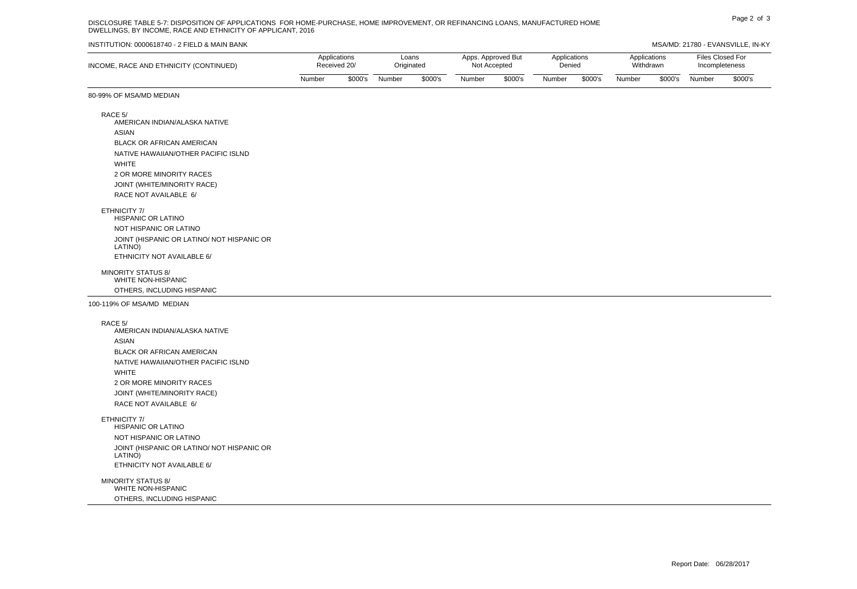## Page 2 of 3 DISCLOSURE TABLE 5-7: DISPOSITION OF APPLICATIONS FOR HOME-PURCHASE, HOME IMPROVEMENT, OR REFINANCING LOANS, MANUFACTURED HOME DWELLINGS, BY INCOME, RACE AND ETHNICITY OF APPLICANT, 2016

#### INSTITUTION: 0000618740 - 2 FIELD & MAIN BANK MSA/MD: 21780 - EVANSVILLE, IN-KY

| INCOME, RACE AND ETHNICITY (CONTINUED) | Applications<br>Received 20/ |         | Loans<br>Originated |         | Apps. Approved But<br>Not Accepted |         | Applications<br>Denied |         | Applications<br>Withdrawn |         | Files Closed For<br>Incompleteness |         |
|----------------------------------------|------------------------------|---------|---------------------|---------|------------------------------------|---------|------------------------|---------|---------------------------|---------|------------------------------------|---------|
|                                        | Number                       | \$000's | Number              | \$000's | Number                             | \$000's | Number                 | \$000's | Number                    | \$000's | Number                             | \$000's |

### 80-99% OF MSA/MD MEDIAN

RACE 5/ AMERICAN INDIAN/ALASKA NATIVE ASIAN BLACK OR AFRICAN AMERICAN NATIVE HAWAIIAN/OTHER PACIFIC ISLND WHITE 2 OR MORE MINORITY RACES JOINT (WHITE/MINORITY RACE) RACE NOT AVAILABLE 6/

#### ETHNICITY 7/

HISPANIC OR LATINO NOT HISPANIC OR LATINO JOINT (HISPANIC OR LATINO/ NOT HISPANIC OR LATINO) ETHNICITY NOT AVAILABLE 6/

MINORITY STATUS 8/ WHITE NON-HISPANIC OTHERS, INCLUDING HISPANIC

100-119% OF MSA/MD MEDIAN

RACE 5/

AMERICAN INDIAN/ALASKA NATIVE ASIAN BLACK OR AFRICAN AMERICAN NATIVE HAWAIIAN/OTHER PACIFIC ISLND WHITE 2 OR MORE MINORITY RACES JOINT (WHITE/MINORITY RACE) RACE NOT AVAILABLE 6/

ETHNICITY 7/

HISPANIC OR LATINO NOT HISPANIC OR LATINO JOINT (HISPANIC OR LATINO/ NOT HISPANIC OR LATINO) ETHNICITY NOT AVAILABLE 6/

MINORITY STATUS 8/ WHITE NON-HISPANIC OTHERS, INCLUDING HISPANIC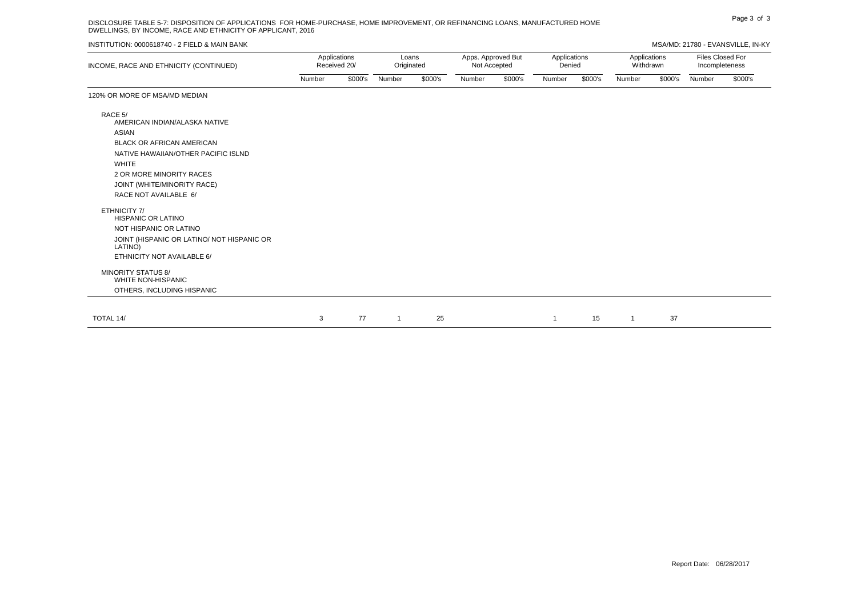# Page 3 of 3 DISCLOSURE TABLE 5-7: DISPOSITION OF APPLICATIONS FOR HOME-PURCHASE, HOME IMPROVEMENT, OR REFINANCING LOANS, MANUFACTURED HOME DWELLINGS, BY INCOME, RACE AND ETHNICITY OF APPLICANT, 2016

### INSTITUTION: 0000618740 - 2 FIELD & MAIN BANK MSA/MD: 21780 - EVANSVILLE, IN-KY

| INCOME, RACE AND ETHNICITY (CONTINUED) | Applications<br>Received 20/ |         | ∟oans<br>Originated |         | Apps. Approved But<br>Not Accepted |         | Applications<br>Denied |         | Applications<br>Withdrawn |         | Files Closed For<br>Incompleteness |         |
|----------------------------------------|------------------------------|---------|---------------------|---------|------------------------------------|---------|------------------------|---------|---------------------------|---------|------------------------------------|---------|
|                                        | Number                       | \$000's | Number              | \$000's | Number                             | \$000's | <b>Number</b>          | \$000's | Number                    | \$000's | Number                             | \$000's |

120% OR MORE OF MSA/MD MEDIAN

| RACE 5/<br>AMERICAN INDIAN/ALASKA NATIVE<br>ASIAN<br>BLACK OR AFRICAN AMERICAN<br>NATIVE HAWAIIAN/OTHER PACIFIC ISLND<br>WHITE<br>2 OR MORE MINORITY RACES<br>JOINT (WHITE/MINORITY RACE)<br>RACE NOT AVAILABLE 6/ |   |    |    |  |    |    |  |
|--------------------------------------------------------------------------------------------------------------------------------------------------------------------------------------------------------------------|---|----|----|--|----|----|--|
| ETHNICITY 7/<br>HISPANIC OR LATINO<br>NOT HISPANIC OR LATINO<br>JOINT (HISPANIC OR LATINO/ NOT HISPANIC OR<br>LATINO)<br>ETHNICITY NOT AVAILABLE 6/<br>MINORITY STATUS 8/<br>WHITE NON-HISPANIC                    |   |    |    |  |    |    |  |
| OTHERS, INCLUDING HISPANIC                                                                                                                                                                                         |   |    |    |  |    |    |  |
|                                                                                                                                                                                                                    |   | 77 | 25 |  |    |    |  |
| TOTAL 14/                                                                                                                                                                                                          | 3 |    |    |  | 15 | 37 |  |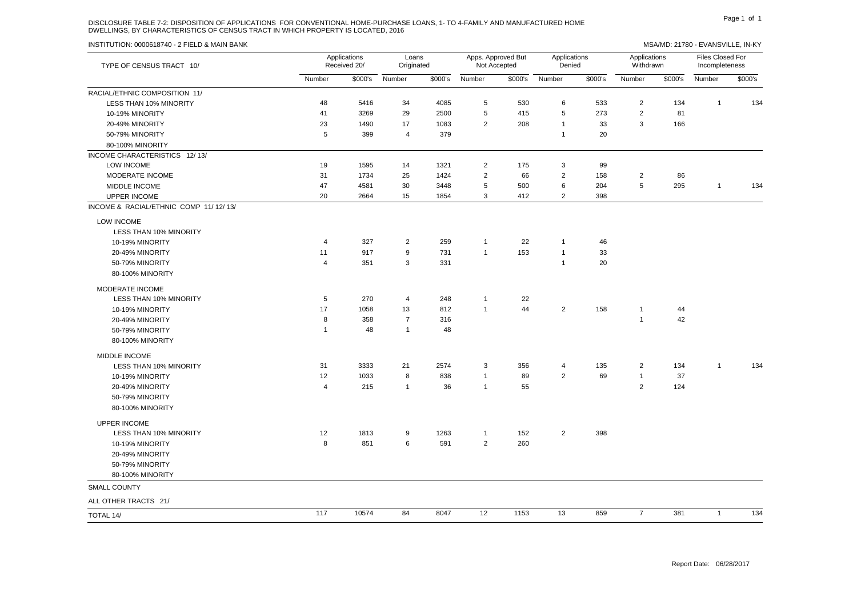# DISCLOSURE TABLE 7-2: DISPOSITION OF APPLICATIONS FOR CONVENTIONAL HOME-PURCHASE LOANS, 1- TO 4-FAMILY AND MANUFACTURED HOME PART AND MANUFACTURED HOME DWELLINGS, BY CHARACTERISTICS OF CENSUS TRACT IN WHICH PROPERTY IS LOCATED, 2016

| TYPE OF CENSUS TRACT 10/              |                | Applications<br>Received 20/ | Loans<br>Originated |         |                | Apps. Approved But<br>Not Accepted | Applications<br>Applications<br>Denied<br>Withdrawn |         |                  |         | Files Closed For<br>Incompleteness |         |  |
|---------------------------------------|----------------|------------------------------|---------------------|---------|----------------|------------------------------------|-----------------------------------------------------|---------|------------------|---------|------------------------------------|---------|--|
|                                       | Number         | \$000's                      | Number              | \$000's | Number         | \$000's                            | Number                                              | \$000's | Number           | \$000's | Number                             | \$000's |  |
| RACIAL/ETHNIC COMPOSITION 11/         |                |                              |                     |         |                |                                    |                                                     |         |                  |         |                                    |         |  |
| LESS THAN 10% MINORITY                | 48             | 5416                         | 34                  | 4085    | 5              | 530                                | 6                                                   | 533     | $\overline{2}$   | 134     | $\overline{1}$                     | 134     |  |
| 10-19% MINORITY                       | 41             | 3269                         | 29                  | 2500    | $\mathbf 5$    | 415                                | 5                                                   | 273     | $\mathbf 2$      | 81      |                                    |         |  |
| 20-49% MINORITY                       | 23             | 1490                         | 17                  | 1083    | $\overline{2}$ | 208                                | $\mathbf{1}$                                        | 33      | 3                | 166     |                                    |         |  |
| 50-79% MINORITY                       | 5              | 399                          | 4                   | 379     |                |                                    | $\mathbf{1}$                                        | 20      |                  |         |                                    |         |  |
| 80-100% MINORITY                      |                |                              |                     |         |                |                                    |                                                     |         |                  |         |                                    |         |  |
| INCOME CHARACTERISTICS 12/13/         |                |                              |                     |         |                |                                    |                                                     |         |                  |         |                                    |         |  |
| LOW INCOME                            | 19             | 1595                         | 14                  | 1321    | $\overline{2}$ | 175                                | 3                                                   | 99      |                  |         |                                    |         |  |
| MODERATE INCOME                       | 31             | 1734                         | 25                  | 1424    | $\sqrt{2}$     | 66                                 | $\boldsymbol{2}$                                    | 158     | $\boldsymbol{2}$ | 86      |                                    |         |  |
| MIDDLE INCOME                         | 47             | 4581                         | 30                  | 3448    | $\mathbf 5$    | 500                                | 6                                                   | 204     | 5                | 295     | $\mathbf{1}$                       | 134     |  |
| <b>UPPER INCOME</b>                   | 20             | 2664                         | 15                  | 1854    | 3              | 412                                | 2                                                   | 398     |                  |         |                                    |         |  |
| INCOME & RACIAL/ETHNIC COMP 11/12/13/ |                |                              |                     |         |                |                                    |                                                     |         |                  |         |                                    |         |  |
| <b>LOW INCOME</b>                     |                |                              |                     |         |                |                                    |                                                     |         |                  |         |                                    |         |  |
| LESS THAN 10% MINORITY                |                |                              |                     |         |                |                                    |                                                     |         |                  |         |                                    |         |  |
| 10-19% MINORITY                       | 4              | 327                          | $\overline{2}$      | 259     | $\mathbf{1}$   | 22                                 | $\mathbf{1}$                                        | 46      |                  |         |                                    |         |  |
| 20-49% MINORITY                       | 11             | 917                          | 9                   | 731     | $\overline{1}$ | 153                                | $\mathbf{1}$                                        | 33      |                  |         |                                    |         |  |
| 50-79% MINORITY                       | 4              | 351                          | 3                   | 331     |                |                                    | $\mathbf{1}$                                        | 20      |                  |         |                                    |         |  |
| 80-100% MINORITY                      |                |                              |                     |         |                |                                    |                                                     |         |                  |         |                                    |         |  |
| <b>MODERATE INCOME</b>                |                |                              |                     |         |                |                                    |                                                     |         |                  |         |                                    |         |  |
| LESS THAN 10% MINORITY                | $\sqrt{5}$     | 270                          | 4                   | 248     | $\mathbf{1}$   | 22                                 |                                                     |         |                  |         |                                    |         |  |
| 10-19% MINORITY                       | 17             | 1058                         | 13                  | 812     | $\mathbf{1}$   | 44                                 | $\overline{2}$                                      | 158     | $\mathbf{1}$     | 44      |                                    |         |  |
| 20-49% MINORITY                       | 8              | 358                          | $\overline{7}$      | 316     |                |                                    |                                                     |         | $\mathbf{1}$     | 42      |                                    |         |  |
| 50-79% MINORITY                       | $\overline{1}$ | 48                           | $\mathbf{1}$        | 48      |                |                                    |                                                     |         |                  |         |                                    |         |  |
| 80-100% MINORITY                      |                |                              |                     |         |                |                                    |                                                     |         |                  |         |                                    |         |  |
| MIDDLE INCOME                         |                |                              |                     |         |                |                                    |                                                     |         |                  |         |                                    |         |  |
| LESS THAN 10% MINORITY                | 31             | 3333                         | 21                  | 2574    | 3              | 356                                | 4                                                   | 135     | $\overline{2}$   | 134     | $\mathbf{1}$                       | 134     |  |
| 10-19% MINORITY                       | 12             | 1033                         | 8                   | 838     | $\mathbf{1}$   | 89                                 | 2                                                   | 69      | $\mathbf{1}$     | 37      |                                    |         |  |
| 20-49% MINORITY                       | $\overline{4}$ | 215                          | $\mathbf{1}$        | 36      | $\mathbf{1}$   | 55                                 |                                                     |         | 2                | 124     |                                    |         |  |
| 50-79% MINORITY                       |                |                              |                     |         |                |                                    |                                                     |         |                  |         |                                    |         |  |
| 80-100% MINORITY                      |                |                              |                     |         |                |                                    |                                                     |         |                  |         |                                    |         |  |
| <b>UPPER INCOME</b>                   |                |                              |                     |         |                |                                    |                                                     |         |                  |         |                                    |         |  |
| LESS THAN 10% MINORITY                | 12             | 1813                         | 9                   | 1263    | $\mathbf{1}$   | 152                                | $\overline{2}$                                      | 398     |                  |         |                                    |         |  |
| 10-19% MINORITY                       | 8              | 851                          | 6                   | 591     | $\overline{2}$ | 260                                |                                                     |         |                  |         |                                    |         |  |
| 20-49% MINORITY                       |                |                              |                     |         |                |                                    |                                                     |         |                  |         |                                    |         |  |
| 50-79% MINORITY                       |                |                              |                     |         |                |                                    |                                                     |         |                  |         |                                    |         |  |
| 80-100% MINORITY                      |                |                              |                     |         |                |                                    |                                                     |         |                  |         |                                    |         |  |
| <b>SMALL COUNTY</b>                   |                |                              |                     |         |                |                                    |                                                     |         |                  |         |                                    |         |  |
| ALL OTHER TRACTS 21/                  |                |                              |                     |         |                |                                    |                                                     |         |                  |         |                                    |         |  |
| TOTAL 14/                             | 117            | 10574                        | 84                  | 8047    | 12             | 1153                               | 13                                                  | 859     | $\overline{7}$   | 381     | $\mathbf{1}$                       | 134     |  |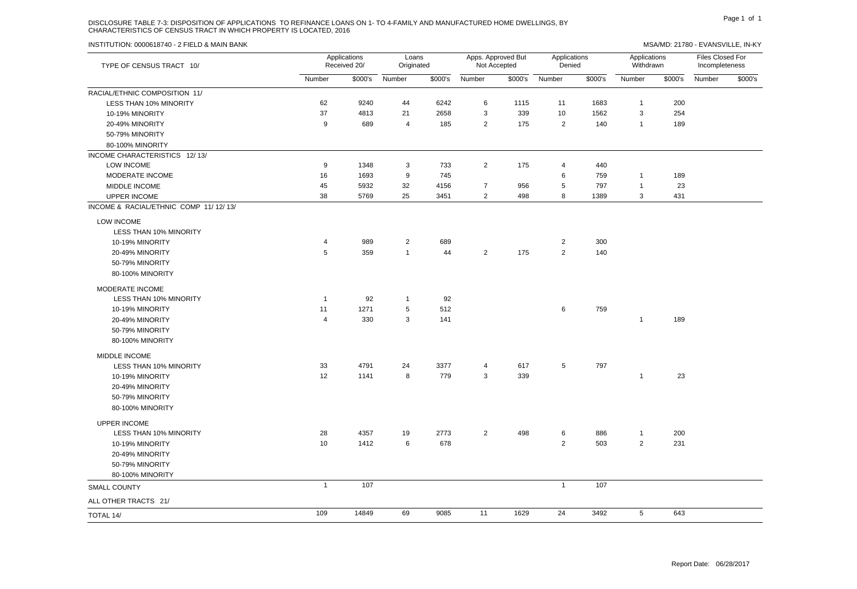# DISCLOSURE TABLE 7-3: DISPOSITION OF APPLICATIONS TO REFINANCE LOANS ON 1- TO 4-FAMILY AND MANUFACTURED HOME DWELLINGS, BY PAGE 1 2014 Page 1 of 1 CHARACTERISTICS OF CENSUS TRACT IN WHICH PROPERTY IS LOCATED, 2016

| TYPE OF CENSUS TRACT 10/              |                | Applications<br>Received 20/ | Loans<br>Originated |         |                | Apps. Approved But<br>Not Accepted | Applications<br>Denied |         | Applications<br>Withdrawn |         | Files Closed For<br>Incompleteness |         |  |
|---------------------------------------|----------------|------------------------------|---------------------|---------|----------------|------------------------------------|------------------------|---------|---------------------------|---------|------------------------------------|---------|--|
|                                       | Number         | \$000's                      | Number              | \$000's | Number         |                                    | \$000's Number         | \$000's | Number                    | \$000's | Number                             | \$000's |  |
| RACIAL/ETHNIC COMPOSITION 11/         |                |                              |                     |         |                |                                    |                        |         |                           |         |                                    |         |  |
| LESS THAN 10% MINORITY                | 62             | 9240                         | 44                  | 6242    | 6              | 1115                               | 11                     | 1683    | $\mathbf{1}$              | 200     |                                    |         |  |
| 10-19% MINORITY                       | 37             | 4813                         | 21                  | 2658    | $\mathsf 3$    | 339                                | 10                     | 1562    | 3                         | 254     |                                    |         |  |
| 20-49% MINORITY                       | 9              | 689                          | 4                   | 185     | 2              | 175                                | $\overline{2}$         | 140     | $\mathbf{1}$              | 189     |                                    |         |  |
| 50-79% MINORITY                       |                |                              |                     |         |                |                                    |                        |         |                           |         |                                    |         |  |
| 80-100% MINORITY                      |                |                              |                     |         |                |                                    |                        |         |                           |         |                                    |         |  |
| INCOME CHARACTERISTICS 12/13/         |                |                              |                     |         |                |                                    |                        |         |                           |         |                                    |         |  |
| LOW INCOME                            | 9              | 1348                         | 3                   | 733     | $\overline{2}$ | 175                                | 4                      | 440     |                           |         |                                    |         |  |
| MODERATE INCOME                       | 16             | 1693                         | 9                   | 745     |                |                                    | 6                      | 759     | $\mathbf{1}$              | 189     |                                    |         |  |
| MIDDLE INCOME                         | 45             | 5932                         | 32                  | 4156    | $\overline{7}$ | 956                                | 5                      | 797     | $\mathbf{1}$              | 23      |                                    |         |  |
| <b>UPPER INCOME</b>                   | 38             | 5769                         | 25                  | 3451    | 2              | 498                                | 8                      | 1389    | 3                         | 431     |                                    |         |  |
| INCOME & RACIAL/ETHNIC COMP 11/12/13/ |                |                              |                     |         |                |                                    |                        |         |                           |         |                                    |         |  |
| LOW INCOME                            |                |                              |                     |         |                |                                    |                        |         |                           |         |                                    |         |  |
| LESS THAN 10% MINORITY                |                |                              |                     |         |                |                                    |                        |         |                           |         |                                    |         |  |
| 10-19% MINORITY                       | 4              | 989                          | $\overline{2}$      | 689     |                |                                    | $\overline{2}$         | 300     |                           |         |                                    |         |  |
| 20-49% MINORITY                       | 5              | 359                          | $\mathbf{1}$        | 44      | $\overline{2}$ | 175                                | $\overline{2}$         | 140     |                           |         |                                    |         |  |
| 50-79% MINORITY                       |                |                              |                     |         |                |                                    |                        |         |                           |         |                                    |         |  |
| 80-100% MINORITY                      |                |                              |                     |         |                |                                    |                        |         |                           |         |                                    |         |  |
| MODERATE INCOME                       |                |                              |                     |         |                |                                    |                        |         |                           |         |                                    |         |  |
| LESS THAN 10% MINORITY                | $\overline{1}$ | 92                           | $\mathbf{1}$        | 92      |                |                                    |                        |         |                           |         |                                    |         |  |
| 10-19% MINORITY                       | 11             | 1271                         | 5                   | 512     |                |                                    | 6                      | 759     |                           |         |                                    |         |  |
| 20-49% MINORITY                       | 4              | 330                          | 3                   | 141     |                |                                    |                        |         | $\mathbf{1}$              | 189     |                                    |         |  |
| 50-79% MINORITY                       |                |                              |                     |         |                |                                    |                        |         |                           |         |                                    |         |  |
| 80-100% MINORITY                      |                |                              |                     |         |                |                                    |                        |         |                           |         |                                    |         |  |
| MIDDLE INCOME                         |                |                              |                     |         |                |                                    |                        |         |                           |         |                                    |         |  |
| <b>LESS THAN 10% MINORITY</b>         | 33             | 4791                         | 24                  | 3377    | 4              | 617                                | 5                      | 797     |                           |         |                                    |         |  |
| 10-19% MINORITY                       | 12             | 1141                         | 8                   | 779     | 3              | 339                                |                        |         | $\mathbf{1}$              | 23      |                                    |         |  |
| 20-49% MINORITY                       |                |                              |                     |         |                |                                    |                        |         |                           |         |                                    |         |  |
| 50-79% MINORITY                       |                |                              |                     |         |                |                                    |                        |         |                           |         |                                    |         |  |
| 80-100% MINORITY                      |                |                              |                     |         |                |                                    |                        |         |                           |         |                                    |         |  |
| <b>UPPER INCOME</b>                   |                |                              |                     |         |                |                                    |                        |         |                           |         |                                    |         |  |
| LESS THAN 10% MINORITY                | 28             | 4357                         | 19                  | 2773    | $\overline{2}$ | 498                                | 6                      | 886     | $\mathbf{1}$              | 200     |                                    |         |  |
| 10-19% MINORITY                       | 10             | 1412                         | 6                   | 678     |                |                                    | 2                      | 503     | $\overline{2}$            | 231     |                                    |         |  |
| 20-49% MINORITY                       |                |                              |                     |         |                |                                    |                        |         |                           |         |                                    |         |  |
| 50-79% MINORITY                       |                |                              |                     |         |                |                                    |                        |         |                           |         |                                    |         |  |
| 80-100% MINORITY                      |                |                              |                     |         |                |                                    |                        |         |                           |         |                                    |         |  |
| <b>SMALL COUNTY</b>                   | $\overline{1}$ | 107                          |                     |         |                |                                    | $\mathbf{1}$           | 107     |                           |         |                                    |         |  |
| ALL OTHER TRACTS 21/                  |                |                              |                     |         |                |                                    |                        |         |                           |         |                                    |         |  |
| TOTAL 14/                             | 109            | 14849                        | 69                  | 9085    | 11             | 1629                               | 24                     | 3492    | 5                         | 643     |                                    |         |  |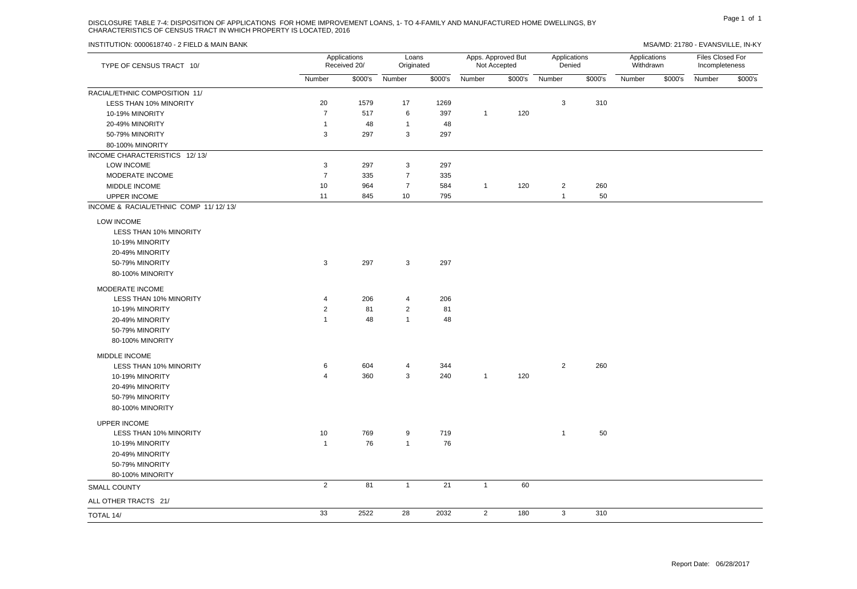# DISCLOSURE TABLE 7-4: DISPOSITION OF APPLICATIONS FOR HOME IMPROVEMENT LOANS, 1- TO 4-FAMILY AND MANUFACTURED HOME DWELLINGS, BY PAGE 1 OF 1 CHARACTERISTICS OF CENSUS TRACT IN WHICH PROPERTY IS LOCATED, 2016

| TYPE OF CENSUS TRACT 10/              |                | Applications<br>Received 20/ | Loans<br>Originated |         |                | Apps. Approved But<br>Not Accepted | Applications<br>Denied |         | Applications<br>Withdrawn |         | Files Closed For<br>Incompleteness |         |
|---------------------------------------|----------------|------------------------------|---------------------|---------|----------------|------------------------------------|------------------------|---------|---------------------------|---------|------------------------------------|---------|
|                                       | Number         | \$000's                      | Number              | \$000's | Number         | \$000's                            | Number                 | \$000's | Number                    | \$000's | Number                             | \$000's |
| RACIAL/ETHNIC COMPOSITION 11/         |                |                              |                     |         |                |                                    |                        |         |                           |         |                                    |         |
| LESS THAN 10% MINORITY                | 20             | 1579                         | 17                  | 1269    |                |                                    | 3                      | 310     |                           |         |                                    |         |
| 10-19% MINORITY                       | $\overline{7}$ | 517                          | 6                   | 397     | $\mathbf{1}$   | 120                                |                        |         |                           |         |                                    |         |
| 20-49% MINORITY                       | $\overline{1}$ | 48                           | $\overline{1}$      | 48      |                |                                    |                        |         |                           |         |                                    |         |
| 50-79% MINORITY                       | 3              | 297                          | 3                   | 297     |                |                                    |                        |         |                           |         |                                    |         |
| 80-100% MINORITY                      |                |                              |                     |         |                |                                    |                        |         |                           |         |                                    |         |
| INCOME CHARACTERISTICS 12/13/         |                |                              |                     |         |                |                                    |                        |         |                           |         |                                    |         |
| LOW INCOME                            | $\sqrt{3}$     | 297                          | 3                   | 297     |                |                                    |                        |         |                           |         |                                    |         |
| MODERATE INCOME                       | $\overline{7}$ | 335                          | $\overline{7}$      | 335     |                |                                    |                        |         |                           |         |                                    |         |
| MIDDLE INCOME                         | 10             | 964                          | $\overline{7}$      | 584     | $\mathbf{1}$   | 120                                | $\overline{2}$         | 260     |                           |         |                                    |         |
| UPPER INCOME                          | 11             | 845                          | 10                  | 795     |                |                                    | $\mathbf{1}$           | 50      |                           |         |                                    |         |
| INCOME & RACIAL/ETHNIC COMP 11/12/13/ |                |                              |                     |         |                |                                    |                        |         |                           |         |                                    |         |
| LOW INCOME                            |                |                              |                     |         |                |                                    |                        |         |                           |         |                                    |         |
| LESS THAN 10% MINORITY                |                |                              |                     |         |                |                                    |                        |         |                           |         |                                    |         |
| 10-19% MINORITY                       |                |                              |                     |         |                |                                    |                        |         |                           |         |                                    |         |
| 20-49% MINORITY                       |                |                              |                     |         |                |                                    |                        |         |                           |         |                                    |         |
| 50-79% MINORITY                       | 3              | 297                          | 3                   | 297     |                |                                    |                        |         |                           |         |                                    |         |
| 80-100% MINORITY                      |                |                              |                     |         |                |                                    |                        |         |                           |         |                                    |         |
|                                       |                |                              |                     |         |                |                                    |                        |         |                           |         |                                    |         |
| MODERATE INCOME                       |                |                              |                     |         |                |                                    |                        |         |                           |         |                                    |         |
| LESS THAN 10% MINORITY                | $\overline{4}$ | 206                          | 4                   | 206     |                |                                    |                        |         |                           |         |                                    |         |
| 10-19% MINORITY                       | $\overline{2}$ | 81                           | $\overline{2}$      | 81      |                |                                    |                        |         |                           |         |                                    |         |
| 20-49% MINORITY                       | $\mathbf{1}$   | 48                           | $\overline{1}$      | 48      |                |                                    |                        |         |                           |         |                                    |         |
| 50-79% MINORITY                       |                |                              |                     |         |                |                                    |                        |         |                           |         |                                    |         |
| 80-100% MINORITY                      |                |                              |                     |         |                |                                    |                        |         |                           |         |                                    |         |
| MIDDLE INCOME                         |                |                              |                     |         |                |                                    |                        |         |                           |         |                                    |         |
| LESS THAN 10% MINORITY                | 6              | 604                          | 4                   | 344     |                |                                    | $\overline{2}$         | 260     |                           |         |                                    |         |
| 10-19% MINORITY                       | $\overline{4}$ | 360                          | 3                   | 240     | $\mathbf{1}$   | 120                                |                        |         |                           |         |                                    |         |
| 20-49% MINORITY                       |                |                              |                     |         |                |                                    |                        |         |                           |         |                                    |         |
| 50-79% MINORITY                       |                |                              |                     |         |                |                                    |                        |         |                           |         |                                    |         |
| 80-100% MINORITY                      |                |                              |                     |         |                |                                    |                        |         |                           |         |                                    |         |
| <b>UPPER INCOME</b>                   |                |                              |                     |         |                |                                    |                        |         |                           |         |                                    |         |
| LESS THAN 10% MINORITY                | 10             | 769                          | 9                   | 719     |                |                                    | $\mathbf{1}$           | 50      |                           |         |                                    |         |
| 10-19% MINORITY                       | $\overline{1}$ | 76                           | $\overline{1}$      | 76      |                |                                    |                        |         |                           |         |                                    |         |
| 20-49% MINORITY                       |                |                              |                     |         |                |                                    |                        |         |                           |         |                                    |         |
| 50-79% MINORITY                       |                |                              |                     |         |                |                                    |                        |         |                           |         |                                    |         |
| 80-100% MINORITY                      |                |                              |                     |         |                |                                    |                        |         |                           |         |                                    |         |
| SMALL COUNTY                          | $\overline{2}$ | 81                           | $\overline{1}$      | 21      | $\mathbf{1}$   | 60                                 |                        |         |                           |         |                                    |         |
| ALL OTHER TRACTS 21/                  |                |                              |                     |         |                |                                    |                        |         |                           |         |                                    |         |
| TOTAL 14/                             | 33             | 2522                         | 28                  | 2032    | $\overline{2}$ | 180                                | 3                      | 310     |                           |         |                                    |         |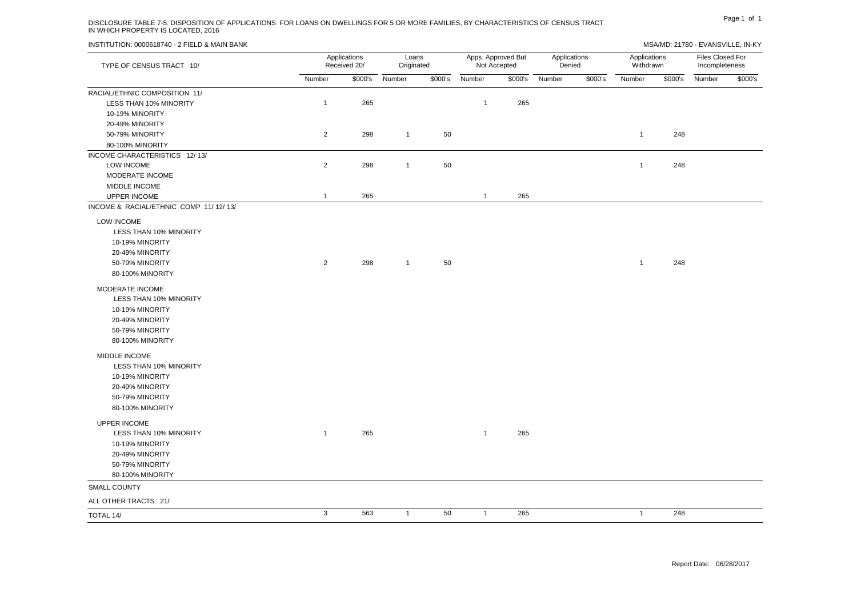# Page 1 of 1 DISCLOSURE TABLE 7-5: DISPOSITION OF APPLICATIONS FOR LOANS ON DWELLINGS FOR 5 OR MORE FAMILIES, BY CHARACTERISTICS OF CENSUS TRACT IN WHICH PROPERTY IS LOCATED, 2016

| TYPE OF CENSUS TRACT 10/              |                | Applications<br>Received 20/ | Loans<br>Originated |         | Apps. Approved But<br>Not Accepted |         | Applications<br>Denied |         | Applications<br>Withdrawn |         | Files Closed For<br>Incompleteness |         |
|---------------------------------------|----------------|------------------------------|---------------------|---------|------------------------------------|---------|------------------------|---------|---------------------------|---------|------------------------------------|---------|
|                                       | Number         | \$000's                      | Number              | \$000's | Number                             | \$000's | Number                 | \$000's | Number                    | \$000's | Number                             | \$000's |
| RACIAL/ETHNIC COMPOSITION 11/         |                |                              |                     |         |                                    |         |                        |         |                           |         |                                    |         |
| LESS THAN 10% MINORITY                | $\mathbf{1}$   | 265                          |                     |         | $\mathbf{1}$                       | 265     |                        |         |                           |         |                                    |         |
| 10-19% MINORITY                       |                |                              |                     |         |                                    |         |                        |         |                           |         |                                    |         |
| 20-49% MINORITY                       |                |                              |                     |         |                                    |         |                        |         |                           |         |                                    |         |
| 50-79% MINORITY                       | $\overline{2}$ | 298                          | $\overline{1}$      | 50      |                                    |         |                        |         | $\mathbf{1}$              | 248     |                                    |         |
| 80-100% MINORITY                      |                |                              |                     |         |                                    |         |                        |         |                           |         |                                    |         |
| INCOME CHARACTERISTICS 12/13/         |                |                              |                     |         |                                    |         |                        |         |                           |         |                                    |         |
| LOW INCOME                            | $\overline{2}$ | 298                          | $\overline{1}$      | 50      |                                    |         |                        |         | $\overline{1}$            | 248     |                                    |         |
| MODERATE INCOME                       |                |                              |                     |         |                                    |         |                        |         |                           |         |                                    |         |
| MIDDLE INCOME                         |                |                              |                     |         |                                    |         |                        |         |                           |         |                                    |         |
| <b>UPPER INCOME</b>                   | $\mathbf{1}$   | 265                          |                     |         | $\mathbf{1}$                       | 265     |                        |         |                           |         |                                    |         |
| INCOME & RACIAL/ETHNIC COMP 11/12/13/ |                |                              |                     |         |                                    |         |                        |         |                           |         |                                    |         |
| <b>LOW INCOME</b>                     |                |                              |                     |         |                                    |         |                        |         |                           |         |                                    |         |
| LESS THAN 10% MINORITY                |                |                              |                     |         |                                    |         |                        |         |                           |         |                                    |         |
| 10-19% MINORITY                       |                |                              |                     |         |                                    |         |                        |         |                           |         |                                    |         |
| 20-49% MINORITY                       |                |                              |                     |         |                                    |         |                        |         |                           |         |                                    |         |
| 50-79% MINORITY                       | $\overline{2}$ | 298                          | $\overline{1}$      | 50      |                                    |         |                        |         | $\mathbf{1}$              | 248     |                                    |         |
| 80-100% MINORITY                      |                |                              |                     |         |                                    |         |                        |         |                           |         |                                    |         |
| MODERATE INCOME                       |                |                              |                     |         |                                    |         |                        |         |                           |         |                                    |         |
| LESS THAN 10% MINORITY                |                |                              |                     |         |                                    |         |                        |         |                           |         |                                    |         |
| 10-19% MINORITY                       |                |                              |                     |         |                                    |         |                        |         |                           |         |                                    |         |
| 20-49% MINORITY                       |                |                              |                     |         |                                    |         |                        |         |                           |         |                                    |         |
| 50-79% MINORITY                       |                |                              |                     |         |                                    |         |                        |         |                           |         |                                    |         |
| 80-100% MINORITY                      |                |                              |                     |         |                                    |         |                        |         |                           |         |                                    |         |
| MIDDLE INCOME                         |                |                              |                     |         |                                    |         |                        |         |                           |         |                                    |         |
| LESS THAN 10% MINORITY                |                |                              |                     |         |                                    |         |                        |         |                           |         |                                    |         |
| 10-19% MINORITY                       |                |                              |                     |         |                                    |         |                        |         |                           |         |                                    |         |
| 20-49% MINORITY                       |                |                              |                     |         |                                    |         |                        |         |                           |         |                                    |         |
| 50-79% MINORITY                       |                |                              |                     |         |                                    |         |                        |         |                           |         |                                    |         |
| 80-100% MINORITY                      |                |                              |                     |         |                                    |         |                        |         |                           |         |                                    |         |
|                                       |                |                              |                     |         |                                    |         |                        |         |                           |         |                                    |         |
| <b>UPPER INCOME</b>                   |                |                              |                     |         |                                    |         |                        |         |                           |         |                                    |         |
| LESS THAN 10% MINORITY                | $\mathbf{1}$   | 265                          |                     |         | $\mathbf{1}$                       | 265     |                        |         |                           |         |                                    |         |
| 10-19% MINORITY                       |                |                              |                     |         |                                    |         |                        |         |                           |         |                                    |         |
| 20-49% MINORITY                       |                |                              |                     |         |                                    |         |                        |         |                           |         |                                    |         |
| 50-79% MINORITY                       |                |                              |                     |         |                                    |         |                        |         |                           |         |                                    |         |
| 80-100% MINORITY                      |                |                              |                     |         |                                    |         |                        |         |                           |         |                                    |         |
| <b>SMALL COUNTY</b>                   |                |                              |                     |         |                                    |         |                        |         |                           |         |                                    |         |
| ALL OTHER TRACTS 21/                  |                |                              |                     |         |                                    |         |                        |         |                           |         |                                    |         |
| TOTAL 14/                             | $\mathbf{3}$   | 563                          | $\mathbf{1}$        | 50      | $\mathbf{1}$                       | 265     |                        |         | $\mathbf{1}$              | 248     |                                    |         |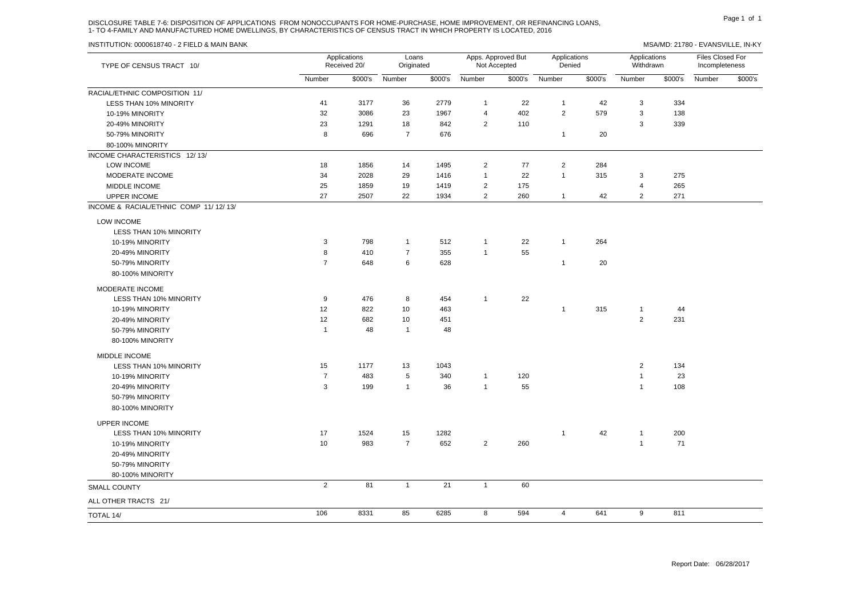# DISCLOSURE TABLE 7-6: DISPOSITION OF APPLICATIONS FROM NONOCCUPANTS FOR HOME-PURCHASE, HOME IMPROVEMENT, OR REFINANCING LOANS, 1- TO 4-FAMILY AND MANUFACTURED HOME DWELLINGS, BY CHARACTERISTICS OF CENSUS TRACT IN WHICH PROPERTY IS LOCATED, 2016

| TYPE OF CENSUS TRACT 10/              |                | Applications<br>Received 20/ | Loans<br>Originated |                 |                | Apps. Approved But<br>Not Accepted | Applications<br>Denied |         | Applications<br>Withdrawn |         | Files Closed For<br>Incompleteness |         |
|---------------------------------------|----------------|------------------------------|---------------------|-----------------|----------------|------------------------------------|------------------------|---------|---------------------------|---------|------------------------------------|---------|
|                                       | Number         | \$000's                      | Number              | \$000's         | Number         | \$000's                            | Number                 | \$000's | Number                    | \$000's | Number                             | \$000's |
| RACIAL/ETHNIC COMPOSITION 11/         |                |                              |                     |                 |                |                                    |                        |         |                           |         |                                    |         |
| <b>LESS THAN 10% MINORITY</b>         | 41             | 3177                         | 36                  | 2779            | $\mathbf{1}$   | 22                                 | $\mathbf{1}$           | 42      | 3                         | 334     |                                    |         |
| 10-19% MINORITY                       | 32             | 3086                         | 23                  | 1967            | 4              | 402                                | 2                      | 579     | 3                         | 138     |                                    |         |
| 20-49% MINORITY                       | 23             | 1291                         | 18                  | 842             | $\overline{2}$ | 110                                |                        |         | 3                         | 339     |                                    |         |
| 50-79% MINORITY                       | 8              | 696                          | $\overline{7}$      | 676             |                |                                    | $\mathbf{1}$           | 20      |                           |         |                                    |         |
| 80-100% MINORITY                      |                |                              |                     |                 |                |                                    |                        |         |                           |         |                                    |         |
| INCOME CHARACTERISTICS 12/13/         |                |                              |                     |                 |                |                                    |                        |         |                           |         |                                    |         |
| LOW INCOME                            | 18             | 1856                         | 14                  | 1495            | $\overline{2}$ | 77                                 | $\sqrt{2}$             | 284     |                           |         |                                    |         |
| MODERATE INCOME                       | 34             | 2028                         | 29                  | 1416            | $\mathbf{1}$   | 22                                 | $\mathbf{1}$           | 315     | 3                         | 275     |                                    |         |
| MIDDLE INCOME                         | 25             | 1859                         | 19                  | 1419            | $\overline{2}$ | 175                                |                        |         | $\overline{4}$            | 265     |                                    |         |
| <b>UPPER INCOME</b>                   | 27             | 2507                         | 22                  | 1934            | $\overline{2}$ | 260                                | $\mathbf{1}$           | 42      | 2                         | 271     |                                    |         |
| INCOME & RACIAL/ETHNIC COMP 11/12/13/ |                |                              |                     |                 |                |                                    |                        |         |                           |         |                                    |         |
| LOW INCOME                            |                |                              |                     |                 |                |                                    |                        |         |                           |         |                                    |         |
| LESS THAN 10% MINORITY                |                |                              |                     |                 |                |                                    |                        |         |                           |         |                                    |         |
| 10-19% MINORITY                       | 3              | 798                          | $\overline{1}$      | 512             | $\mathbf{1}$   | 22                                 | $\mathbf{1}$           | 264     |                           |         |                                    |         |
| 20-49% MINORITY                       | 8              | 410                          | $\overline{7}$      | 355             | $\mathbf{1}$   | 55                                 |                        |         |                           |         |                                    |         |
| 50-79% MINORITY                       | $\overline{7}$ | 648                          | 6                   | 628             |                |                                    | $\mathbf{1}$           | 20      |                           |         |                                    |         |
| 80-100% MINORITY                      |                |                              |                     |                 |                |                                    |                        |         |                           |         |                                    |         |
| MODERATE INCOME                       |                |                              |                     |                 |                |                                    |                        |         |                           |         |                                    |         |
| LESS THAN 10% MINORITY                | 9              | 476                          | 8                   | 454             | $\mathbf{1}$   | 22                                 |                        |         |                           |         |                                    |         |
| 10-19% MINORITY                       | 12             | 822                          | 10                  | 463             |                |                                    | $\mathbf{1}$           | 315     | $\mathbf{1}$              | 44      |                                    |         |
| 20-49% MINORITY                       | 12             | 682                          | 10                  | 451             |                |                                    |                        |         | $\overline{2}$            | 231     |                                    |         |
| 50-79% MINORITY                       | $\overline{1}$ | 48                           | $\overline{1}$      | 48              |                |                                    |                        |         |                           |         |                                    |         |
| 80-100% MINORITY                      |                |                              |                     |                 |                |                                    |                        |         |                           |         |                                    |         |
| <b>MIDDLE INCOME</b>                  |                |                              |                     |                 |                |                                    |                        |         |                           |         |                                    |         |
| LESS THAN 10% MINORITY                | 15             | 1177                         | 13                  | 1043            |                |                                    |                        |         | $\overline{2}$            | 134     |                                    |         |
| 10-19% MINORITY                       | $\overline{7}$ | 483                          | 5                   | 340             | $\mathbf{1}$   | 120                                |                        |         | $\overline{1}$            | 23      |                                    |         |
| 20-49% MINORITY                       | 3              | 199                          | $\overline{1}$      | 36              | $\mathbf{1}$   | 55                                 |                        |         | $\mathbf{1}$              | 108     |                                    |         |
| 50-79% MINORITY                       |                |                              |                     |                 |                |                                    |                        |         |                           |         |                                    |         |
| 80-100% MINORITY                      |                |                              |                     |                 |                |                                    |                        |         |                           |         |                                    |         |
| <b>UPPER INCOME</b>                   |                |                              |                     |                 |                |                                    |                        |         |                           |         |                                    |         |
| LESS THAN 10% MINORITY                | 17             | 1524                         | 15                  | 1282            |                |                                    | $\overline{1}$         | 42      | $\overline{1}$            | 200     |                                    |         |
| 10-19% MINORITY                       | 10             | 983                          | $\overline{7}$      | 652             | $\overline{2}$ | 260                                |                        |         | $\mathbf{1}$              | 71      |                                    |         |
| 20-49% MINORITY                       |                |                              |                     |                 |                |                                    |                        |         |                           |         |                                    |         |
| 50-79% MINORITY                       |                |                              |                     |                 |                |                                    |                        |         |                           |         |                                    |         |
| 80-100% MINORITY                      |                |                              |                     |                 |                |                                    |                        |         |                           |         |                                    |         |
| <b>SMALL COUNTY</b>                   | $\overline{2}$ | 81                           | $\mathbf{1}$        | $\overline{21}$ | $\mathbf{1}$   | 60                                 |                        |         |                           |         |                                    |         |
| ALL OTHER TRACTS 21/                  |                |                              |                     |                 |                |                                    |                        |         |                           |         |                                    |         |
| TOTAL 14/                             | 106            | 8331                         | 85                  | 6285            | 8              | 594                                | $\overline{4}$         | 641     | 9                         | 811     |                                    |         |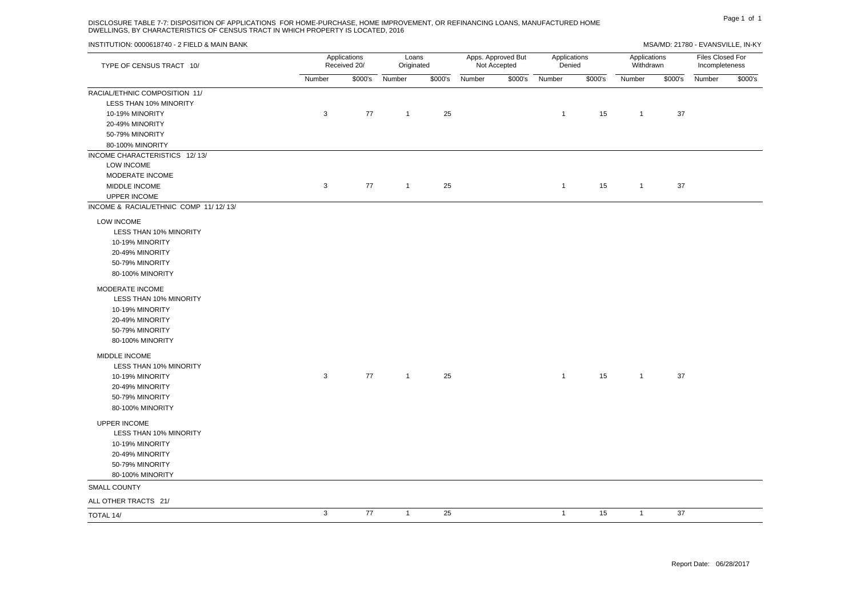### DISCLOSURE TABLE 7-7: DISPOSITION OF APPLICATIONS FOR HOME-PURCHASE, HOME IMPROVEMENT, OR REFINANCING LOANS, MANUFACTURED HOME DWELLINGS, BY CHARACTERISTICS OF CENSUS TRACT IN WHICH PROPERTY IS LOCATED, 2016

| TYPE OF CENSUS TRACT 10/                                                                                                 | Applications<br>Received 20/ | Loans<br>Originated |                | Apps. Approved But<br>Not Accepted |        | Applications<br>Denied |                | Applications<br>Withdrawn |                |         | Files Closed For<br>Incompleteness |         |
|--------------------------------------------------------------------------------------------------------------------------|------------------------------|---------------------|----------------|------------------------------------|--------|------------------------|----------------|---------------------------|----------------|---------|------------------------------------|---------|
|                                                                                                                          | Number                       |                     | \$000's Number | \$000's                            | Number |                        | \$000's Number | \$000's                   | Number         | \$000's | Number                             | \$000's |
| RACIAL/ETHNIC COMPOSITION 11/<br><b>LESS THAN 10% MINORITY</b>                                                           |                              |                     |                |                                    |        |                        |                |                           |                |         |                                    |         |
| 10-19% MINORITY                                                                                                          | $\mathbf{3}$                 | 77                  | $\overline{1}$ | 25                                 |        |                        | $\overline{1}$ | 15                        | $\overline{1}$ | 37      |                                    |         |
| 20-49% MINORITY                                                                                                          |                              |                     |                |                                    |        |                        |                |                           |                |         |                                    |         |
| 50-79% MINORITY                                                                                                          |                              |                     |                |                                    |        |                        |                |                           |                |         |                                    |         |
| 80-100% MINORITY                                                                                                         |                              |                     |                |                                    |        |                        |                |                           |                |         |                                    |         |
| INCOME CHARACTERISTICS 12/13/                                                                                            |                              |                     |                |                                    |        |                        |                |                           |                |         |                                    |         |
| LOW INCOME                                                                                                               |                              |                     |                |                                    |        |                        |                |                           |                |         |                                    |         |
| MODERATE INCOME                                                                                                          |                              |                     |                |                                    |        |                        |                |                           |                |         |                                    |         |
| MIDDLE INCOME                                                                                                            | $\mathbf{3}$                 | 77                  | $\overline{1}$ | 25                                 |        |                        | $\overline{1}$ | 15                        | $\overline{1}$ | 37      |                                    |         |
| <b>UPPER INCOME</b>                                                                                                      |                              |                     |                |                                    |        |                        |                |                           |                |         |                                    |         |
| INCOME & RACIAL/ETHNIC COMP 11/12/13/                                                                                    |                              |                     |                |                                    |        |                        |                |                           |                |         |                                    |         |
| <b>LOW INCOME</b><br>LESS THAN 10% MINORITY<br>10-19% MINORITY<br>20-49% MINORITY<br>50-79% MINORITY<br>80-100% MINORITY |                              |                     |                |                                    |        |                        |                |                           |                |         |                                    |         |
| MODERATE INCOME<br>LESS THAN 10% MINORITY<br>10-19% MINORITY<br>20-49% MINORITY<br>50-79% MINORITY<br>80-100% MINORITY   |                              |                     |                |                                    |        |                        |                |                           |                |         |                                    |         |
| MIDDLE INCOME<br>LESS THAN 10% MINORITY<br>10-19% MINORITY<br>20-49% MINORITY<br>50-79% MINORITY<br>80-100% MINORITY     | $\mathbf{3}$                 | 77                  | $\overline{1}$ | 25                                 |        |                        | $\overline{1}$ | 15                        | $\overline{1}$ | 37      |                                    |         |
| UPPER INCOME<br>LESS THAN 10% MINORITY<br>10-19% MINORITY<br>20-49% MINORITY<br>50-79% MINORITY<br>80-100% MINORITY      |                              |                     |                |                                    |        |                        |                |                           |                |         |                                    |         |
| <b>SMALL COUNTY</b>                                                                                                      |                              |                     |                |                                    |        |                        |                |                           |                |         |                                    |         |
| ALL OTHER TRACTS 21/                                                                                                     |                              |                     |                |                                    |        |                        |                |                           |                |         |                                    |         |
| TOTAL 14/                                                                                                                | $\mathbf{3}$                 | 77                  | $\overline{1}$ | 25                                 |        |                        | $\overline{1}$ | 15                        | $\overline{1}$ | 37      |                                    |         |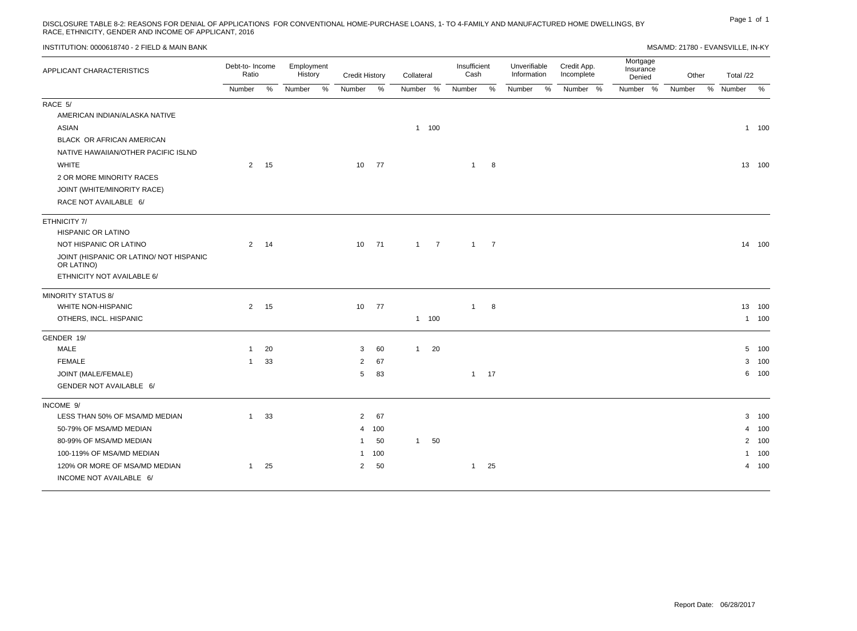# DISCLOSURE TABLE 8-2: REASONS FOR DENIAL OF APPLICATIONS FOR CONVENTIONAL HOME-PURCHASE LOANS, 1- TO 4-FAMILY AND MANUFACTURED HOME DWELLINGS, BY <sup>Page 1</sup> <sup>of 1</sup><br>RACE, ETHNICITY, GENDER AND INCOME OF APPLICANT, 2016

MSA/MD: 21780 - EVANSVILLE, IN-KY

| APPLICANT CHARACTERISTICS                             | Debt-to- Income<br>Ratio |      | Employment<br>History |      | <b>Credit History</b> |       | Collateral |             | Insufficient<br>Unverifiable<br>Cash<br>Information |              | Mortgage<br>Credit App.<br>Insurance<br>Incomplete<br>Denied |               | Other    |          | Total /22 |   |        |        |
|-------------------------------------------------------|--------------------------|------|-----------------------|------|-----------------------|-------|------------|-------------|-----------------------------------------------------|--------------|--------------------------------------------------------------|---------------|----------|----------|-----------|---|--------|--------|
|                                                       | Number                   | %    | Number                | $\%$ | Number                | %     | Number %   |             | Number                                              | $\%$         | Number                                                       | $\frac{0}{0}$ | Number % | Number % | Number    | % | Number | $\%$   |
| RACE 5/                                               |                          |      |                       |      |                       |       |            |             |                                                     |              |                                                              |               |          |          |           |   |        |        |
| AMERICAN INDIAN/ALASKA NATIVE                         |                          |      |                       |      |                       |       |            |             |                                                     |              |                                                              |               |          |          |           |   |        |        |
| <b>ASIAN</b>                                          |                          |      |                       |      |                       |       |            | 1 100       |                                                     |              |                                                              |               |          |          |           |   |        | 1 100  |
| BLACK OR AFRICAN AMERICAN                             |                          |      |                       |      |                       |       |            |             |                                                     |              |                                                              |               |          |          |           |   |        |        |
| NATIVE HAWAIIAN/OTHER PACIFIC ISLND                   |                          |      |                       |      |                       |       |            |             |                                                     |              |                                                              |               |          |          |           |   |        |        |
| <b>WHITE</b>                                          |                          | 2 15 |                       |      |                       | 10 77 |            |             | $\overline{1}$                                      | 8            |                                                              |               |          |          |           |   |        | 13 100 |
| 2 OR MORE MINORITY RACES                              |                          |      |                       |      |                       |       |            |             |                                                     |              |                                                              |               |          |          |           |   |        |        |
| JOINT (WHITE/MINORITY RACE)                           |                          |      |                       |      |                       |       |            |             |                                                     |              |                                                              |               |          |          |           |   |        |        |
| RACE NOT AVAILABLE 6/                                 |                          |      |                       |      |                       |       |            |             |                                                     |              |                                                              |               |          |          |           |   |        |        |
| ETHNICITY 7/                                          |                          |      |                       |      |                       |       |            |             |                                                     |              |                                                              |               |          |          |           |   |        |        |
| HISPANIC OR LATINO                                    |                          |      |                       |      |                       |       |            |             |                                                     |              |                                                              |               |          |          |           |   |        |        |
| NOT HISPANIC OR LATINO                                | $\overline{2}$           | 14   |                       |      | 10 <sup>1</sup>       | 71    |            | $1 \quad 7$ |                                                     | $1 \quad 7$  |                                                              |               |          |          |           |   |        | 14 100 |
| JOINT (HISPANIC OR LATINO/ NOT HISPANIC<br>OR LATINO) |                          |      |                       |      |                       |       |            |             |                                                     |              |                                                              |               |          |          |           |   |        |        |
| ETHNICITY NOT AVAILABLE 6/                            |                          |      |                       |      |                       |       |            |             |                                                     |              |                                                              |               |          |          |           |   |        |        |
| <b>MINORITY STATUS 8/</b>                             |                          |      |                       |      |                       |       |            |             |                                                     |              |                                                              |               |          |          |           |   |        |        |
| WHITE NON-HISPANIC                                    | $\overline{2}$           | 15   |                       |      | 10 <sup>1</sup>       | 77    |            |             | $\mathbf{1}$                                        | 8            |                                                              |               |          |          |           |   |        | 13 100 |
| OTHERS, INCL. HISPANIC                                |                          |      |                       |      |                       |       |            | 1 100       |                                                     |              |                                                              |               |          |          |           |   |        | 1 100  |
| GENDER 19/                                            |                          |      |                       |      |                       |       |            |             |                                                     |              |                                                              |               |          |          |           |   |        |        |
| MALE                                                  | $\overline{1}$           | 20   |                       |      | 3                     | 60    | 1          | 20          |                                                     |              |                                                              |               |          |          |           |   |        | 5 100  |
| <b>FEMALE</b>                                         | $\overline{1}$           | 33   |                       |      | $\overline{2}$        | 67    |            |             |                                                     |              |                                                              |               |          |          |           |   |        | 3 100  |
| JOINT (MALE/FEMALE)                                   |                          |      |                       |      | 5                     | 83    |            |             |                                                     | $1 \quad 17$ |                                                              |               |          |          |           |   |        | 6 100  |
| GENDER NOT AVAILABLE 6/                               |                          |      |                       |      |                       |       |            |             |                                                     |              |                                                              |               |          |          |           |   |        |        |
| INCOME 9/                                             |                          |      |                       |      |                       |       |            |             |                                                     |              |                                                              |               |          |          |           |   |        |        |
| LESS THAN 50% OF MSA/MD MEDIAN                        | $\overline{1}$           | 33   |                       |      | $\overline{2}$        | 67    |            |             |                                                     |              |                                                              |               |          |          |           |   |        | 3 100  |
| 50-79% OF MSA/MD MEDIAN                               |                          |      |                       |      |                       | 4 100 |            |             |                                                     |              |                                                              |               |          |          |           |   |        | 4 100  |
| 80-99% OF MSA/MD MEDIAN                               |                          |      |                       |      |                       | 50    | 1          | 50          |                                                     |              |                                                              |               |          |          |           |   |        | 2 100  |
| 100-119% OF MSA/MD MEDIAN                             |                          |      |                       |      |                       | 1 100 |            |             |                                                     |              |                                                              |               |          |          |           |   |        | 1 100  |
| 120% OR MORE OF MSA/MD MEDIAN                         | $\mathbf{1}$             | 25   |                       |      | $\overline{2}$        | 50    |            |             | $\mathbf{1}$                                        | 25           |                                                              |               |          |          |           |   |        | 4 100  |
| INCOME NOT AVAILABLE 6/                               |                          |      |                       |      |                       |       |            |             |                                                     |              |                                                              |               |          |          |           |   |        |        |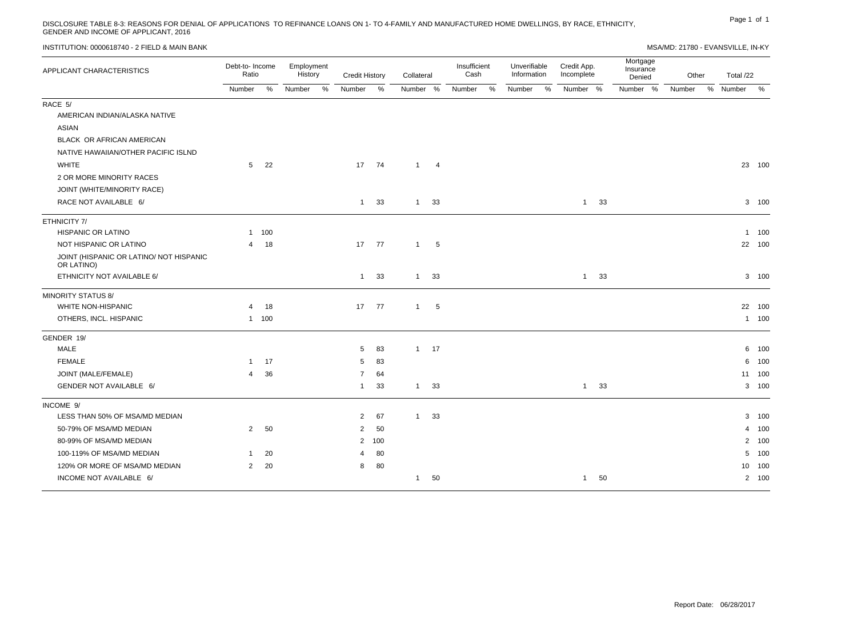DISCLOSURE TABLE 8-3: REASONS FOR DENIAL OF APPLICATIONS TO REFINANCE LOANS ON 1- TO 4-FAMILY AND MANUFACTURED HOME DWELLINGS, BY RACE, ETHNICITY, PARE AND INCOME OF APPLICANT, 2016<br>GENDER AND INCOME OF APPLICANT, 2016

| INSTITUTION: 0000618740 - 2 FIELD & MAIN BANK |  |  |  |
|-----------------------------------------------|--|--|--|
|-----------------------------------------------|--|--|--|

MSA/MD: 21780 - EVANSVILLE, IN-KY

| APPLICANT CHARACTERISTICS                             | Debt-to-Income<br>Ratio |       | Employment<br>History | <b>Credit History</b> |                 | Collateral   |                | Insufficient<br>Cash |   | Unverifiable<br>Information |   | Credit App.<br>Incomplete | Mortgage<br>Insurance<br>Denied | Other  |      | Total /22      |        |
|-------------------------------------------------------|-------------------------|-------|-----------------------|-----------------------|-----------------|--------------|----------------|----------------------|---|-----------------------------|---|---------------------------|---------------------------------|--------|------|----------------|--------|
|                                                       | Number                  | %     | Number                | %<br>Number           | %               | Number %     |                | Number               | % | Number                      | % | Number %                  | Number %                        | Number | $\%$ | Number         | $\%$   |
| RACE 5/                                               |                         |       |                       |                       |                 |              |                |                      |   |                             |   |                           |                                 |        |      |                |        |
| AMERICAN INDIAN/ALASKA NATIVE                         |                         |       |                       |                       |                 |              |                |                      |   |                             |   |                           |                                 |        |      |                |        |
| <b>ASIAN</b>                                          |                         |       |                       |                       |                 |              |                |                      |   |                             |   |                           |                                 |        |      |                |        |
| BLACK OR AFRICAN AMERICAN                             |                         |       |                       |                       |                 |              |                |                      |   |                             |   |                           |                                 |        |      |                |        |
| NATIVE HAWAIIAN/OTHER PACIFIC ISLND                   |                         |       |                       |                       |                 |              |                |                      |   |                             |   |                           |                                 |        |      |                |        |
| <b>WHITE</b>                                          | 5                       | 22    |                       |                       | 17 74           | $\mathbf{1}$ | $\overline{4}$ |                      |   |                             |   |                           |                                 |        |      |                | 23 100 |
| 2 OR MORE MINORITY RACES                              |                         |       |                       |                       |                 |              |                |                      |   |                             |   |                           |                                 |        |      |                |        |
| JOINT (WHITE/MINORITY RACE)                           |                         |       |                       |                       |                 |              |                |                      |   |                             |   |                           |                                 |        |      |                |        |
| RACE NOT AVAILABLE 6/                                 |                         |       |                       |                       | 33<br>$1 \quad$ | 1            | 33             |                      |   |                             |   | $1 \quad 33$              |                                 |        |      |                | 3 100  |
| ETHNICITY 7/                                          |                         |       |                       |                       |                 |              |                |                      |   |                             |   |                           |                                 |        |      |                |        |
| HISPANIC OR LATINO                                    | $\mathbf{1}$            | 100   |                       |                       |                 |              |                |                      |   |                             |   |                           |                                 |        |      |                | 1 100  |
| NOT HISPANIC OR LATINO                                | 4                       | 18    |                       | 17                    | 77              | $\mathbf{1}$ | 5              |                      |   |                             |   |                           |                                 |        |      |                | 22 100 |
| JOINT (HISPANIC OR LATINO/ NOT HISPANIC<br>OR LATINO) |                         |       |                       |                       |                 |              |                |                      |   |                             |   |                           |                                 |        |      |                |        |
| ETHNICITY NOT AVAILABLE 6/                            |                         |       |                       | 1                     | 33              | $\mathbf{1}$ | 33             |                      |   |                             |   | 33<br>$\mathbf{1}$        |                                 |        |      |                | 3 100  |
| <b>MINORITY STATUS 8/</b>                             |                         |       |                       |                       |                 |              |                |                      |   |                             |   |                           |                                 |        |      |                |        |
| WHITE NON-HISPANIC                                    | $\overline{4}$          | 18    |                       |                       | 17 77           | $\mathbf{1}$ | 5              |                      |   |                             |   |                           |                                 |        |      |                | 22 100 |
| OTHERS, INCL. HISPANIC                                |                         | 1 100 |                       |                       |                 |              |                |                      |   |                             |   |                           |                                 |        |      |                | 1 100  |
| GENDER 19/                                            |                         |       |                       |                       |                 |              |                |                      |   |                             |   |                           |                                 |        |      |                |        |
| MALE                                                  |                         |       |                       | 5                     | 83              |              | $1 \qquad 17$  |                      |   |                             |   |                           |                                 |        |      |                | 6 100  |
| <b>FEMALE</b>                                         | $\mathbf{1}$            | 17    |                       | 5                     | 83              |              |                |                      |   |                             |   |                           |                                 |        |      | 6              | 100    |
| JOINT (MALE/FEMALE)                                   | $\overline{4}$          | 36    |                       | 7                     | 64              |              |                |                      |   |                             |   |                           |                                 |        |      | 11             | 100    |
| GENDER NOT AVAILABLE 6/                               |                         |       |                       | $\mathbf{1}$          | 33              | $\mathbf{1}$ | 33             |                      |   |                             |   | $\mathbf{1}$<br>33        |                                 |        |      |                | 3 100  |
| INCOME 9/                                             |                         |       |                       |                       |                 |              |                |                      |   |                             |   |                           |                                 |        |      |                |        |
| LESS THAN 50% OF MSA/MD MEDIAN                        |                         |       |                       | $\overline{2}$        | 67              | $\mathbf{1}$ | 33             |                      |   |                             |   |                           |                                 |        |      |                | 3 100  |
| 50-79% OF MSA/MD MEDIAN                               | $\overline{2}$          | 50    |                       | 2                     | 50              |              |                |                      |   |                             |   |                           |                                 |        |      | 4              | 100    |
| 80-99% OF MSA/MD MEDIAN                               |                         |       |                       | 2                     | 100             |              |                |                      |   |                             |   |                           |                                 |        |      | $\overline{2}$ | 100    |
| 100-119% OF MSA/MD MEDIAN                             | 1                       | 20    |                       | 4                     | 80              |              |                |                      |   |                             |   |                           |                                 |        |      | 5              | 100    |
| 120% OR MORE OF MSA/MD MEDIAN                         | $\overline{2}$          | 20    |                       | 8                     | 80              |              |                |                      |   |                             |   |                           |                                 |        |      | 10             | 100    |
| INCOME NOT AVAILABLE 6/                               |                         |       |                       |                       |                 | $\mathbf{1}$ | 50             |                      |   |                             |   | 50<br>$\mathbf{1}$        |                                 |        |      |                | 2 100  |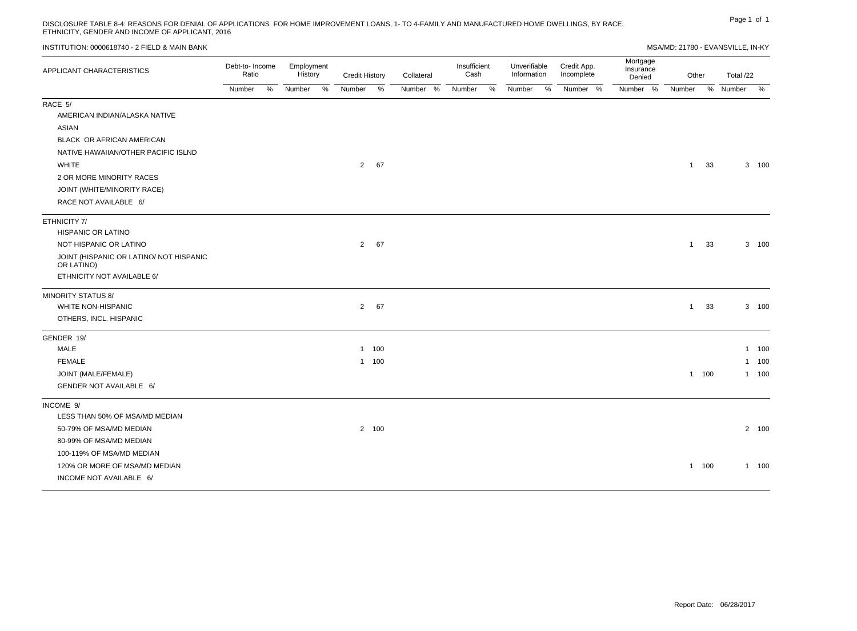# Page 1 of 1 DISCLOSURE TABLE 8-4: REASONS FOR DENIAL OF APPLICATIONS FOR HOME IMPROVEMENT LOANS, 1- TO 4-FAMILY AND MANUFACTURED HOME DWELLINGS, BY RACE, ETHNICITY, GENDER AND INCOME OF APPLICANT, 2016

| INSTITUTION: 0000618740 - 2 FIELD & MAIN BANK         |                          |   |                       |      |                       |       |            |                      |   |                             |   |                           |                                 | MSA/MD: 21780 - EVANSVILLE, IN-KY |       |           |       |  |
|-------------------------------------------------------|--------------------------|---|-----------------------|------|-----------------------|-------|------------|----------------------|---|-----------------------------|---|---------------------------|---------------------------------|-----------------------------------|-------|-----------|-------|--|
| APPLICANT CHARACTERISTICS                             | Debt-to- Income<br>Ratio |   | Employment<br>History |      | <b>Credit History</b> |       | Collateral | Insufficient<br>Cash |   | Unverifiable<br>Information |   | Credit App.<br>Incomplete | Mortgage<br>Insurance<br>Denied | Other                             |       | Total /22 |       |  |
|                                                       | Number                   | % | Number                | $\%$ | Number                | %     | Number %   | Number               | % | Number                      | % | Number %                  | Number %                        | Number                            |       | % Number  | %     |  |
| RACE 5/                                               |                          |   |                       |      |                       |       |            |                      |   |                             |   |                           |                                 |                                   |       |           |       |  |
| AMERICAN INDIAN/ALASKA NATIVE                         |                          |   |                       |      |                       |       |            |                      |   |                             |   |                           |                                 |                                   |       |           |       |  |
| ASIAN                                                 |                          |   |                       |      |                       |       |            |                      |   |                             |   |                           |                                 |                                   |       |           |       |  |
| BLACK OR AFRICAN AMERICAN                             |                          |   |                       |      |                       |       |            |                      |   |                             |   |                           |                                 |                                   |       |           |       |  |
| NATIVE HAWAIIAN/OTHER PACIFIC ISLND                   |                          |   |                       |      |                       |       |            |                      |   |                             |   |                           |                                 |                                   |       |           |       |  |
| <b>WHITE</b>                                          |                          |   |                       |      |                       | 2 67  |            |                      |   |                             |   |                           |                                 | 1                                 | 33    |           | 3 100 |  |
| 2 OR MORE MINORITY RACES                              |                          |   |                       |      |                       |       |            |                      |   |                             |   |                           |                                 |                                   |       |           |       |  |
| JOINT (WHITE/MINORITY RACE)                           |                          |   |                       |      |                       |       |            |                      |   |                             |   |                           |                                 |                                   |       |           |       |  |
| RACE NOT AVAILABLE 6/                                 |                          |   |                       |      |                       |       |            |                      |   |                             |   |                           |                                 |                                   |       |           |       |  |
| ETHNICITY 7/                                          |                          |   |                       |      |                       |       |            |                      |   |                             |   |                           |                                 |                                   |       |           |       |  |
| <b>HISPANIC OR LATINO</b>                             |                          |   |                       |      |                       |       |            |                      |   |                             |   |                           |                                 |                                   |       |           |       |  |
| NOT HISPANIC OR LATINO                                |                          |   |                       |      |                       | 2 67  |            |                      |   |                             |   |                           |                                 | 1                                 | 33    |           | 3 100 |  |
| JOINT (HISPANIC OR LATINO/ NOT HISPANIC<br>OR LATINO) |                          |   |                       |      |                       |       |            |                      |   |                             |   |                           |                                 |                                   |       |           |       |  |
| ETHNICITY NOT AVAILABLE 6/                            |                          |   |                       |      |                       |       |            |                      |   |                             |   |                           |                                 |                                   |       |           |       |  |
| <b>MINORITY STATUS 8/</b>                             |                          |   |                       |      |                       |       |            |                      |   |                             |   |                           |                                 |                                   |       |           |       |  |
| WHITE NON-HISPANIC                                    |                          |   |                       |      |                       | 2 67  |            |                      |   |                             |   |                           |                                 | 1                                 | 33    |           | 3 100 |  |
| OTHERS, INCL. HISPANIC                                |                          |   |                       |      |                       |       |            |                      |   |                             |   |                           |                                 |                                   |       |           |       |  |
| GENDER 19/                                            |                          |   |                       |      |                       |       |            |                      |   |                             |   |                           |                                 |                                   |       |           |       |  |
| MALE                                                  |                          |   |                       |      |                       | 1 100 |            |                      |   |                             |   |                           |                                 |                                   |       |           | 1 100 |  |
| <b>FEMALE</b>                                         |                          |   |                       |      |                       | 1 100 |            |                      |   |                             |   |                           |                                 |                                   |       |           | 1 100 |  |
| JOINT (MALE/FEMALE)                                   |                          |   |                       |      |                       |       |            |                      |   |                             |   |                           |                                 |                                   | 1 100 |           | 1 100 |  |
| GENDER NOT AVAILABLE 6/                               |                          |   |                       |      |                       |       |            |                      |   |                             |   |                           |                                 |                                   |       |           |       |  |
| INCOME 9/                                             |                          |   |                       |      |                       |       |            |                      |   |                             |   |                           |                                 |                                   |       |           |       |  |
| LESS THAN 50% OF MSA/MD MEDIAN                        |                          |   |                       |      |                       |       |            |                      |   |                             |   |                           |                                 |                                   |       |           |       |  |
| 50-79% OF MSA/MD MEDIAN                               |                          |   |                       |      |                       | 2 100 |            |                      |   |                             |   |                           |                                 |                                   |       |           | 2 100 |  |
| 80-99% OF MSA/MD MEDIAN                               |                          |   |                       |      |                       |       |            |                      |   |                             |   |                           |                                 |                                   |       |           |       |  |
| 100-119% OF MSA/MD MEDIAN                             |                          |   |                       |      |                       |       |            |                      |   |                             |   |                           |                                 |                                   |       |           |       |  |
| 120% OR MORE OF MSA/MD MEDIAN                         |                          |   |                       |      |                       |       |            |                      |   |                             |   |                           |                                 |                                   | 1 100 |           | 1 100 |  |
| INCOME NOT AVAILABLE 6/                               |                          |   |                       |      |                       |       |            |                      |   |                             |   |                           |                                 |                                   |       |           |       |  |

Report Date: 06/28/2017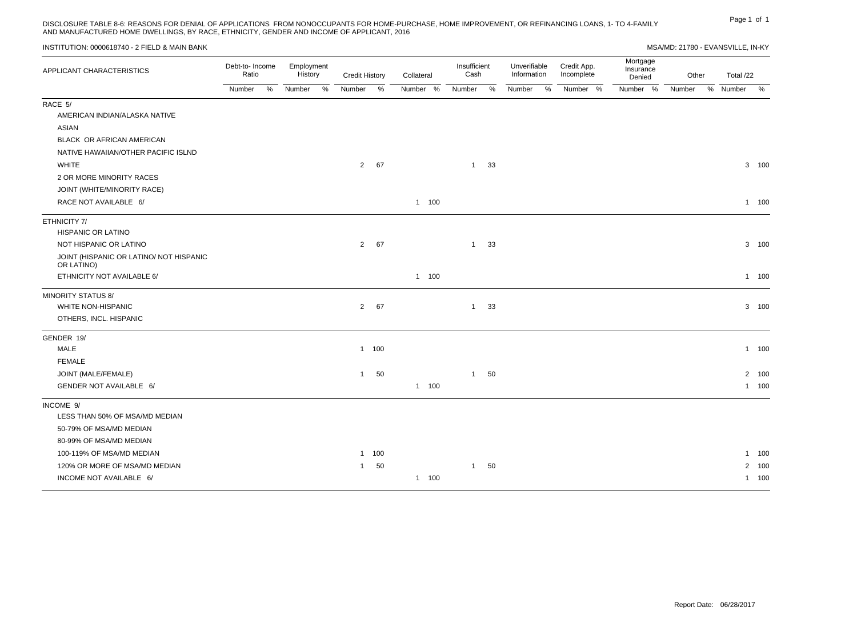Page 1 of 1 DISCLOSURE TABLE 8-6: REASONS FOR DENIAL OF APPLICATIONS FROM NONOCCUPANTS FOR HOME-PURCHASE, HOME IMPROVEMENT, OR REFINANCING LOANS, 1- TO 4-FAMILY AND MANUFACTURED HOME DWELLINGS, BY RACE, ETHNICITY, GENDER AND INCOME OF APPLICANT, 2016

Total /22 Number %

1 100

1 100

3 100

3 100

#### INSTITUTION: 0000618740 - 2 FIELD & MAIN BANK MSA/MD: 21780 - EVANSVILLE, IN-KY APPLICANT CHARACTERISTICS<br>Petic Potio Ratio Number % Employment **History** Number % Credit History Number % Collateral Number % Insufficient Cash Number % Unverifiable Information Number % Credit App. Incomplete Number % Mortgage Insurance Denied Number % Other **Number** RACE 5/ AMERICAN INDIAN/ALASKA NATIVE ASIAN BLACK OR AFRICAN AMERICAN NATIVE HAWAIIAN/OTHER PACIFIC ISLND WHITE 2 OR MORE MINORITY RACES JOINT (WHITE/MINORITY RACE) RACE NOT AVAILABLE 6/ 2 67 1 100  $1 \quad 33$  3 ETHNICITY 7/ HISPANIC OR LATINO NOT HISPANIC OR LATINO JOINT (HISPANIC OR LATINO/ NOT HISPANIC OR LATINO) ETHNICITY NOT AVAILABLE 6/ 2 67 1 100  $1 \quad 33$  3 MINORITY STATUS 8/ WHITE NON-HISPANIC 2 67 3 100

| 1 100   |     |    | 1 100 |
|---------|-----|----|-------|
|         |     |    |       |
| 50<br>1 |     | 50 | 2 100 |
|         | 100 |    | 100   |
|         |     |    |       |
|         |     |    |       |
|         |     |    |       |
|         |     |    |       |
|         |     |    |       |
| 1 100   |     |    | 1 100 |
| 50<br>1 |     | 50 | 2 100 |
|         |     |    |       |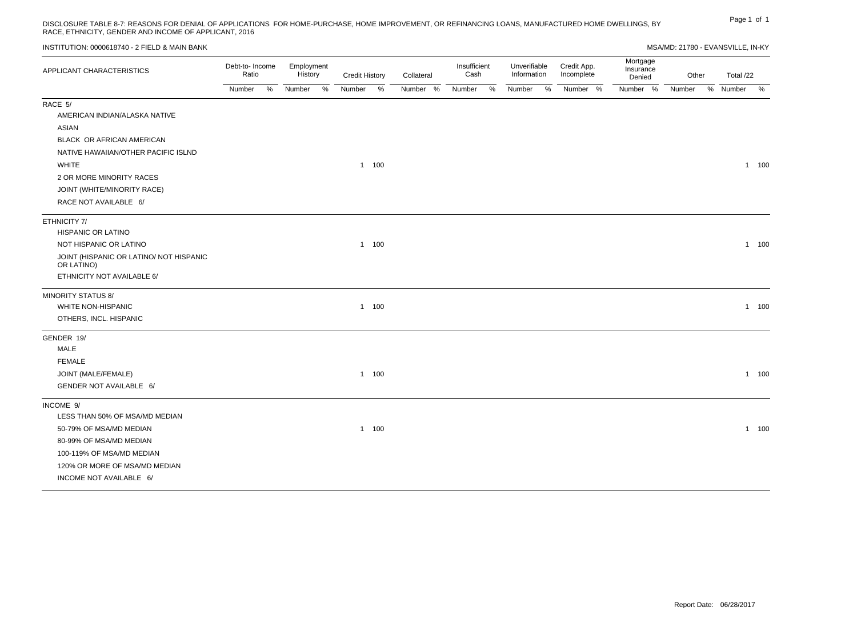# Page 1 of 1 DISCLOSURE TABLE 8-7: REASONS FOR DENIAL OF APPLICATIONS FOR HOME-PURCHASE, HOME IMPROVEMENT, OR REFINANCING LOANS, MANUFACTURED HOME DWELLINGS, BY RACE, ETHNICITY, GENDER AND INCOME OF APPLICANT, 2016

| INSTITUTION: 0000618740 - 2 FIELD & MAIN BANK         |                          |   |                       |      |                       |       |            |                      |      |                             |   |                           |                                 | MSA/MD: 21780 - EVANSVILLE, IN-KY |           |         |
|-------------------------------------------------------|--------------------------|---|-----------------------|------|-----------------------|-------|------------|----------------------|------|-----------------------------|---|---------------------------|---------------------------------|-----------------------------------|-----------|---------|
| APPLICANT CHARACTERISTICS                             | Debt-to- Income<br>Ratio |   | Employment<br>History |      | <b>Credit History</b> |       | Collateral | Insufficient<br>Cash |      | Unverifiable<br>Information |   | Credit App.<br>Incomplete | Mortgage<br>Insurance<br>Denied | Other                             | Total /22 |         |
|                                                       | Number                   | % | Number                | $\%$ | Number                | %     | Number %   | Number               | $\%$ | Number                      | % | Number %                  | Number %                        | Number                            | % Number  | %       |
| RACE 5/                                               |                          |   |                       |      |                       |       |            |                      |      |                             |   |                           |                                 |                                   |           |         |
| AMERICAN INDIAN/ALASKA NATIVE                         |                          |   |                       |      |                       |       |            |                      |      |                             |   |                           |                                 |                                   |           |         |
| <b>ASIAN</b>                                          |                          |   |                       |      |                       |       |            |                      |      |                             |   |                           |                                 |                                   |           |         |
| BLACK OR AFRICAN AMERICAN                             |                          |   |                       |      |                       |       |            |                      |      |                             |   |                           |                                 |                                   |           |         |
| NATIVE HAWAIIAN/OTHER PACIFIC ISLND                   |                          |   |                       |      |                       |       |            |                      |      |                             |   |                           |                                 |                                   |           |         |
| <b>WHITE</b>                                          |                          |   |                       |      |                       | 1 100 |            |                      |      |                             |   |                           |                                 |                                   |           | 1 100   |
| 2 OR MORE MINORITY RACES                              |                          |   |                       |      |                       |       |            |                      |      |                             |   |                           |                                 |                                   |           |         |
| JOINT (WHITE/MINORITY RACE)                           |                          |   |                       |      |                       |       |            |                      |      |                             |   |                           |                                 |                                   |           |         |
| RACE NOT AVAILABLE 6/                                 |                          |   |                       |      |                       |       |            |                      |      |                             |   |                           |                                 |                                   |           |         |
| ETHNICITY 7/                                          |                          |   |                       |      |                       |       |            |                      |      |                             |   |                           |                                 |                                   |           |         |
| HISPANIC OR LATINO                                    |                          |   |                       |      |                       |       |            |                      |      |                             |   |                           |                                 |                                   |           |         |
| NOT HISPANIC OR LATINO                                |                          |   |                       |      |                       | 1 100 |            |                      |      |                             |   |                           |                                 |                                   |           | $1 100$ |
| JOINT (HISPANIC OR LATINO/ NOT HISPANIC<br>OR LATINO) |                          |   |                       |      |                       |       |            |                      |      |                             |   |                           |                                 |                                   |           |         |
| ETHNICITY NOT AVAILABLE 6/                            |                          |   |                       |      |                       |       |            |                      |      |                             |   |                           |                                 |                                   |           |         |
| <b>MINORITY STATUS 8/</b>                             |                          |   |                       |      |                       |       |            |                      |      |                             |   |                           |                                 |                                   |           |         |
| WHITE NON-HISPANIC                                    |                          |   |                       |      |                       | 1 100 |            |                      |      |                             |   |                           |                                 |                                   |           | $1 100$ |
| OTHERS, INCL. HISPANIC                                |                          |   |                       |      |                       |       |            |                      |      |                             |   |                           |                                 |                                   |           |         |
| GENDER 19/                                            |                          |   |                       |      |                       |       |            |                      |      |                             |   |                           |                                 |                                   |           |         |
| MALE                                                  |                          |   |                       |      |                       |       |            |                      |      |                             |   |                           |                                 |                                   |           |         |
| <b>FEMALE</b>                                         |                          |   |                       |      |                       |       |            |                      |      |                             |   |                           |                                 |                                   |           |         |
| JOINT (MALE/FEMALE)                                   |                          |   |                       |      |                       | 1 100 |            |                      |      |                             |   |                           |                                 |                                   |           | 1 100   |
| GENDER NOT AVAILABLE 6/                               |                          |   |                       |      |                       |       |            |                      |      |                             |   |                           |                                 |                                   |           |         |
| INCOME 9/                                             |                          |   |                       |      |                       |       |            |                      |      |                             |   |                           |                                 |                                   |           |         |
| LESS THAN 50% OF MSA/MD MEDIAN                        |                          |   |                       |      |                       |       |            |                      |      |                             |   |                           |                                 |                                   |           |         |
| 50-79% OF MSA/MD MEDIAN                               |                          |   |                       |      |                       | 1 100 |            |                      |      |                             |   |                           |                                 |                                   |           | $1 100$ |
| 80-99% OF MSA/MD MEDIAN                               |                          |   |                       |      |                       |       |            |                      |      |                             |   |                           |                                 |                                   |           |         |
| 100-119% OF MSA/MD MEDIAN                             |                          |   |                       |      |                       |       |            |                      |      |                             |   |                           |                                 |                                   |           |         |
| 120% OR MORE OF MSA/MD MEDIAN                         |                          |   |                       |      |                       |       |            |                      |      |                             |   |                           |                                 |                                   |           |         |
| INCOME NOT AVAILABLE 6/                               |                          |   |                       |      |                       |       |            |                      |      |                             |   |                           |                                 |                                   |           |         |
|                                                       |                          |   |                       |      |                       |       |            |                      |      |                             |   |                           |                                 |                                   |           |         |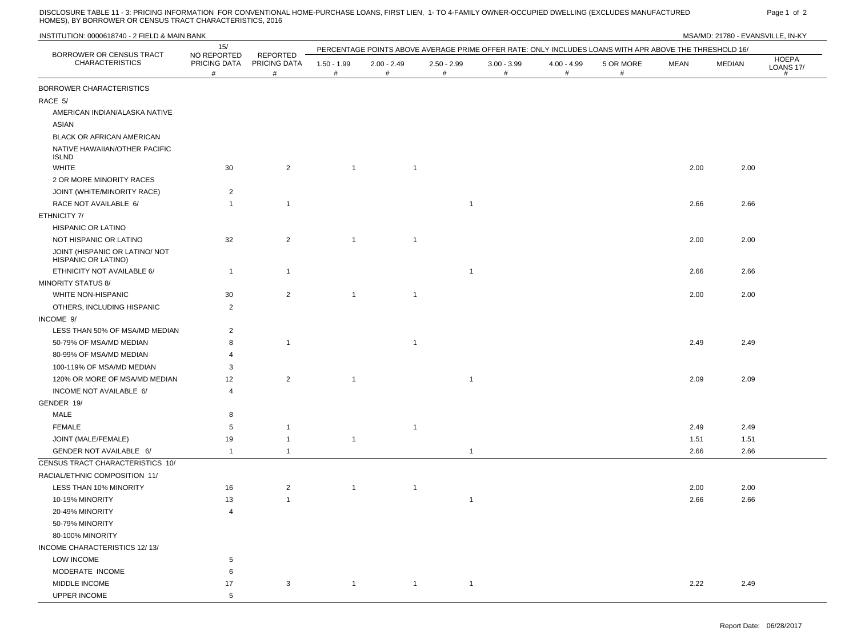DISCLOSURE TABLE 11 - 3: PRICING INFORMATION FOR CONVENTIONAL HOME-PURCHASE LOANS, FIRST LIEN, 1- TO 4-FAMILY OWNER-OCCUPIED DWELLING (EXCLUDES MANUFACTURED Page 1 of 2<br>HOMES), BY BORROWER OR CENSUS TRACT CHAR

UPPER INCOME 5

| INSTITUTION: 0000618740 - 2 FIELD & MAIN BANK         |                                  |                               |                    |                    |                              |                       |                    |                                                                                                        |             | MSA/MD: 21780 - EVANSVILLE, IN-KY |                                       |
|-------------------------------------------------------|----------------------------------|-------------------------------|--------------------|--------------------|------------------------------|-----------------------|--------------------|--------------------------------------------------------------------------------------------------------|-------------|-----------------------------------|---------------------------------------|
| BORROWER OR CENSUS TRACT                              | 15/                              |                               |                    |                    |                              |                       |                    | PERCENTAGE POINTS ABOVE AVERAGE PRIME OFFER RATE: ONLY INCLUDES LOANS WITH APR ABOVE THE THRESHOLD 16/ |             |                                   |                                       |
| <b>CHARACTERISTICS</b>                                | NO REPORTED<br>PRICING DATA<br># | REPORTED<br>PRICING DATA<br># | $1.50 - 1.99$<br># | $2.00 - 2.49$<br># | $2.50 - 2.99$<br>#           | $3.00 - 3.99$<br>$\#$ | $4.00 - 4.99$<br># | 5 OR MORE<br>#                                                                                         | <b>MEAN</b> | MEDIAN                            | <b>HOEPA</b><br><b>LOANS 17/</b><br># |
| BORROWER CHARACTERISTICS                              |                                  |                               |                    |                    |                              |                       |                    |                                                                                                        |             |                                   |                                       |
| RACE 5/                                               |                                  |                               |                    |                    |                              |                       |                    |                                                                                                        |             |                                   |                                       |
| AMERICAN INDIAN/ALASKA NATIVE                         |                                  |                               |                    |                    |                              |                       |                    |                                                                                                        |             |                                   |                                       |
| <b>ASIAN</b>                                          |                                  |                               |                    |                    |                              |                       |                    |                                                                                                        |             |                                   |                                       |
| <b>BLACK OR AFRICAN AMERICAN</b>                      |                                  |                               |                    |                    |                              |                       |                    |                                                                                                        |             |                                   |                                       |
| NATIVE HAWAIIAN/OTHER PACIFIC<br><b>ISLND</b>         |                                  |                               |                    |                    |                              |                       |                    |                                                                                                        |             |                                   |                                       |
| <b>WHITE</b>                                          | 30                               | $\overline{2}$                | $\overline{1}$     |                    | $\overline{1}$               |                       |                    |                                                                                                        | 2.00        | 2.00                              |                                       |
| 2 OR MORE MINORITY RACES                              |                                  |                               |                    |                    |                              |                       |                    |                                                                                                        |             |                                   |                                       |
| JOINT (WHITE/MINORITY RACE)                           | $\overline{c}$                   |                               |                    |                    |                              |                       |                    |                                                                                                        |             |                                   |                                       |
| RACE NOT AVAILABLE 6/                                 | $\overline{1}$                   | $\mathbf{1}$                  |                    |                    | $\overline{1}$               |                       |                    |                                                                                                        | 2.66        | 2.66                              |                                       |
| ETHNICITY 7/                                          |                                  |                               |                    |                    |                              |                       |                    |                                                                                                        |             |                                   |                                       |
| HISPANIC OR LATINO                                    |                                  |                               |                    |                    |                              |                       |                    |                                                                                                        |             |                                   |                                       |
| NOT HISPANIC OR LATINO                                | 32                               | 2                             | $\overline{1}$     | $\overline{1}$     |                              |                       |                    |                                                                                                        | 2.00        | 2.00                              |                                       |
| JOINT (HISPANIC OR LATINO/ NOT<br>HISPANIC OR LATINO) |                                  |                               |                    |                    |                              |                       |                    |                                                                                                        |             |                                   |                                       |
| ETHNICITY NOT AVAILABLE 6/                            | $\overline{1}$                   | $\mathbf{1}$                  |                    |                    | $\overline{1}$               |                       |                    |                                                                                                        | 2.66        | 2.66                              |                                       |
| <b>MINORITY STATUS 8/</b>                             |                                  |                               |                    |                    |                              |                       |                    |                                                                                                        |             |                                   |                                       |
| WHITE NON-HISPANIC                                    | 30                               | $\overline{2}$                | $\overline{1}$     | $\overline{1}$     |                              |                       |                    |                                                                                                        | 2.00        | 2.00                              |                                       |
| OTHERS, INCLUDING HISPANIC                            | $\overline{2}$                   |                               |                    |                    |                              |                       |                    |                                                                                                        |             |                                   |                                       |
| INCOME 9/                                             |                                  |                               |                    |                    |                              |                       |                    |                                                                                                        |             |                                   |                                       |
| LESS THAN 50% OF MSA/MD MEDIAN                        | $\overline{2}$                   |                               |                    |                    |                              |                       |                    |                                                                                                        |             |                                   |                                       |
| 50-79% OF MSA/MD MEDIAN                               | 8                                | $\mathbf{1}$                  |                    | $\overline{1}$     |                              |                       |                    |                                                                                                        | 2.49        | 2.49                              |                                       |
| 80-99% OF MSA/MD MEDIAN                               | $\overline{4}$                   |                               |                    |                    |                              |                       |                    |                                                                                                        |             |                                   |                                       |
| 100-119% OF MSA/MD MEDIAN                             | 3                                |                               |                    |                    |                              |                       |                    |                                                                                                        |             |                                   |                                       |
| 120% OR MORE OF MSA/MD MEDIAN                         | 12                               | $\overline{2}$                | $\overline{1}$     |                    | $\overline{1}$               |                       |                    |                                                                                                        | 2.09        | 2.09                              |                                       |
| INCOME NOT AVAILABLE 6/                               | $\overline{4}$                   |                               |                    |                    |                              |                       |                    |                                                                                                        |             |                                   |                                       |
| GENDER 19/                                            |                                  |                               |                    |                    |                              |                       |                    |                                                                                                        |             |                                   |                                       |
| MALE                                                  | 8                                |                               |                    |                    |                              |                       |                    |                                                                                                        |             |                                   |                                       |
| <b>FEMALE</b>                                         | 5                                | $\mathbf{1}$                  |                    |                    | $\overline{1}$               |                       |                    |                                                                                                        | 2.49        | 2.49                              |                                       |
| JOINT (MALE/FEMALE)                                   | 19                               | $\mathbf{1}$                  | $\overline{1}$     |                    |                              |                       |                    |                                                                                                        | 1.51        | 1.51                              |                                       |
| GENDER NOT AVAILABLE 6/                               | $\overline{1}$                   | $\mathbf{1}$                  |                    |                    | $\mathbf{1}$                 |                       |                    |                                                                                                        | 2.66        | 2.66                              |                                       |
| CENSUS TRACT CHARACTERISTICS 10/                      |                                  |                               |                    |                    |                              |                       |                    |                                                                                                        |             |                                   |                                       |
| RACIAL/ETHNIC COMPOSITION 11/                         |                                  |                               |                    |                    |                              |                       |                    |                                                                                                        |             |                                   |                                       |
| LESS THAN 10% MINORITY                                | 16                               | $\overline{2}$                | $\overline{1}$     |                    | $\overline{1}$               |                       |                    |                                                                                                        | 2.00        | 2.00                              |                                       |
| 10-19% MINORITY                                       | 13                               | $\mathbf{1}$                  |                    |                    |                              |                       |                    |                                                                                                        | 2.66        | 2.66                              |                                       |
| 20-49% MINORITY                                       | $\overline{4}$                   |                               |                    |                    |                              |                       |                    |                                                                                                        |             |                                   |                                       |
| 50-79% MINORITY                                       |                                  |                               |                    |                    |                              |                       |                    |                                                                                                        |             |                                   |                                       |
| 80-100% MINORITY                                      |                                  |                               |                    |                    |                              |                       |                    |                                                                                                        |             |                                   |                                       |
| INCOME CHARACTERISTICS 12/13/                         |                                  |                               |                    |                    |                              |                       |                    |                                                                                                        |             |                                   |                                       |
| <b>LOW INCOME</b>                                     | $5\phantom{.0}$                  |                               |                    |                    |                              |                       |                    |                                                                                                        |             |                                   |                                       |
| MODERATE INCOME                                       | 6                                |                               |                    |                    |                              |                       |                    |                                                                                                        |             |                                   |                                       |
| MIDDLE INCOME                                         | 17                               | 3                             | $\overline{1}$     |                    | $\mathbf{1}$<br>$\mathbf{1}$ |                       |                    |                                                                                                        | 2.22        | 2.49                              |                                       |
|                                                       |                                  |                               |                    |                    |                              |                       |                    |                                                                                                        |             |                                   |                                       |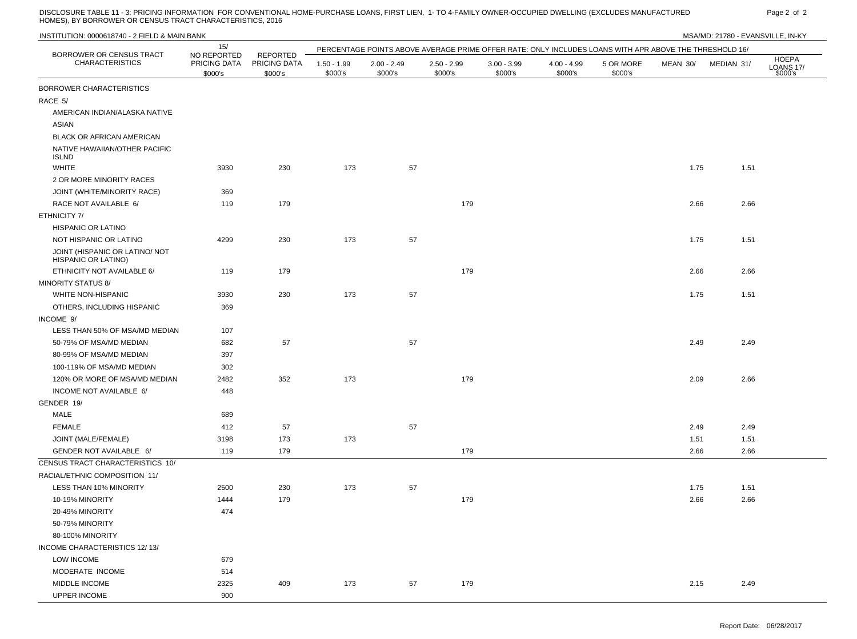DISCLOSURE TABLE 11 - 3: PRICING INFORMATION FOR CONVENTIONAL HOME-PURCHASE LOANS, FIRST LIEN, 1- TO 4-FAMILY OWNER-OCCUPIED DWELLING (EXCLUDES MANUFACTURED PARED Page 2 of 2 <br>HOMES), BY BORROWER OR CENSUS TRACT

UPPER INCOME 900

|                                                       | 15/                                    |                                            |                          |                          | PERCENTAGE POINTS ABOVE AVERAGE PRIME OFFER RATE: ONLY INCLUDES LOANS WITH APR ABOVE THE THRESHOLD 16/ |                          |                          |                      |          |            |                                      |
|-------------------------------------------------------|----------------------------------------|--------------------------------------------|--------------------------|--------------------------|--------------------------------------------------------------------------------------------------------|--------------------------|--------------------------|----------------------|----------|------------|--------------------------------------|
| BORROWER OR CENSUS TRACT<br><b>CHARACTERISTICS</b>    | NO REPORTED<br>PRICING DATA<br>\$000's | <b>REPORTED</b><br>PRICING DATA<br>\$000's | $1.50 - 1.99$<br>\$000's | $2.00 - 2.49$<br>\$000's | $2.50 - 2.99$<br>\$000's                                                                               | $3.00 - 3.99$<br>\$000's | $4.00 - 4.99$<br>\$000's | 5 OR MORE<br>\$000's | MEAN 30/ | MEDIAN 31/ | <b>HOEPA</b><br>LOANS 17/<br>\$000's |
| BORROWER CHARACTERISTICS                              |                                        |                                            |                          |                          |                                                                                                        |                          |                          |                      |          |            |                                      |
| RACE 5/                                               |                                        |                                            |                          |                          |                                                                                                        |                          |                          |                      |          |            |                                      |
| AMERICAN INDIAN/ALASKA NATIVE                         |                                        |                                            |                          |                          |                                                                                                        |                          |                          |                      |          |            |                                      |
| ASIAN                                                 |                                        |                                            |                          |                          |                                                                                                        |                          |                          |                      |          |            |                                      |
| BLACK OR AFRICAN AMERICAN                             |                                        |                                            |                          |                          |                                                                                                        |                          |                          |                      |          |            |                                      |
| NATIVE HAWAIIAN/OTHER PACIFIC<br><b>ISLND</b>         |                                        |                                            |                          |                          |                                                                                                        |                          |                          |                      |          |            |                                      |
| <b>WHITE</b>                                          | 3930                                   | 230                                        | 173                      | 57                       |                                                                                                        |                          |                          |                      | 1.75     | 1.51       |                                      |
| 2 OR MORE MINORITY RACES                              |                                        |                                            |                          |                          |                                                                                                        |                          |                          |                      |          |            |                                      |
| JOINT (WHITE/MINORITY RACE)                           | 369                                    |                                            |                          |                          |                                                                                                        |                          |                          |                      |          |            |                                      |
| RACE NOT AVAILABLE 6/                                 | 119                                    | 179                                        |                          |                          | 179                                                                                                    |                          |                          |                      | 2.66     | 2.66       |                                      |
| ETHNICITY 7/                                          |                                        |                                            |                          |                          |                                                                                                        |                          |                          |                      |          |            |                                      |
| HISPANIC OR LATINO                                    |                                        |                                            |                          |                          |                                                                                                        |                          |                          |                      |          |            |                                      |
| NOT HISPANIC OR LATINO                                | 4299                                   | 230                                        | 173                      | 57                       |                                                                                                        |                          |                          |                      | 1.75     | 1.51       |                                      |
| JOINT (HISPANIC OR LATINO/ NOT<br>HISPANIC OR LATINO) |                                        |                                            |                          |                          |                                                                                                        |                          |                          |                      |          |            |                                      |
| ETHNICITY NOT AVAILABLE 6/                            | 119                                    | 179                                        |                          |                          | 179                                                                                                    |                          |                          |                      | 2.66     | 2.66       |                                      |
| <b>MINORITY STATUS 8/</b>                             |                                        |                                            |                          |                          |                                                                                                        |                          |                          |                      |          |            |                                      |
| <b>WHITE NON-HISPANIC</b>                             | 3930                                   | 230                                        | 173                      | 57                       |                                                                                                        |                          |                          |                      | 1.75     | 1.51       |                                      |
| OTHERS, INCLUDING HISPANIC                            | 369                                    |                                            |                          |                          |                                                                                                        |                          |                          |                      |          |            |                                      |
| INCOME 9/                                             |                                        |                                            |                          |                          |                                                                                                        |                          |                          |                      |          |            |                                      |
| LESS THAN 50% OF MSA/MD MEDIAN                        | 107                                    |                                            |                          |                          |                                                                                                        |                          |                          |                      |          |            |                                      |
| 50-79% OF MSA/MD MEDIAN                               | 682                                    | 57                                         |                          | 57                       |                                                                                                        |                          |                          |                      | 2.49     | 2.49       |                                      |
| 80-99% OF MSA/MD MEDIAN                               | 397                                    |                                            |                          |                          |                                                                                                        |                          |                          |                      |          |            |                                      |
| 100-119% OF MSA/MD MEDIAN                             | 302                                    |                                            |                          |                          |                                                                                                        |                          |                          |                      |          |            |                                      |
| 120% OR MORE OF MSA/MD MEDIAN                         | 2482                                   | 352                                        | 173                      |                          | 179                                                                                                    |                          |                          |                      | 2.09     | 2.66       |                                      |
| INCOME NOT AVAILABLE 6/                               | 448                                    |                                            |                          |                          |                                                                                                        |                          |                          |                      |          |            |                                      |
| GENDER 19/                                            |                                        |                                            |                          |                          |                                                                                                        |                          |                          |                      |          |            |                                      |
| <b>MALE</b>                                           | 689                                    |                                            |                          |                          |                                                                                                        |                          |                          |                      |          |            |                                      |
| FEMALE                                                | 412                                    | 57                                         |                          | 57                       |                                                                                                        |                          |                          |                      | 2.49     | 2.49       |                                      |
| JOINT (MALE/FEMALE)                                   | 3198                                   | 173                                        | 173                      |                          |                                                                                                        |                          |                          |                      | 1.51     | 1.51       |                                      |
| GENDER NOT AVAILABLE 6/                               | 119                                    | 179                                        |                          |                          | 179                                                                                                    |                          |                          |                      | 2.66     | 2.66       |                                      |
| CENSUS TRACT CHARACTERISTICS 10/                      |                                        |                                            |                          |                          |                                                                                                        |                          |                          |                      |          |            |                                      |
| RACIAL/ETHNIC COMPOSITION 11/                         |                                        |                                            |                          |                          |                                                                                                        |                          |                          |                      |          |            |                                      |
| LESS THAN 10% MINORITY                                | 2500                                   | 230                                        | 173                      | 57                       |                                                                                                        |                          |                          |                      | 1.75     | 1.51       |                                      |
| 10-19% MINORITY                                       | 1444                                   | 179                                        |                          |                          | 179                                                                                                    |                          |                          |                      | 2.66     | 2.66       |                                      |
| 20-49% MINORITY                                       | 474                                    |                                            |                          |                          |                                                                                                        |                          |                          |                      |          |            |                                      |
| 50-79% MINORITY                                       |                                        |                                            |                          |                          |                                                                                                        |                          |                          |                      |          |            |                                      |
| 80-100% MINORITY                                      |                                        |                                            |                          |                          |                                                                                                        |                          |                          |                      |          |            |                                      |
| INCOME CHARACTERISTICS 12/13/                         |                                        |                                            |                          |                          |                                                                                                        |                          |                          |                      |          |            |                                      |
| <b>LOW INCOME</b>                                     | 679                                    |                                            |                          |                          |                                                                                                        |                          |                          |                      |          |            |                                      |
| MODERATE INCOME                                       | 514                                    |                                            |                          |                          |                                                                                                        |                          |                          |                      |          |            |                                      |
|                                                       |                                        |                                            |                          |                          |                                                                                                        |                          |                          |                      |          |            |                                      |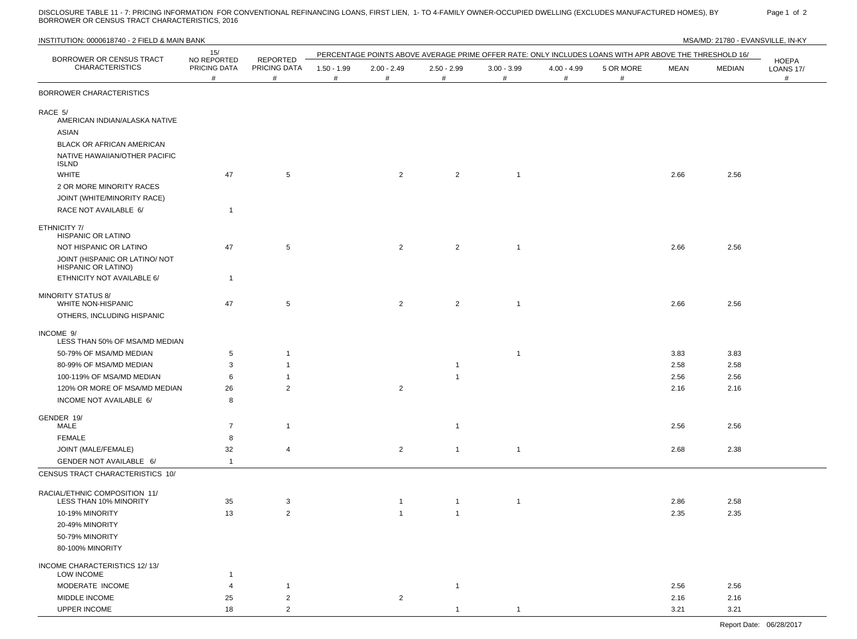DISCLOSURE TABLE 11 - 7: PRICING INFORMATION FOR CONVENTIONAL REFINANCING LOANS, FIRST LIEN, 1- TO 4-FAMILY OWNER-OCCUPIED DWELLING (EXCLUDES MANUFACTURED HOMES), BY Page 1 of 2<br>BORROWER OR CENSUS TRACT CHARACTERI

| INSTITUTION: 0000618740 - 2 FIELD & MAIN BANK               |                                  |                                      |                          |                    |                    |                    |                       |                                                                                                        |             | MSA/MD: 21780 - EVANSVILLE, IN-KY |                                       |
|-------------------------------------------------------------|----------------------------------|--------------------------------------|--------------------------|--------------------|--------------------|--------------------|-----------------------|--------------------------------------------------------------------------------------------------------|-------------|-----------------------------------|---------------------------------------|
|                                                             | 15/                              |                                      |                          |                    |                    |                    |                       | PERCENTAGE POINTS ABOVE AVERAGE PRIME OFFER RATE: ONLY INCLUDES LOANS WITH APR ABOVE THE THRESHOLD 16/ |             |                                   |                                       |
| BORROWER OR CENSUS TRACT<br><b>CHARACTERISTICS</b>          | NO REPORTED<br>PRICING DATA<br># | <b>REPORTED</b><br>PRICING DATA<br># | $1.50 - 1.99$<br>$^{\#}$ | $2.00 - 2.49$<br># | $2.50 - 2.99$<br># | $3.00 - 3.99$<br># | $4.00 - 4.99$<br>$\#$ | 5 OR MORE<br>#                                                                                         | <b>MEAN</b> | MEDIAN                            | <b>HOEPA</b><br><b>LOANS 17/</b><br># |
| BORROWER CHARACTERISTICS                                    |                                  |                                      |                          |                    |                    |                    |                       |                                                                                                        |             |                                   |                                       |
| RACE 5/<br>AMERICAN INDIAN/ALASKA NATIVE<br>ASIAN           |                                  |                                      |                          |                    |                    |                    |                       |                                                                                                        |             |                                   |                                       |
| BLACK OR AFRICAN AMERICAN<br>NATIVE HAWAIIAN/OTHER PACIFIC  |                                  |                                      |                          |                    |                    |                    |                       |                                                                                                        |             |                                   |                                       |
| <b>ISLND</b><br><b>WHITE</b>                                | 47                               | $5\phantom{.0}$                      |                          | $\overline{2}$     | $\overline{2}$     | $\overline{1}$     |                       |                                                                                                        | 2.66        | 2.56                              |                                       |
| 2 OR MORE MINORITY RACES<br>JOINT (WHITE/MINORITY RACE)     |                                  |                                      |                          |                    |                    |                    |                       |                                                                                                        |             |                                   |                                       |
| RACE NOT AVAILABLE 6/                                       | $\mathbf{1}$                     |                                      |                          |                    |                    |                    |                       |                                                                                                        |             |                                   |                                       |
| ETHNICITY 7/<br>HISPANIC OR LATINO                          |                                  |                                      |                          |                    |                    |                    |                       |                                                                                                        |             |                                   |                                       |
| NOT HISPANIC OR LATINO                                      | 47                               | 5                                    |                          | $\overline{2}$     | $\overline{2}$     | $\overline{1}$     |                       |                                                                                                        | 2.66        | 2.56                              |                                       |
| JOINT (HISPANIC OR LATINO/ NOT<br>HISPANIC OR LATINO)       |                                  |                                      |                          |                    |                    |                    |                       |                                                                                                        |             |                                   |                                       |
| ETHNICITY NOT AVAILABLE 6/                                  | $\mathbf{1}$                     |                                      |                          |                    |                    |                    |                       |                                                                                                        |             |                                   |                                       |
| <b>MINORITY STATUS 8/</b><br><b>WHITE NON-HISPANIC</b>      | 47                               | 5                                    |                          | $\overline{2}$     | $\overline{2}$     | $\overline{1}$     |                       |                                                                                                        | 2.66        | 2.56                              |                                       |
| OTHERS, INCLUDING HISPANIC                                  |                                  |                                      |                          |                    |                    |                    |                       |                                                                                                        |             |                                   |                                       |
| INCOME 9/<br>LESS THAN 50% OF MSA/MD MEDIAN                 |                                  |                                      |                          |                    |                    |                    |                       |                                                                                                        |             |                                   |                                       |
| 50-79% OF MSA/MD MEDIAN                                     | 5                                | -1                                   |                          |                    |                    | $\mathbf{1}$       |                       |                                                                                                        | 3.83        | 3.83                              |                                       |
| 80-99% OF MSA/MD MEDIAN                                     | 3                                | $\mathbf{1}$                         |                          |                    |                    |                    |                       |                                                                                                        | 2.58        | 2.58                              |                                       |
| 100-119% OF MSA/MD MEDIAN                                   | 6                                | $\overline{1}$                       |                          |                    |                    |                    |                       |                                                                                                        | 2.56        | 2.56                              |                                       |
| 120% OR MORE OF MSA/MD MEDIAN                               | 26                               | $\overline{2}$                       |                          | $\overline{2}$     |                    |                    |                       |                                                                                                        | 2.16        | 2.16                              |                                       |
| INCOME NOT AVAILABLE 6/                                     | 8                                |                                      |                          |                    |                    |                    |                       |                                                                                                        |             |                                   |                                       |
| GENDER 19/                                                  |                                  |                                      |                          |                    |                    |                    |                       |                                                                                                        |             |                                   |                                       |
| MALE                                                        | $\overline{7}$                   | $\overline{1}$                       |                          |                    | -1                 |                    |                       |                                                                                                        | 2.56        | 2.56                              |                                       |
| FEMALE                                                      | 8                                |                                      |                          |                    |                    |                    |                       |                                                                                                        |             |                                   |                                       |
| JOINT (MALE/FEMALE)                                         | 32                               | $\overline{4}$                       |                          | $\overline{2}$     | $\overline{1}$     | $\overline{1}$     |                       |                                                                                                        | 2.68        | 2.38                              |                                       |
| GENDER NOT AVAILABLE 6/<br>CENSUS TRACT CHARACTERISTICS 10/ | $\mathbf{1}$                     |                                      |                          |                    |                    |                    |                       |                                                                                                        |             |                                   |                                       |
|                                                             |                                  |                                      |                          |                    |                    |                    |                       |                                                                                                        |             |                                   |                                       |
| RACIAL/ETHNIC COMPOSITION 11/<br>LESS THAN 10% MINORITY     | 35                               | 3                                    |                          |                    |                    |                    |                       |                                                                                                        | 2.86        | 2.58                              |                                       |
| 10-19% MINORITY                                             | 13                               | $\overline{2}$                       |                          | 1                  |                    |                    |                       |                                                                                                        | 2.35        | 2.35                              |                                       |
| 20-49% MINORITY<br>50-79% MINORITY                          |                                  |                                      |                          |                    |                    |                    |                       |                                                                                                        |             |                                   |                                       |
| 80-100% MINORITY                                            |                                  |                                      |                          |                    |                    |                    |                       |                                                                                                        |             |                                   |                                       |
| INCOME CHARACTERISTICS 12/13/<br>LOW INCOME                 | $\mathbf 1$                      |                                      |                          |                    |                    |                    |                       |                                                                                                        |             |                                   |                                       |
| MODERATE INCOME                                             | 4                                | $\mathbf{1}$                         |                          |                    | $\mathbf{1}$       |                    |                       |                                                                                                        | 2.56        | 2.56                              |                                       |
| MIDDLE INCOME                                               | 25                               | $\overline{2}$                       |                          | $\overline{a}$     |                    |                    |                       |                                                                                                        | 2.16        | 2.16                              |                                       |
| UPPER INCOME                                                | 18                               | $\overline{2}$                       |                          |                    |                    |                    |                       |                                                                                                        | 3.21        | 3.21                              |                                       |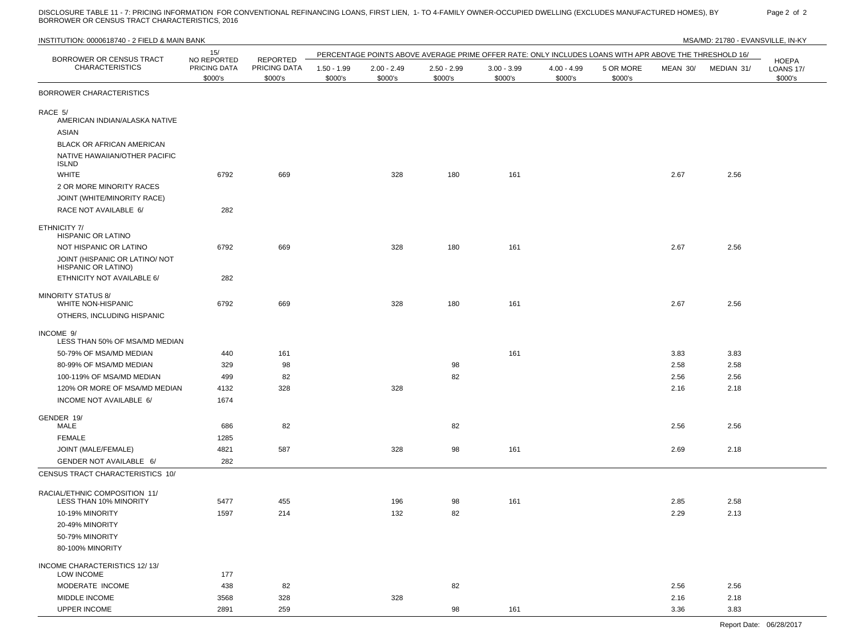DISCLOSURE TABLE 11 - 7: PRICING INFORMATION FOR CONVENTIONAL REFINANCING LOANS, FIRST LIEN, 1- TO 4-FAMILY OWNER-OCCUPIED DWELLING (EXCLUDES MANUFACTURED HOMES), BY Page 2 of 2<br>BORROWER OR CENSUS TRACT CHARACTERI

| INSTITUTION: 0000618740 - 2 FIELD & MAIN BANK<br>MSA/MD: 21780 - EVANSVILLE, IN-KY   |                                        |                         |                          |                          |                          |                                                                                                        |                          |                      |          |            |                                             |
|--------------------------------------------------------------------------------------|----------------------------------------|-------------------------|--------------------------|--------------------------|--------------------------|--------------------------------------------------------------------------------------------------------|--------------------------|----------------------|----------|------------|---------------------------------------------|
| BORROWER OR CENSUS TRACT                                                             | 15/                                    | <b>REPORTED</b>         |                          |                          |                          | PERCENTAGE POINTS ABOVE AVERAGE PRIME OFFER RATE: ONLY INCLUDES LOANS WITH APR ABOVE THE THRESHOLD 16/ |                          |                      |          |            |                                             |
| <b>CHARACTERISTICS</b>                                                               | NO REPORTED<br>PRICING DATA<br>\$000's | PRICING DATA<br>\$000's | $1.50 - 1.99$<br>\$000's | $2.00 - 2.49$<br>\$000's | $2.50 - 2.99$<br>\$000's | $3.00 - 3.99$<br>\$000's                                                                               | $4.00 - 4.99$<br>\$000's | 5 OR MORE<br>\$000's | MEAN 30/ | MEDIAN 31/ | <b>HOEPA</b><br><b>LOANS 17/</b><br>\$000's |
| BORROWER CHARACTERISTICS                                                             |                                        |                         |                          |                          |                          |                                                                                                        |                          |                      |          |            |                                             |
| RACE 5/<br>AMERICAN INDIAN/ALASKA NATIVE<br>ASIAN                                    |                                        |                         |                          |                          |                          |                                                                                                        |                          |                      |          |            |                                             |
| BLACK OR AFRICAN AMERICAN<br>NATIVE HAWAIIAN/OTHER PACIFIC                           |                                        |                         |                          |                          |                          |                                                                                                        |                          |                      |          |            |                                             |
| <b>ISLND</b><br><b>WHITE</b>                                                         | 6792                                   | 669                     |                          | 328                      | 180                      | 161                                                                                                    |                          |                      | 2.67     | 2.56       |                                             |
| 2 OR MORE MINORITY RACES                                                             |                                        |                         |                          |                          |                          |                                                                                                        |                          |                      |          |            |                                             |
| JOINT (WHITE/MINORITY RACE)<br>RACE NOT AVAILABLE 6/                                 | 282                                    |                         |                          |                          |                          |                                                                                                        |                          |                      |          |            |                                             |
| ETHNICITY 7/<br>HISPANIC OR LATINO                                                   |                                        |                         |                          |                          |                          |                                                                                                        |                          |                      |          |            |                                             |
| NOT HISPANIC OR LATINO                                                               | 6792                                   | 669                     |                          | 328                      | 180                      | 161                                                                                                    |                          |                      | 2.67     | 2.56       |                                             |
| JOINT (HISPANIC OR LATINO/ NOT<br>HISPANIC OR LATINO)                                |                                        |                         |                          |                          |                          |                                                                                                        |                          |                      |          |            |                                             |
| ETHNICITY NOT AVAILABLE 6/                                                           | 282                                    |                         |                          |                          |                          |                                                                                                        |                          |                      |          |            |                                             |
| <b>MINORITY STATUS 8/</b><br><b>WHITE NON-HISPANIC</b><br>OTHERS, INCLUDING HISPANIC | 6792                                   | 669                     |                          | 328                      | 180                      | 161                                                                                                    |                          |                      | 2.67     | 2.56       |                                             |
| INCOME 9/<br>LESS THAN 50% OF MSA/MD MEDIAN                                          |                                        |                         |                          |                          |                          |                                                                                                        |                          |                      |          |            |                                             |
| 50-79% OF MSA/MD MEDIAN                                                              | 440                                    | 161                     |                          |                          |                          | 161                                                                                                    |                          |                      | 3.83     | 3.83       |                                             |
| 80-99% OF MSA/MD MEDIAN                                                              | 329                                    | 98                      |                          |                          | 98                       |                                                                                                        |                          |                      | 2.58     | 2.58       |                                             |
| 100-119% OF MSA/MD MEDIAN                                                            | 499                                    | 82                      |                          |                          | 82                       |                                                                                                        |                          |                      | 2.56     | 2.56       |                                             |
| 120% OR MORE OF MSA/MD MEDIAN<br>INCOME NOT AVAILABLE 6/                             | 4132<br>1674                           | 328                     |                          | 328                      |                          |                                                                                                        |                          |                      | 2.16     | 2.18       |                                             |
|                                                                                      |                                        |                         |                          |                          |                          |                                                                                                        |                          |                      |          |            |                                             |
| GENDER 19/<br>MALE                                                                   | 686                                    | 82                      |                          |                          | 82                       |                                                                                                        |                          |                      | 2.56     | 2.56       |                                             |
| <b>FEMALE</b>                                                                        | 1285                                   |                         |                          |                          |                          |                                                                                                        |                          |                      |          |            |                                             |
| JOINT (MALE/FEMALE)                                                                  | 4821                                   | 587                     |                          | 328                      | 98                       | 161                                                                                                    |                          |                      | 2.69     | 2.18       |                                             |
| GENDER NOT AVAILABLE 6/                                                              | 282                                    |                         |                          |                          |                          |                                                                                                        |                          |                      |          |            |                                             |
| CENSUS TRACT CHARACTERISTICS 10/                                                     |                                        |                         |                          |                          |                          |                                                                                                        |                          |                      |          |            |                                             |
| RACIAL/ETHNIC COMPOSITION 11/<br>LESS THAN 10% MINORITY                              | 5477                                   | 455                     |                          | 196                      | 98                       | 161                                                                                                    |                          |                      | 2.85     | 2.58       |                                             |
| 10-19% MINORITY                                                                      | 1597                                   | 214                     |                          | 132                      | 82                       |                                                                                                        |                          |                      | 2.29     | 2.13       |                                             |
| 20-49% MINORITY                                                                      |                                        |                         |                          |                          |                          |                                                                                                        |                          |                      |          |            |                                             |
| 50-79% MINORITY                                                                      |                                        |                         |                          |                          |                          |                                                                                                        |                          |                      |          |            |                                             |
| 80-100% MINORITY                                                                     |                                        |                         |                          |                          |                          |                                                                                                        |                          |                      |          |            |                                             |
| INCOME CHARACTERISTICS 12/13/<br>LOW INCOME                                          | 177                                    |                         |                          |                          |                          |                                                                                                        |                          |                      |          |            |                                             |
| MODERATE INCOME                                                                      | 438                                    | 82                      |                          |                          | 82                       |                                                                                                        |                          |                      | 2.56     | 2.56       |                                             |
| MIDDLE INCOME                                                                        | 3568                                   | 328                     |                          | 328                      |                          |                                                                                                        |                          |                      | 2.16     | 2.18       |                                             |
| UPPER INCOME                                                                         | 2891                                   | 259                     |                          |                          | 98                       | 161                                                                                                    |                          |                      | 3.36     | 3.83       |                                             |

Report Date: 06/28/2017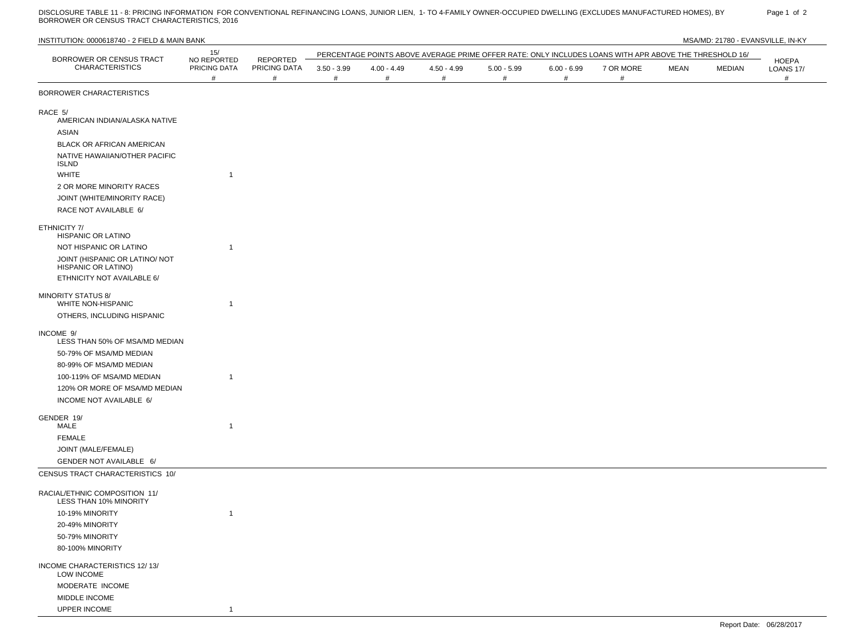DISCLOSURE TABLE 11 - 8: PRICING INFORMATION FOR CONVENTIONAL REFINANCING LOANS, JUNIOR LIEN, 1- TO 4-FAMILY OWNER-OCCUPIED DWELLING (EXCLUDES MANUFACTURED HOMES), BY Page 1 of 2<br>BORROWER OR CENSUS TRACT CHARACTERI

|                                                         | 15/                              |                                         |                    |                    |                          |                    |                    | PERCENTAGE POINTS ABOVE AVERAGE PRIME OFFER RATE: ONLY INCLUDES LOANS WITH APR ABOVE THE THRESHOLD 16/ |             |        |                                |
|---------------------------------------------------------|----------------------------------|-----------------------------------------|--------------------|--------------------|--------------------------|--------------------|--------------------|--------------------------------------------------------------------------------------------------------|-------------|--------|--------------------------------|
| BORROWER OR CENSUS TRACT<br><b>CHARACTERISTICS</b>      | NO REPORTED<br>PRICING DATA<br># | <b>REPORTED</b><br>PRICING DATA<br>$\#$ | $3.50 - 3.99$<br># | $4.00 - 4.49$<br># | $4.50 - 4.99$<br>$^{\#}$ | $5.00 - 5.99$<br># | $6.00 - 6.99$<br># | 7 OR MORE<br>#                                                                                         | <b>MEAN</b> | MEDIAN | HOEPA<br><b>LOANS 17/</b><br># |
| BORROWER CHARACTERISTICS                                |                                  |                                         |                    |                    |                          |                    |                    |                                                                                                        |             |        |                                |
| RACE 5/                                                 |                                  |                                         |                    |                    |                          |                    |                    |                                                                                                        |             |        |                                |
| AMERICAN INDIAN/ALASKA NATIVE                           |                                  |                                         |                    |                    |                          |                    |                    |                                                                                                        |             |        |                                |
| ASIAN                                                   |                                  |                                         |                    |                    |                          |                    |                    |                                                                                                        |             |        |                                |
| BLACK OR AFRICAN AMERICAN                               |                                  |                                         |                    |                    |                          |                    |                    |                                                                                                        |             |        |                                |
| NATIVE HAWAIIAN/OTHER PACIFIC<br><b>ISLND</b>           |                                  |                                         |                    |                    |                          |                    |                    |                                                                                                        |             |        |                                |
| <b>WHITE</b>                                            | $\mathbf{1}$                     |                                         |                    |                    |                          |                    |                    |                                                                                                        |             |        |                                |
| 2 OR MORE MINORITY RACES                                |                                  |                                         |                    |                    |                          |                    |                    |                                                                                                        |             |        |                                |
| JOINT (WHITE/MINORITY RACE)                             |                                  |                                         |                    |                    |                          |                    |                    |                                                                                                        |             |        |                                |
| RACE NOT AVAILABLE 6/                                   |                                  |                                         |                    |                    |                          |                    |                    |                                                                                                        |             |        |                                |
| ETHNICITY 7/<br><b>HISPANIC OR LATINO</b>               |                                  |                                         |                    |                    |                          |                    |                    |                                                                                                        |             |        |                                |
| NOT HISPANIC OR LATINO                                  | $\overline{1}$                   |                                         |                    |                    |                          |                    |                    |                                                                                                        |             |        |                                |
| JOINT (HISPANIC OR LATINO/ NOT<br>HISPANIC OR LATINO)   |                                  |                                         |                    |                    |                          |                    |                    |                                                                                                        |             |        |                                |
| ETHNICITY NOT AVAILABLE 6/                              |                                  |                                         |                    |                    |                          |                    |                    |                                                                                                        |             |        |                                |
| <b>MINORITY STATUS 8/</b><br>WHITE NON-HISPANIC         | $\mathbf{1}$                     |                                         |                    |                    |                          |                    |                    |                                                                                                        |             |        |                                |
| OTHERS, INCLUDING HISPANIC                              |                                  |                                         |                    |                    |                          |                    |                    |                                                                                                        |             |        |                                |
| INCOME 9/<br>LESS THAN 50% OF MSA/MD MEDIAN             |                                  |                                         |                    |                    |                          |                    |                    |                                                                                                        |             |        |                                |
| 50-79% OF MSA/MD MEDIAN                                 |                                  |                                         |                    |                    |                          |                    |                    |                                                                                                        |             |        |                                |
| 80-99% OF MSA/MD MEDIAN                                 |                                  |                                         |                    |                    |                          |                    |                    |                                                                                                        |             |        |                                |
| 100-119% OF MSA/MD MEDIAN                               | $\mathbf{1}$                     |                                         |                    |                    |                          |                    |                    |                                                                                                        |             |        |                                |
| 120% OR MORE OF MSA/MD MEDIAN                           |                                  |                                         |                    |                    |                          |                    |                    |                                                                                                        |             |        |                                |
| INCOME NOT AVAILABLE 6/                                 |                                  |                                         |                    |                    |                          |                    |                    |                                                                                                        |             |        |                                |
| GENDER 19/                                              |                                  |                                         |                    |                    |                          |                    |                    |                                                                                                        |             |        |                                |
| MALE                                                    | $\mathbf{1}$                     |                                         |                    |                    |                          |                    |                    |                                                                                                        |             |        |                                |
| <b>FEMALE</b>                                           |                                  |                                         |                    |                    |                          |                    |                    |                                                                                                        |             |        |                                |
| JOINT (MALE/FEMALE)                                     |                                  |                                         |                    |                    |                          |                    |                    |                                                                                                        |             |        |                                |
| GENDER NOT AVAILABLE 6/                                 |                                  |                                         |                    |                    |                          |                    |                    |                                                                                                        |             |        |                                |
| CENSUS TRACT CHARACTERISTICS 10/                        |                                  |                                         |                    |                    |                          |                    |                    |                                                                                                        |             |        |                                |
| RACIAL/ETHNIC COMPOSITION 11/<br>LESS THAN 10% MINORITY |                                  |                                         |                    |                    |                          |                    |                    |                                                                                                        |             |        |                                |
| 10-19% MINORITY                                         | $\mathbf{1}$                     |                                         |                    |                    |                          |                    |                    |                                                                                                        |             |        |                                |
| 20-49% MINORITY                                         |                                  |                                         |                    |                    |                          |                    |                    |                                                                                                        |             |        |                                |
| 50-79% MINORITY                                         |                                  |                                         |                    |                    |                          |                    |                    |                                                                                                        |             |        |                                |
| 80-100% MINORITY                                        |                                  |                                         |                    |                    |                          |                    |                    |                                                                                                        |             |        |                                |
| INCOME CHARACTERISTICS 12/13/<br>LOW INCOME             |                                  |                                         |                    |                    |                          |                    |                    |                                                                                                        |             |        |                                |
| MODERATE INCOME                                         |                                  |                                         |                    |                    |                          |                    |                    |                                                                                                        |             |        |                                |
| MIDDLE INCOME                                           |                                  |                                         |                    |                    |                          |                    |                    |                                                                                                        |             |        |                                |
| UPPER INCOME                                            | $\mathbf{1}$                     |                                         |                    |                    |                          |                    |                    |                                                                                                        |             |        |                                |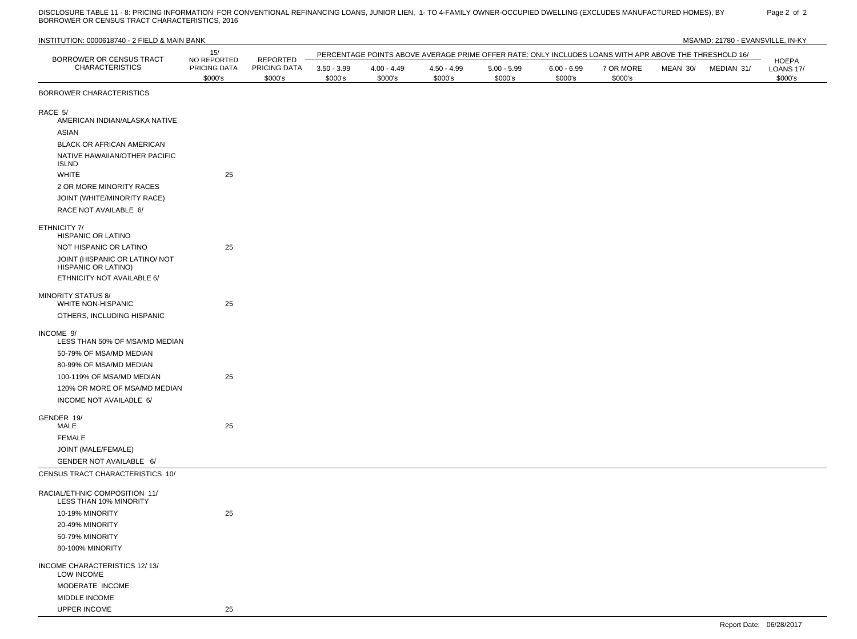DISCLOSURE TABLE 11 - 8: PRICING INFORMATION FOR CONVENTIONAL REFINANCING LOANS, JUNIOR LIEN, 1- TO 4-FAMILY OWNER-OCCUPIED DWELLING (EXCLUDES MANUFACTURED HOMES), BY Page 2 of 2<br>BORROWER OR CENSUS TRACT CHARACTERI

| INSTITUTION: 0000618740 - 2 FIELD & MAIN BANK                |                         |                         |                          |                          |                          |                                                                                                        |                          |                      |          | MSA/MD: 21780 - EVANSVILLE, IN-KY |                                             |
|--------------------------------------------------------------|-------------------------|-------------------------|--------------------------|--------------------------|--------------------------|--------------------------------------------------------------------------------------------------------|--------------------------|----------------------|----------|-----------------------------------|---------------------------------------------|
| BORROWER OR CENSUS TRACT                                     | 15/<br>NO REPORTED      | REPORTED                |                          |                          |                          | PERCENTAGE POINTS ABOVE AVERAGE PRIME OFFER RATE: ONLY INCLUDES LOANS WITH APR ABOVE THE THRESHOLD 16/ |                          |                      |          |                                   |                                             |
| <b>CHARACTERISTICS</b>                                       | PRICING DATA<br>\$000's | PRICING DATA<br>\$000's | $3.50 - 3.99$<br>\$000's | $4.00 - 4.49$<br>\$000's | $4.50 - 4.99$<br>\$000's | $5.00 - 5.99$<br>\$000's                                                                               | $6.00 - 6.99$<br>\$000's | 7 OR MORE<br>\$000's | MEAN 30/ | MEDIAN 31/                        | <b>HOEPA</b><br><b>LOANS 17/</b><br>\$000's |
| BORROWER CHARACTERISTICS                                     |                         |                         |                          |                          |                          |                                                                                                        |                          |                      |          |                                   |                                             |
| RACE 5/<br>AMERICAN INDIAN/ALASKA NATIVE<br>ASIAN            |                         |                         |                          |                          |                          |                                                                                                        |                          |                      |          |                                   |                                             |
| BLACK OR AFRICAN AMERICAN                                    |                         |                         |                          |                          |                          |                                                                                                        |                          |                      |          |                                   |                                             |
| NATIVE HAWAIIAN/OTHER PACIFIC<br><b>ISLND</b>                |                         |                         |                          |                          |                          |                                                                                                        |                          |                      |          |                                   |                                             |
| <b>WHITE</b>                                                 | 25                      |                         |                          |                          |                          |                                                                                                        |                          |                      |          |                                   |                                             |
| 2 OR MORE MINORITY RACES                                     |                         |                         |                          |                          |                          |                                                                                                        |                          |                      |          |                                   |                                             |
| JOINT (WHITE/MINORITY RACE)                                  |                         |                         |                          |                          |                          |                                                                                                        |                          |                      |          |                                   |                                             |
| RACE NOT AVAILABLE 6/                                        |                         |                         |                          |                          |                          |                                                                                                        |                          |                      |          |                                   |                                             |
| ETHNICITY 7/<br>HISPANIC OR LATINO                           |                         |                         |                          |                          |                          |                                                                                                        |                          |                      |          |                                   |                                             |
| NOT HISPANIC OR LATINO                                       | 25                      |                         |                          |                          |                          |                                                                                                        |                          |                      |          |                                   |                                             |
| JOINT (HISPANIC OR LATINO/ NOT<br><b>HISPANIC OR LATINO)</b> |                         |                         |                          |                          |                          |                                                                                                        |                          |                      |          |                                   |                                             |
| ETHNICITY NOT AVAILABLE 6/                                   |                         |                         |                          |                          |                          |                                                                                                        |                          |                      |          |                                   |                                             |
| <b>MINORITY STATUS 8/</b><br><b>WHITE NON-HISPANIC</b>       | 25                      |                         |                          |                          |                          |                                                                                                        |                          |                      |          |                                   |                                             |
| OTHERS, INCLUDING HISPANIC                                   |                         |                         |                          |                          |                          |                                                                                                        |                          |                      |          |                                   |                                             |
| INCOME 9/<br>LESS THAN 50% OF MSA/MD MEDIAN                  |                         |                         |                          |                          |                          |                                                                                                        |                          |                      |          |                                   |                                             |
| 50-79% OF MSA/MD MEDIAN                                      |                         |                         |                          |                          |                          |                                                                                                        |                          |                      |          |                                   |                                             |
| 80-99% OF MSA/MD MEDIAN                                      |                         |                         |                          |                          |                          |                                                                                                        |                          |                      |          |                                   |                                             |
| 100-119% OF MSA/MD MEDIAN                                    | 25                      |                         |                          |                          |                          |                                                                                                        |                          |                      |          |                                   |                                             |
| 120% OR MORE OF MSA/MD MEDIAN                                |                         |                         |                          |                          |                          |                                                                                                        |                          |                      |          |                                   |                                             |
| INCOME NOT AVAILABLE 6/                                      |                         |                         |                          |                          |                          |                                                                                                        |                          |                      |          |                                   |                                             |
| GENDER 19/<br>MALE                                           | 25                      |                         |                          |                          |                          |                                                                                                        |                          |                      |          |                                   |                                             |
| FEMALE                                                       |                         |                         |                          |                          |                          |                                                                                                        |                          |                      |          |                                   |                                             |
| JOINT (MALE/FEMALE)                                          |                         |                         |                          |                          |                          |                                                                                                        |                          |                      |          |                                   |                                             |
| GENDER NOT AVAILABLE 6/                                      |                         |                         |                          |                          |                          |                                                                                                        |                          |                      |          |                                   |                                             |
| CENSUS TRACT CHARACTERISTICS 10/                             |                         |                         |                          |                          |                          |                                                                                                        |                          |                      |          |                                   |                                             |
| RACIAL/ETHNIC COMPOSITION 11/<br>LESS THAN 10% MINORITY      |                         |                         |                          |                          |                          |                                                                                                        |                          |                      |          |                                   |                                             |
| 10-19% MINORITY                                              | 25                      |                         |                          |                          |                          |                                                                                                        |                          |                      |          |                                   |                                             |
| 20-49% MINORITY                                              |                         |                         |                          |                          |                          |                                                                                                        |                          |                      |          |                                   |                                             |
| 50-79% MINORITY                                              |                         |                         |                          |                          |                          |                                                                                                        |                          |                      |          |                                   |                                             |
| 80-100% MINORITY                                             |                         |                         |                          |                          |                          |                                                                                                        |                          |                      |          |                                   |                                             |
| INCOME CHARACTERISTICS 12/13/<br>LOW INCOME                  |                         |                         |                          |                          |                          |                                                                                                        |                          |                      |          |                                   |                                             |
| MODERATE INCOME                                              |                         |                         |                          |                          |                          |                                                                                                        |                          |                      |          |                                   |                                             |
| MIDDLE INCOME                                                |                         |                         |                          |                          |                          |                                                                                                        |                          |                      |          |                                   |                                             |
| UPPER INCOME                                                 | 25                      |                         |                          |                          |                          |                                                                                                        |                          |                      |          |                                   |                                             |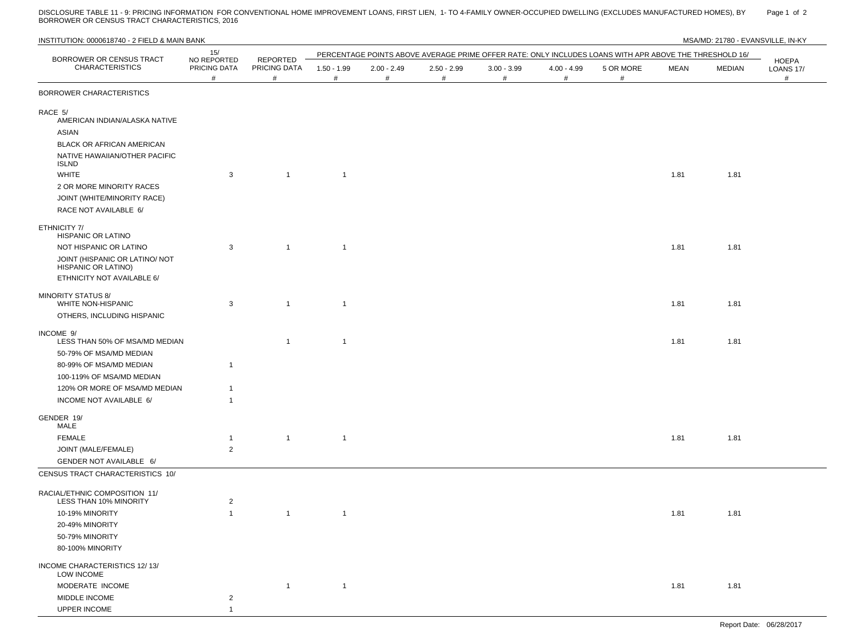DISCLOSURE TABLE 11 - 9: PRICING INFORMATION FOR CONVENTIONAL HOME IMPROVEMENT LOANS, FIRST LIEN, 1- TO 4-FAMILY OWNER-OCCUPIED DWELLING (EXCLUDES MANUFACTURED HOMES), BY Page 1 of 2 BORROWER OR CENSUS TRACT CHARACTERISTICS, 2016

| INSTITUTION: 0000618740 - 2 FIELD & MAIN BANK                                                                 |                                  |                   |                       |                    |                    |                    |                  |                                                                                                        |      | MSA/MD: 21780 - EVANSVILLE, IN-KY |                                |
|---------------------------------------------------------------------------------------------------------------|----------------------------------|-------------------|-----------------------|--------------------|--------------------|--------------------|------------------|--------------------------------------------------------------------------------------------------------|------|-----------------------------------|--------------------------------|
| BORROWER OR CENSUS TRACT                                                                                      | 15/<br>NO REPORTED               | <b>REPORTED</b>   |                       |                    |                    |                    |                  | PERCENTAGE POINTS ABOVE AVERAGE PRIME OFFER RATE: ONLY INCLUDES LOANS WITH APR ABOVE THE THRESHOLD 16/ |      |                                   |                                |
| <b>CHARACTERISTICS</b>                                                                                        | PRICING DATA<br>#                | PRICING DATA<br># | $1.50 - 1.99$<br>$\#$ | $2.00 - 2.49$<br># | $2.50 - 2.99$<br># | $3.00 - 3.99$<br># | 4.00 - 4.99<br># | 5 OR MORE<br>$\#$                                                                                      | MEAN | MEDIAN                            | HOEPA<br><b>LOANS 17/</b><br># |
| BORROWER CHARACTERISTICS                                                                                      |                                  |                   |                       |                    |                    |                    |                  |                                                                                                        |      |                                   |                                |
| RACE 5/<br>AMERICAN INDIAN/ALASKA NATIVE<br><b>ASIAN</b>                                                      |                                  |                   |                       |                    |                    |                    |                  |                                                                                                        |      |                                   |                                |
| BLACK OR AFRICAN AMERICAN<br>NATIVE HAWAIIAN/OTHER PACIFIC<br>ISLND                                           |                                  |                   |                       |                    |                    |                    |                  |                                                                                                        |      |                                   |                                |
| WHITE<br>2 OR MORE MINORITY RACES                                                                             | 3                                | $\mathbf{1}$      | $\overline{1}$        |                    |                    |                    |                  |                                                                                                        | 1.81 | 1.81                              |                                |
| JOINT (WHITE/MINORITY RACE)<br>RACE NOT AVAILABLE 6/                                                          |                                  |                   |                       |                    |                    |                    |                  |                                                                                                        |      |                                   |                                |
| ETHNICITY 7/<br>HISPANIC OR LATINO                                                                            |                                  |                   |                       |                    |                    |                    |                  |                                                                                                        |      |                                   |                                |
| NOT HISPANIC OR LATINO<br>JOINT (HISPANIC OR LATINO/ NOT<br>HISPANIC OR LATINO)<br>ETHNICITY NOT AVAILABLE 6/ | 3                                | $\overline{1}$    | $\overline{1}$        |                    |                    |                    |                  |                                                                                                        | 1.81 | 1.81                              |                                |
| <b>MINORITY STATUS 8/</b><br><b>WHITE NON-HISPANIC</b><br>OTHERS, INCLUDING HISPANIC                          | 3                                | $\overline{1}$    | $\mathbf{1}$          |                    |                    |                    |                  |                                                                                                        | 1.81 | 1.81                              |                                |
| INCOME 9/<br>LESS THAN 50% OF MSA/MD MEDIAN                                                                   |                                  | $\overline{1}$    | $\overline{1}$        |                    |                    |                    |                  |                                                                                                        | 1.81 | 1.81                              |                                |
| 50-79% OF MSA/MD MEDIAN<br>80-99% OF MSA/MD MEDIAN<br>100-119% OF MSA/MD MEDIAN                               | $\mathbf{1}$                     |                   |                       |                    |                    |                    |                  |                                                                                                        |      |                                   |                                |
| 120% OR MORE OF MSA/MD MEDIAN<br>INCOME NOT AVAILABLE 6/                                                      | $\mathbf{1}$<br>$\overline{1}$   |                   |                       |                    |                    |                    |                  |                                                                                                        |      |                                   |                                |
| GENDER 19/<br>MALE                                                                                            |                                  |                   |                       |                    |                    |                    |                  |                                                                                                        |      |                                   |                                |
| <b>FEMALE</b>                                                                                                 | $\mathbf{1}$                     | $\overline{1}$    | $\overline{1}$        |                    |                    |                    |                  |                                                                                                        | 1.81 | 1.81                              |                                |
| JOINT (MALE/FEMALE)                                                                                           | $\overline{2}$                   |                   |                       |                    |                    |                    |                  |                                                                                                        |      |                                   |                                |
| GENDER NOT AVAILABLE 6/<br>CENSUS TRACT CHARACTERISTICS 10/                                                   |                                  |                   |                       |                    |                    |                    |                  |                                                                                                        |      |                                   |                                |
|                                                                                                               |                                  |                   |                       |                    |                    |                    |                  |                                                                                                        |      |                                   |                                |
| RACIAL/ETHNIC COMPOSITION 11/<br>LESS THAN 10% MINORITY                                                       | 2                                |                   |                       |                    |                    |                    |                  |                                                                                                        |      |                                   |                                |
| 10-19% MINORITY                                                                                               | $\mathbf{1}$                     | $\overline{1}$    | $\mathbf{1}$          |                    |                    |                    |                  |                                                                                                        | 1.81 | 1.81                              |                                |
| 20-49% MINORITY<br>50-79% MINORITY                                                                            |                                  |                   |                       |                    |                    |                    |                  |                                                                                                        |      |                                   |                                |
| 80-100% MINORITY                                                                                              |                                  |                   |                       |                    |                    |                    |                  |                                                                                                        |      |                                   |                                |
| INCOME CHARACTERISTICS 12/13/<br>LOW INCOME                                                                   |                                  |                   |                       |                    |                    |                    |                  |                                                                                                        |      |                                   |                                |
| MODERATE INCOME                                                                                               |                                  | $\mathbf{1}$      | $\overline{1}$        |                    |                    |                    |                  |                                                                                                        | 1.81 | 1.81                              |                                |
| MIDDLE INCOME<br><b>UPPER INCOME</b>                                                                          | $\overline{c}$<br>$\overline{1}$ |                   |                       |                    |                    |                    |                  |                                                                                                        |      |                                   |                                |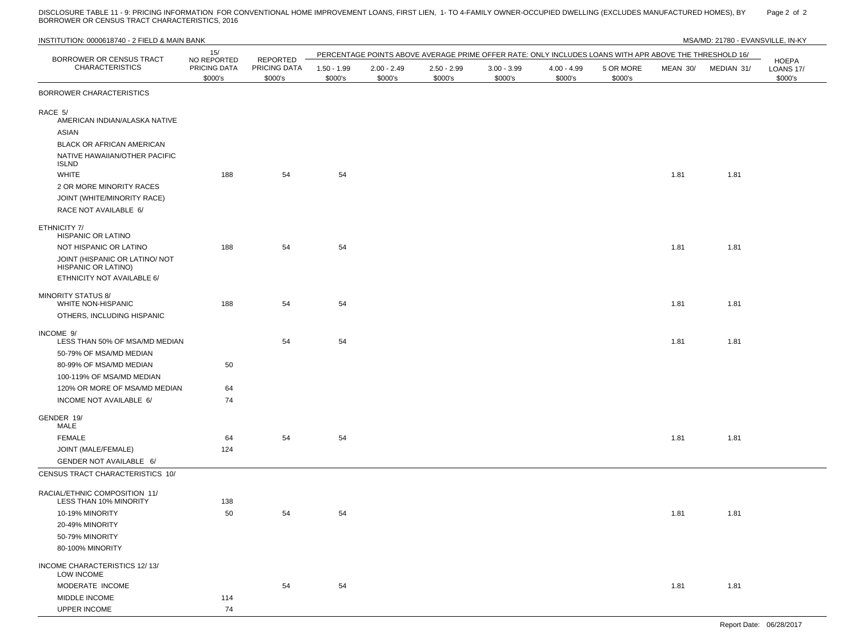DISCLOSURE TABLE 11 - 9: PRICING INFORMATION FOR CONVENTIONAL HOME IMPROVEMENT LOANS, FIRST LIEN, 1- TO 4-FAMILY OWNER-OCCUPIED DWELLING (EXCLUDES MANUFACTURED HOMES), BY Page 2 of 2 BORROWER OR CENSUS TRACT CHARACTERISTICS, 2016

| INSTITUTION: 0000618740 - 2 FIELD & MAIN BANK                     |                                        |                                     |                          |                          |                          |                                                                                                        |                          |                      |          | MSA/MD: 21780 - EVANSVILLE, IN-KY |                                      |
|-------------------------------------------------------------------|----------------------------------------|-------------------------------------|--------------------------|--------------------------|--------------------------|--------------------------------------------------------------------------------------------------------|--------------------------|----------------------|----------|-----------------------------------|--------------------------------------|
|                                                                   | 15/                                    |                                     |                          |                          |                          | PERCENTAGE POINTS ABOVE AVERAGE PRIME OFFER RATE: ONLY INCLUDES LOANS WITH APR ABOVE THE THRESHOLD 16/ |                          |                      |          |                                   |                                      |
| BORROWER OR CENSUS TRACT<br><b>CHARACTERISTICS</b>                | NO REPORTED<br>PRICING DATA<br>\$000's | REPORTED<br>PRICING DATA<br>\$000's | $1.50 - 1.99$<br>\$000's | $2.00 - 2.49$<br>\$000's | $2.50 - 2.99$<br>\$000's | $3.00 - 3.99$<br>\$000's                                                                               | $4.00 - 4.99$<br>\$000's | 5 OR MORE<br>\$000's | MEAN 30/ | MEDIAN 31/                        | HOEPA<br><b>LOANS 17/</b><br>\$000's |
| <b>BORROWER CHARACTERISTICS</b>                                   |                                        |                                     |                          |                          |                          |                                                                                                        |                          |                      |          |                                   |                                      |
| RACE 5/<br>AMERICAN INDIAN/ALASKA NATIVE<br>ASIAN                 |                                        |                                     |                          |                          |                          |                                                                                                        |                          |                      |          |                                   |                                      |
| <b>BLACK OR AFRICAN AMERICAN</b><br>NATIVE HAWAIIAN/OTHER PACIFIC |                                        |                                     |                          |                          |                          |                                                                                                        |                          |                      |          |                                   |                                      |
| ISLND<br><b>WHITE</b>                                             | 188                                    | 54                                  | 54                       |                          |                          |                                                                                                        |                          |                      | 1.81     | 1.81                              |                                      |
| 2 OR MORE MINORITY RACES                                          |                                        |                                     |                          |                          |                          |                                                                                                        |                          |                      |          |                                   |                                      |
| JOINT (WHITE/MINORITY RACE)                                       |                                        |                                     |                          |                          |                          |                                                                                                        |                          |                      |          |                                   |                                      |
| RACE NOT AVAILABLE 6/                                             |                                        |                                     |                          |                          |                          |                                                                                                        |                          |                      |          |                                   |                                      |
| ETHNICITY 7/<br>HISPANIC OR LATINO                                |                                        |                                     |                          |                          |                          |                                                                                                        |                          |                      |          |                                   |                                      |
| NOT HISPANIC OR LATINO                                            | 188                                    | 54                                  | 54                       |                          |                          |                                                                                                        |                          |                      | 1.81     | 1.81                              |                                      |
| JOINT (HISPANIC OR LATINO/ NOT<br>HISPANIC OR LATINO)             |                                        |                                     |                          |                          |                          |                                                                                                        |                          |                      |          |                                   |                                      |
| ETHNICITY NOT AVAILABLE 6/                                        |                                        |                                     |                          |                          |                          |                                                                                                        |                          |                      |          |                                   |                                      |
| <b>MINORITY STATUS 8/</b><br>WHITE NON-HISPANIC                   | 188                                    | 54                                  | 54                       |                          |                          |                                                                                                        |                          |                      | 1.81     | 1.81                              |                                      |
| OTHERS, INCLUDING HISPANIC                                        |                                        |                                     |                          |                          |                          |                                                                                                        |                          |                      |          |                                   |                                      |
| INCOME 9/<br>LESS THAN 50% OF MSA/MD MEDIAN                       |                                        | 54                                  | 54                       |                          |                          |                                                                                                        |                          |                      | 1.81     | 1.81                              |                                      |
| 50-79% OF MSA/MD MEDIAN                                           |                                        |                                     |                          |                          |                          |                                                                                                        |                          |                      |          |                                   |                                      |
| 80-99% OF MSA/MD MEDIAN                                           | 50                                     |                                     |                          |                          |                          |                                                                                                        |                          |                      |          |                                   |                                      |
| 100-119% OF MSA/MD MEDIAN                                         |                                        |                                     |                          |                          |                          |                                                                                                        |                          |                      |          |                                   |                                      |
| 120% OR MORE OF MSA/MD MEDIAN                                     | 64                                     |                                     |                          |                          |                          |                                                                                                        |                          |                      |          |                                   |                                      |
| INCOME NOT AVAILABLE 6/                                           | 74                                     |                                     |                          |                          |                          |                                                                                                        |                          |                      |          |                                   |                                      |
| GENDER 19/<br>MALE                                                |                                        |                                     |                          |                          |                          |                                                                                                        |                          |                      |          |                                   |                                      |
| <b>FEMALE</b>                                                     | 64                                     | 54                                  | 54                       |                          |                          |                                                                                                        |                          |                      | 1.81     | 1.81                              |                                      |
| JOINT (MALE/FEMALE)                                               | 124                                    |                                     |                          |                          |                          |                                                                                                        |                          |                      |          |                                   |                                      |
| GENDER NOT AVAILABLE 6/                                           |                                        |                                     |                          |                          |                          |                                                                                                        |                          |                      |          |                                   |                                      |
| CENSUS TRACT CHARACTERISTICS 10/                                  |                                        |                                     |                          |                          |                          |                                                                                                        |                          |                      |          |                                   |                                      |
| RACIAL/ETHNIC COMPOSITION 11/<br>LESS THAN 10% MINORITY           | 138                                    |                                     |                          |                          |                          |                                                                                                        |                          |                      |          |                                   |                                      |
| 10-19% MINORITY                                                   | 50                                     | 54                                  | 54                       |                          |                          |                                                                                                        |                          |                      | 1.81     | 1.81                              |                                      |
| 20-49% MINORITY                                                   |                                        |                                     |                          |                          |                          |                                                                                                        |                          |                      |          |                                   |                                      |
| 50-79% MINORITY                                                   |                                        |                                     |                          |                          |                          |                                                                                                        |                          |                      |          |                                   |                                      |
| 80-100% MINORITY                                                  |                                        |                                     |                          |                          |                          |                                                                                                        |                          |                      |          |                                   |                                      |
| INCOME CHARACTERISTICS 12/13/<br><b>LOW INCOME</b>                |                                        |                                     |                          |                          |                          |                                                                                                        |                          |                      |          |                                   |                                      |
| MODERATE INCOME                                                   |                                        | 54                                  | 54                       |                          |                          |                                                                                                        |                          |                      | 1.81     | 1.81                              |                                      |
| MIDDLE INCOME                                                     | 114                                    |                                     |                          |                          |                          |                                                                                                        |                          |                      |          |                                   |                                      |
| UPPER INCOME                                                      | 74                                     |                                     |                          |                          |                          |                                                                                                        |                          |                      |          |                                   |                                      |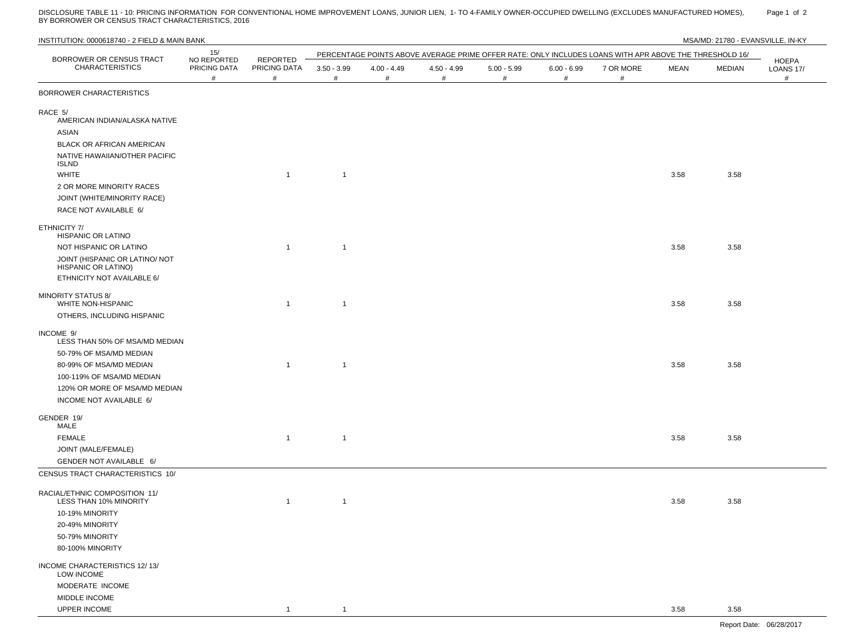DISCLOSURE TABLE 11 - 10: PRICING INFORMATION FOR CONVENTIONAL HOME IMPROVEMENT LOANS, JUNIOR LIEN, 1- TO 4-FAMILY OWNER-OCCUPIED DWELLING (EXCLUDES MANUFACTURED HOMES), Page 1 of 2<br>BY BORROWER OR CENSUS T

| INSTITUTION: 0000618740 - 2 FIELD & MAIN BANK           |                                  |                                      |                    |                    |                    |                    |                    |                                                                                                        |             | MSA/MD: 21780 - EVANSVILLE, IN-KY |                                |
|---------------------------------------------------------|----------------------------------|--------------------------------------|--------------------|--------------------|--------------------|--------------------|--------------------|--------------------------------------------------------------------------------------------------------|-------------|-----------------------------------|--------------------------------|
|                                                         | 15/                              |                                      |                    |                    |                    |                    |                    | PERCENTAGE POINTS ABOVE AVERAGE PRIME OFFER RATE: ONLY INCLUDES LOANS WITH APR ABOVE THE THRESHOLD 16/ |             |                                   |                                |
| BORROWER OR CENSUS TRACT<br><b>CHARACTERISTICS</b>      | NO REPORTED<br>PRICING DATA<br># | <b>REPORTED</b><br>PRICING DATA<br># | $3.50 - 3.99$<br># | $4.00 - 4.49$<br># | $4.50 - 4.99$<br># | $5.00 - 5.99$<br># | $6.00 - 6.99$<br># | 7 OR MORE<br>#                                                                                         | <b>MEAN</b> | MEDIAN                            | HOEPA<br><b>LOANS 17/</b><br># |
| BORROWER CHARACTERISTICS                                |                                  |                                      |                    |                    |                    |                    |                    |                                                                                                        |             |                                   |                                |
| RACE 5/<br>AMERICAN INDIAN/ALASKA NATIVE<br>ASIAN       |                                  |                                      |                    |                    |                    |                    |                    |                                                                                                        |             |                                   |                                |
| BLACK OR AFRICAN AMERICAN                               |                                  |                                      |                    |                    |                    |                    |                    |                                                                                                        |             |                                   |                                |
| NATIVE HAWAIIAN/OTHER PACIFIC<br><b>ISLND</b>           |                                  |                                      |                    |                    |                    |                    |                    |                                                                                                        |             |                                   |                                |
| <b>WHITE</b>                                            |                                  | $\overline{1}$                       | $\mathbf{1}$       |                    |                    |                    |                    |                                                                                                        | 3.58        | 3.58                              |                                |
| 2 OR MORE MINORITY RACES                                |                                  |                                      |                    |                    |                    |                    |                    |                                                                                                        |             |                                   |                                |
| JOINT (WHITE/MINORITY RACE)                             |                                  |                                      |                    |                    |                    |                    |                    |                                                                                                        |             |                                   |                                |
| RACE NOT AVAILABLE 6/                                   |                                  |                                      |                    |                    |                    |                    |                    |                                                                                                        |             |                                   |                                |
| ETHNICITY 7/<br><b>HISPANIC OR LATINO</b>               |                                  |                                      |                    |                    |                    |                    |                    |                                                                                                        |             |                                   |                                |
| NOT HISPANIC OR LATINO                                  |                                  | $\overline{1}$                       | $\mathbf{1}$       |                    |                    |                    |                    |                                                                                                        | 3.58        | 3.58                              |                                |
| JOINT (HISPANIC OR LATINO/ NOT<br>HISPANIC OR LATINO)   |                                  |                                      |                    |                    |                    |                    |                    |                                                                                                        |             |                                   |                                |
| ETHNICITY NOT AVAILABLE 6/                              |                                  |                                      |                    |                    |                    |                    |                    |                                                                                                        |             |                                   |                                |
| <b>MINORITY STATUS 8/</b><br><b>WHITE NON-HISPANIC</b>  |                                  | $\overline{1}$                       | $\mathbf{1}$       |                    |                    |                    |                    |                                                                                                        | 3.58        | 3.58                              |                                |
| OTHERS, INCLUDING HISPANIC                              |                                  |                                      |                    |                    |                    |                    |                    |                                                                                                        |             |                                   |                                |
| INCOME 9/<br>LESS THAN 50% OF MSA/MD MEDIAN             |                                  |                                      |                    |                    |                    |                    |                    |                                                                                                        |             |                                   |                                |
| 50-79% OF MSA/MD MEDIAN                                 |                                  |                                      |                    |                    |                    |                    |                    |                                                                                                        |             |                                   |                                |
| 80-99% OF MSA/MD MEDIAN                                 |                                  | $\overline{1}$                       | $\mathbf{1}$       |                    |                    |                    |                    |                                                                                                        | 3.58        | 3.58                              |                                |
| 100-119% OF MSA/MD MEDIAN                               |                                  |                                      |                    |                    |                    |                    |                    |                                                                                                        |             |                                   |                                |
| 120% OR MORE OF MSA/MD MEDIAN                           |                                  |                                      |                    |                    |                    |                    |                    |                                                                                                        |             |                                   |                                |
| INCOME NOT AVAILABLE 6/                                 |                                  |                                      |                    |                    |                    |                    |                    |                                                                                                        |             |                                   |                                |
| GENDER 19/<br>MALE                                      |                                  |                                      |                    |                    |                    |                    |                    |                                                                                                        |             |                                   |                                |
| FEMALE                                                  |                                  | $\overline{1}$                       | $\mathbf{1}$       |                    |                    |                    |                    |                                                                                                        | 3.58        | 3.58                              |                                |
| JOINT (MALE/FEMALE)                                     |                                  |                                      |                    |                    |                    |                    |                    |                                                                                                        |             |                                   |                                |
| GENDER NOT AVAILABLE 6/                                 |                                  |                                      |                    |                    |                    |                    |                    |                                                                                                        |             |                                   |                                |
| CENSUS TRACT CHARACTERISTICS 10/                        |                                  |                                      |                    |                    |                    |                    |                    |                                                                                                        |             |                                   |                                |
| RACIAL/ETHNIC COMPOSITION 11/<br>LESS THAN 10% MINORITY |                                  |                                      | 1                  |                    |                    |                    |                    |                                                                                                        | 3.58        | 3.58                              |                                |
| 10-19% MINORITY                                         |                                  |                                      |                    |                    |                    |                    |                    |                                                                                                        |             |                                   |                                |
| 20-49% MINORITY                                         |                                  |                                      |                    |                    |                    |                    |                    |                                                                                                        |             |                                   |                                |
| 50-79% MINORITY                                         |                                  |                                      |                    |                    |                    |                    |                    |                                                                                                        |             |                                   |                                |
| 80-100% MINORITY                                        |                                  |                                      |                    |                    |                    |                    |                    |                                                                                                        |             |                                   |                                |
| INCOME CHARACTERISTICS 12/13/<br><b>LOW INCOME</b>      |                                  |                                      |                    |                    |                    |                    |                    |                                                                                                        |             |                                   |                                |
| MODERATE INCOME                                         |                                  |                                      |                    |                    |                    |                    |                    |                                                                                                        |             |                                   |                                |
| MIDDLE INCOME                                           |                                  |                                      |                    |                    |                    |                    |                    |                                                                                                        |             |                                   |                                |
| UPPER INCOME                                            |                                  |                                      | -1                 |                    |                    |                    |                    |                                                                                                        | 3.58        | 3.58                              |                                |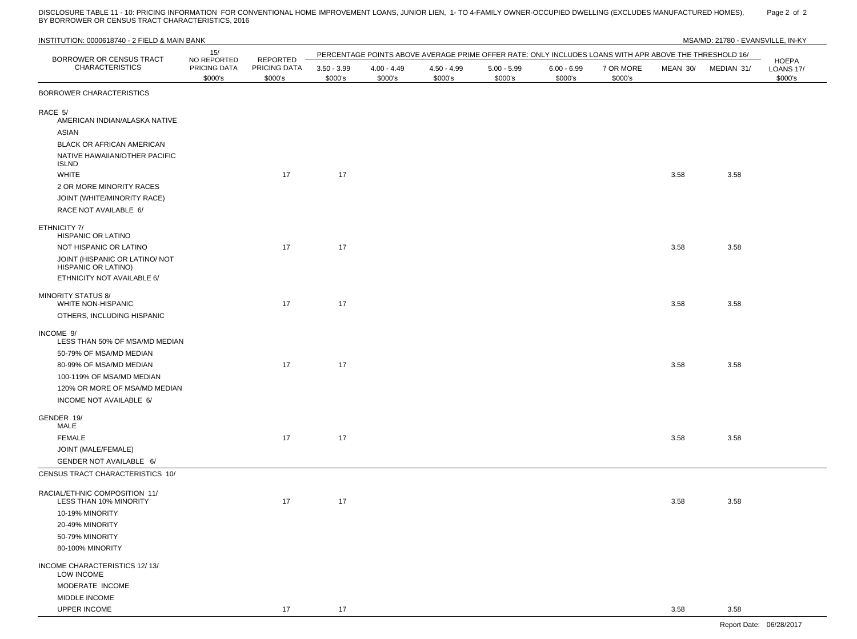DISCLOSURE TABLE 11 - 10: PRICING INFORMATION FOR CONVENTIONAL HOME IMPROVEMENT LOANS, JUNIOR LIEN, 1- TO 4-FAMILY OWNER-OCCUPIED DWELLING (EXCLUDES MANUFACTURED HOMES), Page 2\_of\_2<br>BY BORROWER OR CENSUS TRACT CHARACTERI

| INSTITUTION: 0000618740 - 2 FIELD & MAIN BANK                                       |                                        |                         |                          |                          |                          |                                                                                                        |                          |                      |          | MSA/MD: 21780 - EVANSVILLE, IN-KY |                                             |
|-------------------------------------------------------------------------------------|----------------------------------------|-------------------------|--------------------------|--------------------------|--------------------------|--------------------------------------------------------------------------------------------------------|--------------------------|----------------------|----------|-----------------------------------|---------------------------------------------|
| BORROWER OR CENSUS TRACT                                                            | 15/                                    | REPORTED                |                          |                          |                          | PERCENTAGE POINTS ABOVE AVERAGE PRIME OFFER RATE: ONLY INCLUDES LOANS WITH APR ABOVE THE THRESHOLD 16/ |                          |                      |          |                                   |                                             |
| <b>CHARACTERISTICS</b>                                                              | NO REPORTED<br>PRICING DATA<br>\$000's | PRICING DATA<br>\$000's | $3.50 - 3.99$<br>\$000's | $4.00 - 4.49$<br>\$000's | $4.50 - 4.99$<br>\$000's | $5.00 - 5.99$<br>\$000's                                                                               | $6.00 - 6.99$<br>\$000's | 7 OR MORE<br>\$000's | MEAN 30/ | MEDIAN 31/                        | <b>HOEPA</b><br><b>LOANS 17/</b><br>\$000's |
| BORROWER CHARACTERISTICS                                                            |                                        |                         |                          |                          |                          |                                                                                                        |                          |                      |          |                                   |                                             |
| RACE 5/<br>AMERICAN INDIAN/ALASKA NATIVE<br>ASIAN                                   |                                        |                         |                          |                          |                          |                                                                                                        |                          |                      |          |                                   |                                             |
| BLACK OR AFRICAN AMERICAN                                                           |                                        |                         |                          |                          |                          |                                                                                                        |                          |                      |          |                                   |                                             |
| NATIVE HAWAIIAN/OTHER PACIFIC<br><b>ISLND</b>                                       |                                        |                         |                          |                          |                          |                                                                                                        |                          |                      |          |                                   |                                             |
| <b>WHITE</b>                                                                        |                                        | 17                      | 17                       |                          |                          |                                                                                                        |                          |                      | 3.58     | 3.58                              |                                             |
| 2 OR MORE MINORITY RACES                                                            |                                        |                         |                          |                          |                          |                                                                                                        |                          |                      |          |                                   |                                             |
| JOINT (WHITE/MINORITY RACE)                                                         |                                        |                         |                          |                          |                          |                                                                                                        |                          |                      |          |                                   |                                             |
| RACE NOT AVAILABLE 6/                                                               |                                        |                         |                          |                          |                          |                                                                                                        |                          |                      |          |                                   |                                             |
| ETHNICITY 7/<br>HISPANIC OR LATINO                                                  |                                        |                         |                          |                          |                          |                                                                                                        |                          |                      |          |                                   |                                             |
| NOT HISPANIC OR LATINO                                                              |                                        | 17                      | 17                       |                          |                          |                                                                                                        |                          |                      | 3.58     | 3.58                              |                                             |
| JOINT (HISPANIC OR LATINO/ NOT<br>HISPANIC OR LATINO)<br>ETHNICITY NOT AVAILABLE 6/ |                                        |                         |                          |                          |                          |                                                                                                        |                          |                      |          |                                   |                                             |
| <b>MINORITY STATUS 8/</b><br>WHITE NON-HISPANIC                                     |                                        | 17                      | 17                       |                          |                          |                                                                                                        |                          |                      | 3.58     | 3.58                              |                                             |
| OTHERS, INCLUDING HISPANIC                                                          |                                        |                         |                          |                          |                          |                                                                                                        |                          |                      |          |                                   |                                             |
| INCOME 9/<br>LESS THAN 50% OF MSA/MD MEDIAN                                         |                                        |                         |                          |                          |                          |                                                                                                        |                          |                      |          |                                   |                                             |
| 50-79% OF MSA/MD MEDIAN                                                             |                                        |                         |                          |                          |                          |                                                                                                        |                          |                      |          |                                   |                                             |
| 80-99% OF MSA/MD MEDIAN                                                             |                                        | 17                      | 17                       |                          |                          |                                                                                                        |                          |                      | 3.58     | 3.58                              |                                             |
| 100-119% OF MSA/MD MEDIAN                                                           |                                        |                         |                          |                          |                          |                                                                                                        |                          |                      |          |                                   |                                             |
| 120% OR MORE OF MSA/MD MEDIAN                                                       |                                        |                         |                          |                          |                          |                                                                                                        |                          |                      |          |                                   |                                             |
| INCOME NOT AVAILABLE 6/                                                             |                                        |                         |                          |                          |                          |                                                                                                        |                          |                      |          |                                   |                                             |
| GENDER 19/<br>MALE                                                                  |                                        |                         |                          |                          |                          |                                                                                                        |                          |                      |          |                                   |                                             |
| <b>FEMALE</b>                                                                       |                                        | 17                      | 17                       |                          |                          |                                                                                                        |                          |                      | 3.58     | 3.58                              |                                             |
| JOINT (MALE/FEMALE)                                                                 |                                        |                         |                          |                          |                          |                                                                                                        |                          |                      |          |                                   |                                             |
| GENDER NOT AVAILABLE 6/                                                             |                                        |                         |                          |                          |                          |                                                                                                        |                          |                      |          |                                   |                                             |
| CENSUS TRACT CHARACTERISTICS 10/                                                    |                                        |                         |                          |                          |                          |                                                                                                        |                          |                      |          |                                   |                                             |
| RACIAL/ETHNIC COMPOSITION 11/<br>LESS THAN 10% MINORITY                             |                                        | 17                      | 17                       |                          |                          |                                                                                                        |                          |                      | 3.58     | 3.58                              |                                             |
| 10-19% MINORITY                                                                     |                                        |                         |                          |                          |                          |                                                                                                        |                          |                      |          |                                   |                                             |
| 20-49% MINORITY                                                                     |                                        |                         |                          |                          |                          |                                                                                                        |                          |                      |          |                                   |                                             |
| 50-79% MINORITY                                                                     |                                        |                         |                          |                          |                          |                                                                                                        |                          |                      |          |                                   |                                             |
| 80-100% MINORITY                                                                    |                                        |                         |                          |                          |                          |                                                                                                        |                          |                      |          |                                   |                                             |
| INCOME CHARACTERISTICS 12/13/                                                       |                                        |                         |                          |                          |                          |                                                                                                        |                          |                      |          |                                   |                                             |
| LOW INCOME<br>MODERATE INCOME                                                       |                                        |                         |                          |                          |                          |                                                                                                        |                          |                      |          |                                   |                                             |
| MIDDLE INCOME                                                                       |                                        |                         |                          |                          |                          |                                                                                                        |                          |                      |          |                                   |                                             |
| UPPER INCOME                                                                        |                                        | 17                      | 17                       |                          |                          |                                                                                                        |                          |                      | 3.58     | 3.58                              |                                             |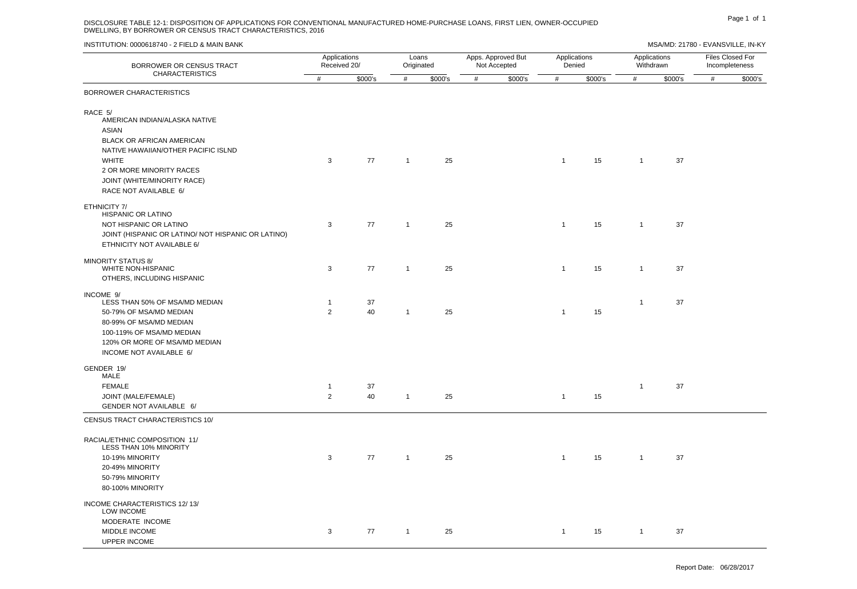### DISCLOSURE TABLE 12-1: DISPOSITION OF APPLICATIONS FOR CONVENTIONAL MANUFACTURED HOME-PURCHASE LOANS, FIRST LIEN, OWNER-OCCUPIED DWELLING, BY BORROWER OR CENSUS TRACT CHARACTERISTICS, 2016

| BORROWER OR CENSUS TRACT                                                                                                                                                                         | Applications<br>Received 20/   |          | Loans<br>Originated |         |      | Apps. Approved But<br>Not Accepted |                | Applications<br>Denied |                | Applications<br>Withdrawn |      | Files Closed For<br>Incompleteness |  |
|--------------------------------------------------------------------------------------------------------------------------------------------------------------------------------------------------|--------------------------------|----------|---------------------|---------|------|------------------------------------|----------------|------------------------|----------------|---------------------------|------|------------------------------------|--|
| <b>CHARACTERISTICS</b>                                                                                                                                                                           | #                              | \$000's  | #                   | \$000's | $\#$ | \$000's                            | #              | \$000's                | $\#$           | \$000's                   | $\#$ | \$000's                            |  |
| BORROWER CHARACTERISTICS                                                                                                                                                                         |                                |          |                     |         |      |                                    |                |                        |                |                           |      |                                    |  |
| RACE 5/<br>AMERICAN INDIAN/ALASKA NATIVE<br>ASIAN<br>BLACK OR AFRICAN AMERICAN<br>NATIVE HAWAIIAN/OTHER PACIFIC ISLND<br><b>WHITE</b><br>2 OR MORE MINORITY RACES<br>JOINT (WHITE/MINORITY RACE) | 3                              | 77       | $\mathbf{1}$        | 25      |      |                                    | $\mathbf{1}$   | 15                     | $\overline{1}$ | 37                        |      |                                    |  |
| RACE NOT AVAILABLE 6/<br>ETHNICITY 7/<br>HISPANIC OR LATINO<br>NOT HISPANIC OR LATINO<br>JOINT (HISPANIC OR LATINO/ NOT HISPANIC OR LATINO)<br>ETHNICITY NOT AVAILABLE 6/                        | 3                              | 77       | $\mathbf{1}$        | 25      |      |                                    | $\mathbf{1}$   | 15                     | $\mathbf{1}$   | 37                        |      |                                    |  |
| <b>MINORITY STATUS 8/</b><br><b>WHITE NON-HISPANIC</b><br>OTHERS, INCLUDING HISPANIC                                                                                                             | 3                              | 77       | $\overline{1}$      | 25      |      |                                    | $\overline{1}$ | 15                     | $\overline{1}$ | 37                        |      |                                    |  |
| INCOME 9/<br>LESS THAN 50% OF MSA/MD MEDIAN<br>50-79% OF MSA/MD MEDIAN<br>80-99% OF MSA/MD MEDIAN<br>100-119% OF MSA/MD MEDIAN<br>120% OR MORE OF MSA/MD MEDIAN<br>INCOME NOT AVAILABLE 6/       | $\mathbf{1}$<br>$\overline{2}$ | 37<br>40 | $\mathbf{1}$        | 25      |      |                                    | $\overline{1}$ | 15                     | $\mathbf{1}$   | 37                        |      |                                    |  |
| GENDER 19/<br>MALE<br><b>FEMALE</b><br>JOINT (MALE/FEMALE)<br>GENDER NOT AVAILABLE 6/                                                                                                            | $\mathbf{1}$<br>$\overline{2}$ | 37<br>40 | $\mathbf{1}$        | 25      |      |                                    | $\mathbf{1}$   | 15                     | $\overline{1}$ | 37                        |      |                                    |  |
| CENSUS TRACT CHARACTERISTICS 10/                                                                                                                                                                 |                                |          |                     |         |      |                                    |                |                        |                |                           |      |                                    |  |
| RACIAL/ETHNIC COMPOSITION 11/<br>LESS THAN 10% MINORITY<br>10-19% MINORITY<br>20-49% MINORITY<br>50-79% MINORITY<br>80-100% MINORITY                                                             | $\mathsf 3$                    | 77       | $\mathbf{1}$        | 25      |      |                                    | $\mathbf{1}$   | 15                     | $\overline{1}$ | 37                        |      |                                    |  |
| INCOME CHARACTERISTICS 12/13/<br>LOW INCOME<br>MODERATE INCOME<br>MIDDLE INCOME<br><b>LIPPER INCOME</b>                                                                                          | 3                              | 77       | $\overline{1}$      | 25      |      |                                    | $\overline{1}$ | 15                     | $\overline{1}$ | 37                        |      |                                    |  |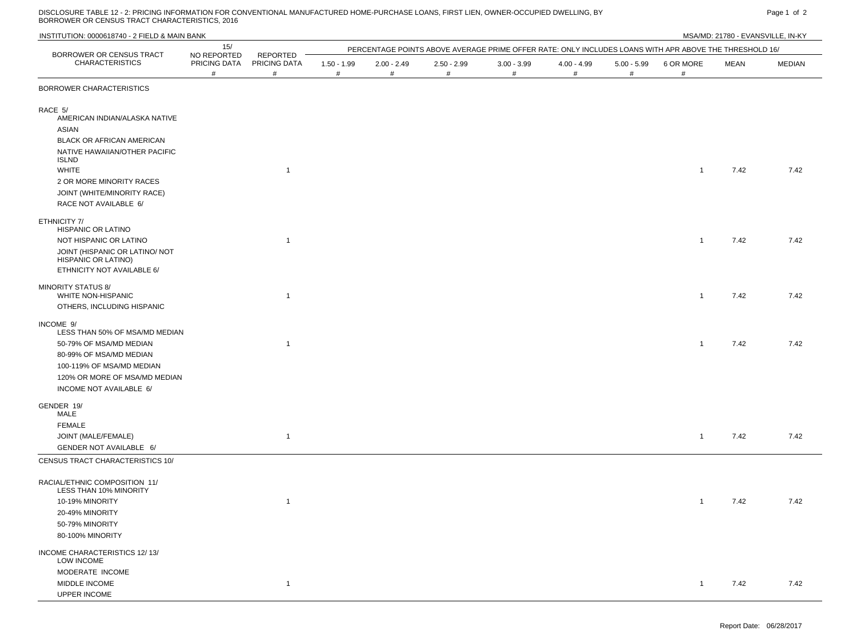DISCLOSURE TABLE 12 - 2: PRICING INFORMATION FOR CONVENTIONAL MANUFACTURED HOME-PURCHASE LOANS, FIRST LIEN, OWNER-OCCUPIED DWELLING, BY Page 1 of 2<br>BORROWER OR CENSUS TRACT CHARACTERISTICS, 2016

| INSTITUTION: 0000618740 - 2 FIELD & MAIN BANK                                       |                                  |                               |                    |                    |                    |                                                                                                        |                       |                    |                |      | MSA/MD: 21780 - EVANSVILLE, IN-KY |
|-------------------------------------------------------------------------------------|----------------------------------|-------------------------------|--------------------|--------------------|--------------------|--------------------------------------------------------------------------------------------------------|-----------------------|--------------------|----------------|------|-----------------------------------|
|                                                                                     | 15/                              |                               |                    |                    |                    | PERCENTAGE POINTS ABOVE AVERAGE PRIME OFFER RATE: ONLY INCLUDES LOANS WITH APR ABOVE THE THRESHOLD 16/ |                       |                    |                |      |                                   |
| BORROWER OR CENSUS TRACT<br><b>CHARACTERISTICS</b>                                  | NO REPORTED<br>PRICING DATA<br># | REPORTED<br>PRICING DATA<br># | $1.50 - 1.99$<br># | $2.00 - 2.49$<br># | $2.50 - 2.99$<br># | $3.00 - 3.99$<br>#                                                                                     | $4.00 - 4.99$<br>$\#$ | $5.00 - 5.99$<br># | 6 OR MORE<br># | MEAN | <b>MEDIAN</b>                     |
| BORROWER CHARACTERISTICS                                                            |                                  |                               |                    |                    |                    |                                                                                                        |                       |                    |                |      |                                   |
| RACE 5/<br>AMERICAN INDIAN/ALASKA NATIVE<br>ASIAN                                   |                                  |                               |                    |                    |                    |                                                                                                        |                       |                    |                |      |                                   |
| BLACK OR AFRICAN AMERICAN                                                           |                                  |                               |                    |                    |                    |                                                                                                        |                       |                    |                |      |                                   |
| NATIVE HAWAIIAN/OTHER PACIFIC<br><b>ISLND</b>                                       |                                  |                               |                    |                    |                    |                                                                                                        |                       |                    |                |      |                                   |
| <b>WHITE</b>                                                                        |                                  | $\mathbf{1}$                  |                    |                    |                    |                                                                                                        |                       |                    | $\mathbf{1}$   | 7.42 | 7.42                              |
| 2 OR MORE MINORITY RACES                                                            |                                  |                               |                    |                    |                    |                                                                                                        |                       |                    |                |      |                                   |
| JOINT (WHITE/MINORITY RACE)                                                         |                                  |                               |                    |                    |                    |                                                                                                        |                       |                    |                |      |                                   |
| RACE NOT AVAILABLE 6/                                                               |                                  |                               |                    |                    |                    |                                                                                                        |                       |                    |                |      |                                   |
| ETHNICITY 7/<br><b>HISPANIC OR LATINO</b>                                           |                                  |                               |                    |                    |                    |                                                                                                        |                       |                    |                |      |                                   |
| NOT HISPANIC OR LATINO                                                              |                                  | $\mathbf{1}$                  |                    |                    |                    |                                                                                                        |                       |                    | $\mathbf{1}$   | 7.42 | 7.42                              |
| JOINT (HISPANIC OR LATINO/ NOT<br>HISPANIC OR LATINO)<br>ETHNICITY NOT AVAILABLE 6/ |                                  |                               |                    |                    |                    |                                                                                                        |                       |                    |                |      |                                   |
| <b>MINORITY STATUS 8/</b><br><b>WHITE NON-HISPANIC</b>                              |                                  | $\mathbf{1}$                  |                    |                    |                    |                                                                                                        |                       |                    | $\mathbf{1}$   | 7.42 | 7.42                              |
| OTHERS, INCLUDING HISPANIC                                                          |                                  |                               |                    |                    |                    |                                                                                                        |                       |                    |                |      |                                   |
| INCOME 9/<br>LESS THAN 50% OF MSA/MD MEDIAN                                         |                                  |                               |                    |                    |                    |                                                                                                        |                       |                    |                |      |                                   |
| 50-79% OF MSA/MD MEDIAN<br>80-99% OF MSA/MD MEDIAN                                  |                                  | $\mathbf{1}$                  |                    |                    |                    |                                                                                                        |                       |                    | $\mathbf{1}$   | 7.42 | 7.42                              |
| 100-119% OF MSA/MD MEDIAN                                                           |                                  |                               |                    |                    |                    |                                                                                                        |                       |                    |                |      |                                   |
| 120% OR MORE OF MSA/MD MEDIAN                                                       |                                  |                               |                    |                    |                    |                                                                                                        |                       |                    |                |      |                                   |
| INCOME NOT AVAILABLE 6/                                                             |                                  |                               |                    |                    |                    |                                                                                                        |                       |                    |                |      |                                   |
| GENDER 19/<br>MALE                                                                  |                                  |                               |                    |                    |                    |                                                                                                        |                       |                    |                |      |                                   |
| <b>FEMALE</b>                                                                       |                                  |                               |                    |                    |                    |                                                                                                        |                       |                    |                |      |                                   |
| JOINT (MALE/FEMALE)                                                                 |                                  | $\mathbf{1}$                  |                    |                    |                    |                                                                                                        |                       |                    | $\mathbf{1}$   | 7.42 | 7.42                              |
| GENDER NOT AVAILABLE 6/                                                             |                                  |                               |                    |                    |                    |                                                                                                        |                       |                    |                |      |                                   |
| CENSUS TRACT CHARACTERISTICS 10/                                                    |                                  |                               |                    |                    |                    |                                                                                                        |                       |                    |                |      |                                   |
| RACIAL/ETHNIC COMPOSITION 11/<br>LESS THAN 10% MINORITY                             |                                  |                               |                    |                    |                    |                                                                                                        |                       |                    |                |      |                                   |
| 10-19% MINORITY                                                                     |                                  | $\mathbf{1}$                  |                    |                    |                    |                                                                                                        |                       |                    | $\mathbf{1}$   | 7.42 | 7.42                              |
| 20-49% MINORITY                                                                     |                                  |                               |                    |                    |                    |                                                                                                        |                       |                    |                |      |                                   |
| 50-79% MINORITY                                                                     |                                  |                               |                    |                    |                    |                                                                                                        |                       |                    |                |      |                                   |
| 80-100% MINORITY                                                                    |                                  |                               |                    |                    |                    |                                                                                                        |                       |                    |                |      |                                   |
| INCOME CHARACTERISTICS 12/13/<br>LOW INCOME                                         |                                  |                               |                    |                    |                    |                                                                                                        |                       |                    |                |      |                                   |
| MODERATE INCOME                                                                     |                                  |                               |                    |                    |                    |                                                                                                        |                       |                    |                |      |                                   |
| MIDDLE INCOME<br>UPPER INCOME                                                       |                                  | $\mathbf{1}$                  |                    |                    |                    |                                                                                                        |                       |                    | $\mathbf{1}$   | 7.42 | 7.42                              |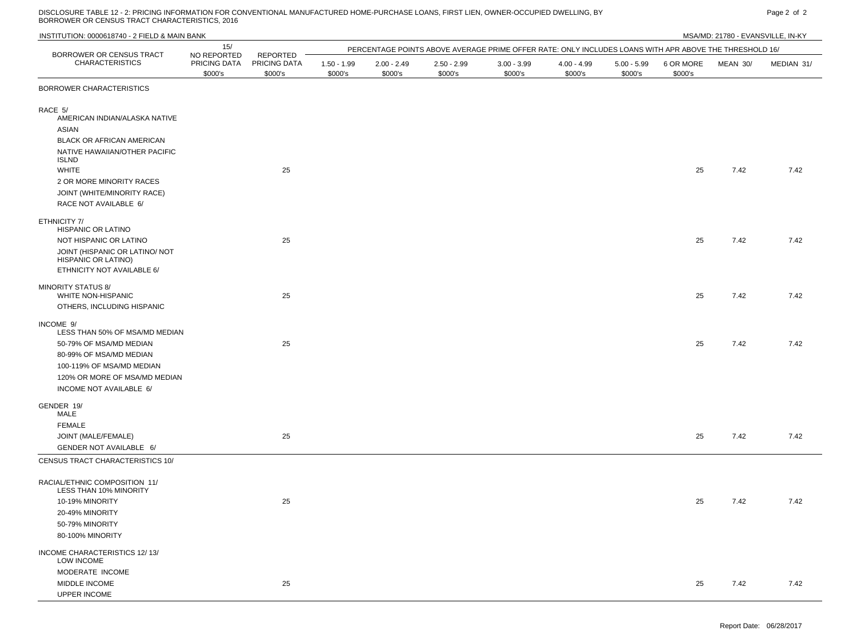DISCLOSURE TABLE 12 - 2: PRICING INFORMATION FOR CONVENTIONAL MANUFACTURED HOME-PURCHASE LOANS, FIRST LIEN, OWNER-OCCUPIED DWELLING, BY PART AND THE SAME PAGE 2 OF 2 PAGE 2 OF 2 PAGE 2 OF 2 PAGE 2 OF 2 PAGE 2 OF 2 PAGE 2 O

| INSTITUTION: 0000618740 - 2 FIELD & MAIN BANK                                              |                                        |                                     |                          |                          |                          |                                                                                                        |                          |                          |                      | MSA/MD: 21780 - EVANSVILLE, IN-KY |            |
|--------------------------------------------------------------------------------------------|----------------------------------------|-------------------------------------|--------------------------|--------------------------|--------------------------|--------------------------------------------------------------------------------------------------------|--------------------------|--------------------------|----------------------|-----------------------------------|------------|
|                                                                                            | 15/                                    |                                     |                          |                          |                          | PERCENTAGE POINTS ABOVE AVERAGE PRIME OFFER RATE: ONLY INCLUDES LOANS WITH APR ABOVE THE THRESHOLD 16/ |                          |                          |                      |                                   |            |
| BORROWER OR CENSUS TRACT<br><b>CHARACTERISTICS</b>                                         | NO REPORTED<br>PRICING DATA<br>\$000's | REPORTED<br>PRICING DATA<br>\$000's | $1.50 - 1.99$<br>\$000's | $2.00 - 2.49$<br>\$000's | $2.50 - 2.99$<br>\$000's | $3.00 - 3.99$<br>\$000's                                                                               | $4.00 - 4.99$<br>\$000's | $5.00 - 5.99$<br>\$000's | 6 OR MORE<br>\$000's | MEAN 30/                          | MEDIAN 31/ |
| BORROWER CHARACTERISTICS                                                                   |                                        |                                     |                          |                          |                          |                                                                                                        |                          |                          |                      |                                   |            |
| RACE 5/<br>AMERICAN INDIAN/ALASKA NATIVE<br>ASIAN                                          |                                        |                                     |                          |                          |                          |                                                                                                        |                          |                          |                      |                                   |            |
| BLACK OR AFRICAN AMERICAN                                                                  |                                        |                                     |                          |                          |                          |                                                                                                        |                          |                          |                      |                                   |            |
| NATIVE HAWAIIAN/OTHER PACIFIC<br><b>ISLND</b>                                              |                                        |                                     |                          |                          |                          |                                                                                                        |                          |                          |                      |                                   |            |
| <b>WHITE</b>                                                                               |                                        | 25                                  |                          |                          |                          |                                                                                                        |                          |                          | 25                   | 7.42                              | 7.42       |
| 2 OR MORE MINORITY RACES                                                                   |                                        |                                     |                          |                          |                          |                                                                                                        |                          |                          |                      |                                   |            |
| JOINT (WHITE/MINORITY RACE)<br>RACE NOT AVAILABLE 6/                                       |                                        |                                     |                          |                          |                          |                                                                                                        |                          |                          |                      |                                   |            |
| ETHNICITY 7/<br>HISPANIC OR LATINO                                                         |                                        |                                     |                          |                          |                          |                                                                                                        |                          |                          |                      |                                   |            |
| NOT HISPANIC OR LATINO                                                                     |                                        | 25                                  |                          |                          |                          |                                                                                                        |                          |                          | 25                   | 7.42                              | 7.42       |
| JOINT (HISPANIC OR LATINO/ NOT<br><b>HISPANIC OR LATINO)</b><br>ETHNICITY NOT AVAILABLE 6/ |                                        |                                     |                          |                          |                          |                                                                                                        |                          |                          |                      |                                   |            |
| <b>MINORITY STATUS 8/</b><br>WHITE NON-HISPANIC<br>OTHERS, INCLUDING HISPANIC              |                                        | 25                                  |                          |                          |                          |                                                                                                        |                          |                          | 25                   | 7.42                              | 7.42       |
|                                                                                            |                                        |                                     |                          |                          |                          |                                                                                                        |                          |                          |                      |                                   |            |
| INCOME 9/<br>LESS THAN 50% OF MSA/MD MEDIAN                                                |                                        |                                     |                          |                          |                          |                                                                                                        |                          |                          |                      |                                   |            |
| 50-79% OF MSA/MD MEDIAN                                                                    |                                        | 25                                  |                          |                          |                          |                                                                                                        |                          |                          | 25                   | 7.42                              | 7.42       |
| 80-99% OF MSA/MD MEDIAN<br>100-119% OF MSA/MD MEDIAN                                       |                                        |                                     |                          |                          |                          |                                                                                                        |                          |                          |                      |                                   |            |
| 120% OR MORE OF MSA/MD MEDIAN                                                              |                                        |                                     |                          |                          |                          |                                                                                                        |                          |                          |                      |                                   |            |
| INCOME NOT AVAILABLE 6/                                                                    |                                        |                                     |                          |                          |                          |                                                                                                        |                          |                          |                      |                                   |            |
| GENDER 19/<br>MALE                                                                         |                                        |                                     |                          |                          |                          |                                                                                                        |                          |                          |                      |                                   |            |
| <b>FEMALE</b>                                                                              |                                        |                                     |                          |                          |                          |                                                                                                        |                          |                          |                      |                                   |            |
| JOINT (MALE/FEMALE)                                                                        |                                        | 25                                  |                          |                          |                          |                                                                                                        |                          |                          | 25                   | 7.42                              | 7.42       |
| GENDER NOT AVAILABLE 6/                                                                    |                                        |                                     |                          |                          |                          |                                                                                                        |                          |                          |                      |                                   |            |
| CENSUS TRACT CHARACTERISTICS 10/                                                           |                                        |                                     |                          |                          |                          |                                                                                                        |                          |                          |                      |                                   |            |
| RACIAL/ETHNIC COMPOSITION 11/<br>LESS THAN 10% MINORITY                                    |                                        |                                     |                          |                          |                          |                                                                                                        |                          |                          |                      |                                   |            |
| 10-19% MINORITY                                                                            |                                        | 25                                  |                          |                          |                          |                                                                                                        |                          |                          | 25                   | 7.42                              | 7.42       |
| 20-49% MINORITY                                                                            |                                        |                                     |                          |                          |                          |                                                                                                        |                          |                          |                      |                                   |            |
| 50-79% MINORITY                                                                            |                                        |                                     |                          |                          |                          |                                                                                                        |                          |                          |                      |                                   |            |
| 80-100% MINORITY                                                                           |                                        |                                     |                          |                          |                          |                                                                                                        |                          |                          |                      |                                   |            |
| INCOME CHARACTERISTICS 12/13/<br>LOW INCOME                                                |                                        |                                     |                          |                          |                          |                                                                                                        |                          |                          |                      |                                   |            |
| MODERATE INCOME                                                                            |                                        |                                     |                          |                          |                          |                                                                                                        |                          |                          |                      |                                   |            |
| MIDDLE INCOME<br>UPPER INCOME                                                              |                                        | 25                                  |                          |                          |                          |                                                                                                        |                          |                          | 25                   | 7.42                              | 7.42       |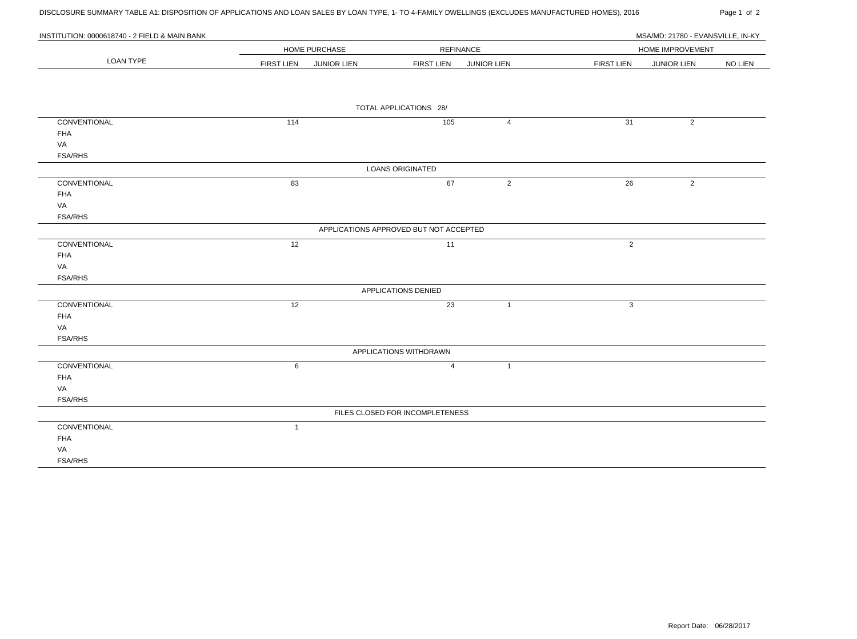DISCLOSURE SUMMARY TABLE A1: DISPOSITION OF APPLICATIONS AND LOAN SALES BY LOAN TYPE, 1- TO 4-FAMILY DWELLINGS (EXCLUDES MANUFACTURED HOMES), 2016 Page 1 of 2

| INSTITUTION: 0000618740 - 2 FIELD & MAIN BANK |                                         |                                         | MSA/MD: 21780 - EVANSVILLE. IN-KY                         |
|-----------------------------------------------|-----------------------------------------|-----------------------------------------|-----------------------------------------------------------|
|                                               | <b>HOME PURCHASE</b>                    | <b>REFINANCE</b>                        | <b>HOME IMPROVEMENT</b>                                   |
| LOAN TYPE                                     | <b>FIRST LIEN</b><br><b>JUNIOR LIEN</b> | <b>FIRST LIEN</b><br><b>JUNIOR LIEN</b> | <b>NO LIEN</b><br><b>FIRST LIEN</b><br><b>JUNIOR LIEN</b> |

|                |              | TOTAL APPLICATIONS 28/                 |                |                |                |
|----------------|--------------|----------------------------------------|----------------|----------------|----------------|
| CONVENTIONAL   | 114          | 105                                    | $\overline{4}$ | 31             | $\overline{2}$ |
| <b>FHA</b>     |              |                                        |                |                |                |
| VA             |              |                                        |                |                |                |
| <b>FSA/RHS</b> |              |                                        |                |                |                |
|                |              | <b>LOANS ORIGINATED</b>                |                |                |                |
| CONVENTIONAL   | 83           | 67                                     | $\overline{2}$ | 26             | $\overline{2}$ |
| <b>FHA</b>     |              |                                        |                |                |                |
| VA             |              |                                        |                |                |                |
| <b>FSA/RHS</b> |              |                                        |                |                |                |
|                |              | APPLICATIONS APPROVED BUT NOT ACCEPTED |                |                |                |
| CONVENTIONAL   | 12           | 11                                     |                | $\overline{2}$ |                |
| <b>FHA</b>     |              |                                        |                |                |                |
| VA             |              |                                        |                |                |                |
| <b>FSA/RHS</b> |              |                                        |                |                |                |
|                |              | APPLICATIONS DENIED                    |                |                |                |
| CONVENTIONAL   | 12           | 23                                     | $\overline{1}$ | $\mathbf{3}$   |                |
| <b>FHA</b>     |              |                                        |                |                |                |
| VA             |              |                                        |                |                |                |
| <b>FSA/RHS</b> |              |                                        |                |                |                |
|                |              | APPLICATIONS WITHDRAWN                 |                |                |                |
| CONVENTIONAL   | 6            | $\overline{4}$                         | $\mathbf{1}$   |                |                |
| <b>FHA</b>     |              |                                        |                |                |                |
| VA             |              |                                        |                |                |                |
| <b>FSA/RHS</b> |              |                                        |                |                |                |
|                |              | FILES CLOSED FOR INCOMPLETENESS        |                |                |                |
| CONVENTIONAL   | $\mathbf{1}$ |                                        |                |                |                |
| <b>FHA</b>     |              |                                        |                |                |                |
| VA             |              |                                        |                |                |                |
| <b>FSA/RHS</b> |              |                                        |                |                |                |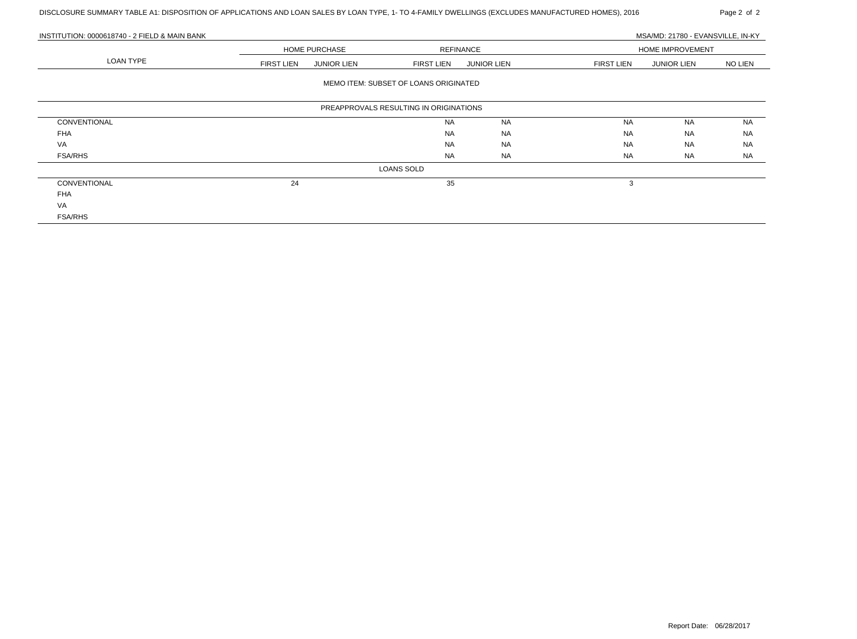| INSTITUTION: 0000618740 - 2 FIELD & MAIN BANK |                   |                      |                                        |                    |                   | MSA/MD: 21780 - EVANSVILLE, IN-KY |                |
|-----------------------------------------------|-------------------|----------------------|----------------------------------------|--------------------|-------------------|-----------------------------------|----------------|
|                                               |                   | <b>HOME PURCHASE</b> |                                        | <b>REFINANCE</b>   |                   | <b>HOME IMPROVEMENT</b>           |                |
| <b>LOAN TYPE</b>                              | <b>FIRST LIEN</b> | <b>JUNIOR LIEN</b>   | <b>FIRST LIEN</b>                      | <b>JUNIOR LIEN</b> | <b>FIRST LIEN</b> | <b>JUNIOR LIEN</b>                | <b>NO LIEN</b> |
|                                               |                   |                      | MEMO ITEM: SUBSET OF LOANS ORIGINATED  |                    |                   |                                   |                |
|                                               |                   |                      | PREAPPROVALS RESULTING IN ORIGINATIONS |                    |                   |                                   |                |
| CONVENTIONAL                                  |                   |                      | <b>NA</b>                              | <b>NA</b>          | <b>NA</b>         | <b>NA</b>                         | NA             |
| <b>FHA</b>                                    |                   |                      | <b>NA</b>                              | NA                 | <b>NA</b>         | <b>NA</b>                         | <b>NA</b>      |
| VA                                            |                   |                      | <b>NA</b>                              | NA                 | <b>NA</b>         | <b>NA</b>                         | <b>NA</b>      |
| <b>FSA/RHS</b>                                |                   |                      | NA                                     | <b>NA</b>          | NA                | NA                                | <b>NA</b>      |
|                                               |                   |                      | LOANS SOLD                             |                    |                   |                                   |                |
| CONVENTIONAL                                  | 24                |                      | 35                                     |                    | 3                 |                                   |                |
| <b>FHA</b>                                    |                   |                      |                                        |                    |                   |                                   |                |
| VA                                            |                   |                      |                                        |                    |                   |                                   |                |
| <b>FSA/RHS</b>                                |                   |                      |                                        |                    |                   |                                   |                |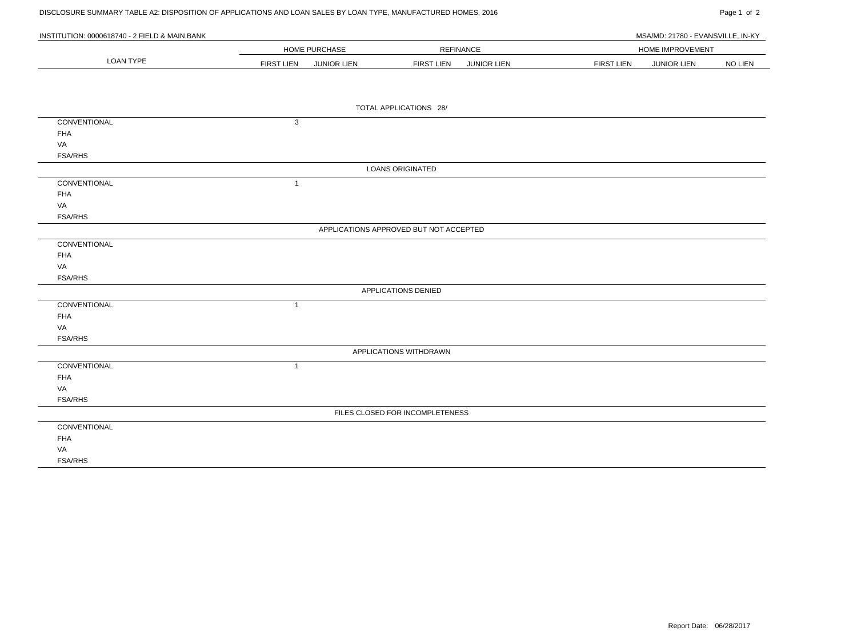# DISCLOSURE SUMMARY TABLE A2: DISPOSITION OF APPLICATIONS AND LOAN SALES BY LOAN TYPE, MANUFACTURED HOMES, 2016 Page 1 Of 2

| INSTITUTION: 0000618740 - 2 FIELD & MAIN BANK |                   |                    |                                        |                  |                   | MSA/MD: 21780 - EVANSVILLE, IN-KY |         |
|-----------------------------------------------|-------------------|--------------------|----------------------------------------|------------------|-------------------|-----------------------------------|---------|
|                                               |                   | HOME PURCHASE      |                                        | <b>REFINANCE</b> |                   | HOME IMPROVEMENT                  |         |
| <b>LOAN TYPE</b>                              | <b>FIRST LIEN</b> | <b>JUNIOR LIEN</b> | <b>FIRST LIEN</b>                      | JUNIOR LIEN      | <b>FIRST LIEN</b> | <b>JUNIOR LIEN</b>                | NO LIEN |
|                                               |                   |                    |                                        |                  |                   |                                   |         |
|                                               |                   |                    |                                        |                  |                   |                                   |         |
|                                               |                   |                    | TOTAL APPLICATIONS 28/                 |                  |                   |                                   |         |
| CONVENTIONAL                                  | 3                 |                    |                                        |                  |                   |                                   |         |
| <b>FHA</b>                                    |                   |                    |                                        |                  |                   |                                   |         |
| VA                                            |                   |                    |                                        |                  |                   |                                   |         |
| <b>FSA/RHS</b>                                |                   |                    |                                        |                  |                   |                                   |         |
|                                               |                   |                    | <b>LOANS ORIGINATED</b>                |                  |                   |                                   |         |
| CONVENTIONAL                                  | $\mathbf{1}$      |                    |                                        |                  |                   |                                   |         |
| <b>FHA</b>                                    |                   |                    |                                        |                  |                   |                                   |         |
| VA                                            |                   |                    |                                        |                  |                   |                                   |         |
| <b>FSA/RHS</b>                                |                   |                    |                                        |                  |                   |                                   |         |
|                                               |                   |                    | APPLICATIONS APPROVED BUT NOT ACCEPTED |                  |                   |                                   |         |
| CONVENTIONAL                                  |                   |                    |                                        |                  |                   |                                   |         |
| <b>FHA</b>                                    |                   |                    |                                        |                  |                   |                                   |         |
| VA                                            |                   |                    |                                        |                  |                   |                                   |         |
| <b>FSA/RHS</b>                                |                   |                    |                                        |                  |                   |                                   |         |
|                                               |                   |                    | APPLICATIONS DENIED                    |                  |                   |                                   |         |
| CONVENTIONAL                                  | $\mathbf{1}$      |                    |                                        |                  |                   |                                   |         |
| <b>FHA</b>                                    |                   |                    |                                        |                  |                   |                                   |         |
| VA                                            |                   |                    |                                        |                  |                   |                                   |         |
| <b>FSA/RHS</b>                                |                   |                    |                                        |                  |                   |                                   |         |
|                                               |                   |                    | APPLICATIONS WITHDRAWN                 |                  |                   |                                   |         |
| CONVENTIONAL                                  | $\mathbf{1}$      |                    |                                        |                  |                   |                                   |         |
| <b>FHA</b>                                    |                   |                    |                                        |                  |                   |                                   |         |
| VA                                            |                   |                    |                                        |                  |                   |                                   |         |
| <b>FSA/RHS</b>                                |                   |                    |                                        |                  |                   |                                   |         |
|                                               |                   |                    | FILES CLOSED FOR INCOMPLETENESS        |                  |                   |                                   |         |
| CONVENTIONAL                                  |                   |                    |                                        |                  |                   |                                   |         |
| <b>FHA</b>                                    |                   |                    |                                        |                  |                   |                                   |         |
| VA                                            |                   |                    |                                        |                  |                   |                                   |         |
| <b>FSA/RHS</b>                                |                   |                    |                                        |                  |                   |                                   |         |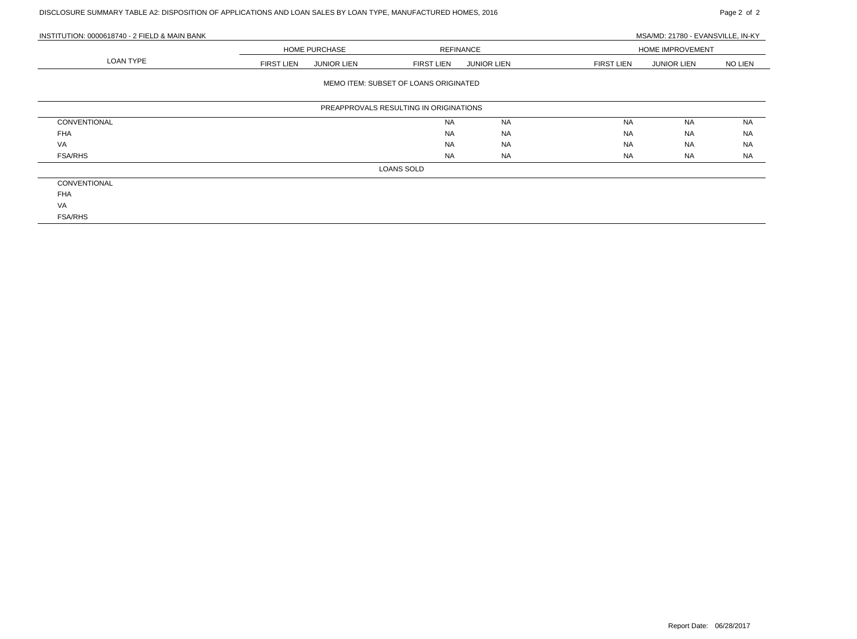# DISCLOSURE SUMMARY TABLE A2: DISPOSITION OF APPLICATIONS AND LOAN SALES BY LOAN TYPE, MANUFACTURED HOMES, 2016 Page 2 of 2

| INSTITUTION: 0000618740 - 2 FIELD & MAIN BANK |                   |                    |                                        |                    |                   | MSA/MD: 21780 - EVANSVILLE, IN-KY |                |  |
|-----------------------------------------------|-------------------|--------------------|----------------------------------------|--------------------|-------------------|-----------------------------------|----------------|--|
|                                               |                   | HOME PURCHASE      |                                        | <b>REFINANCE</b>   |                   | HOME IMPROVEMENT                  |                |  |
| LOAN TYPE                                     | <b>FIRST LIEN</b> | <b>JUNIOR LIEN</b> | <b>FIRST LIEN</b>                      | <b>JUNIOR LIEN</b> | <b>FIRST LIEN</b> | <b>JUNIOR LIEN</b>                | <b>NO LIEN</b> |  |
|                                               |                   |                    | MEMO ITEM: SUBSET OF LOANS ORIGINATED  |                    |                   |                                   |                |  |
|                                               |                   |                    | PREAPPROVALS RESULTING IN ORIGINATIONS |                    |                   |                                   |                |  |
| CONVENTIONAL                                  |                   |                    | <b>NA</b>                              | <b>NA</b>          | <b>NA</b>         | <b>NA</b>                         | <b>NA</b>      |  |
| <b>FHA</b>                                    |                   |                    | <b>NA</b>                              | <b>NA</b>          | <b>NA</b>         | <b>NA</b>                         | <b>NA</b>      |  |
| VA                                            |                   |                    | <b>NA</b>                              | <b>NA</b>          | <b>NA</b>         | <b>NA</b>                         | <b>NA</b>      |  |
| <b>FSA/RHS</b>                                |                   |                    | <b>NA</b>                              | <b>NA</b>          | <b>NA</b>         | NA                                | <b>NA</b>      |  |
|                                               |                   |                    | LOANS SOLD                             |                    |                   |                                   |                |  |
| CONVENTIONAL                                  |                   |                    |                                        |                    |                   |                                   |                |  |
| <b>FHA</b>                                    |                   |                    |                                        |                    |                   |                                   |                |  |
| VA                                            |                   |                    |                                        |                    |                   |                                   |                |  |
| <b>FSA/RHS</b>                                |                   |                    |                                        |                    |                   |                                   |                |  |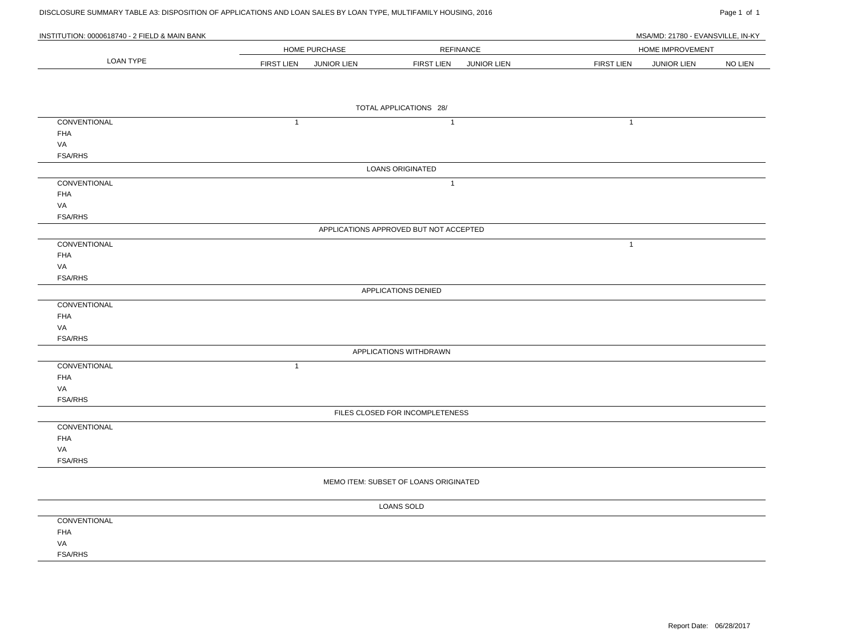| DISCLOSURE SUMMARY TABLE A3: DISPOSITION OF APPLICATIONS AND LOAN SALES BY LOAN TYPE, MULTIFAMILY HOUSING, 2016 |                   |               |                                        |             |                                         | Page 1 of 1    |
|-----------------------------------------------------------------------------------------------------------------|-------------------|---------------|----------------------------------------|-------------|-----------------------------------------|----------------|
| INSTITUTION: 0000618740 - 2 FIELD & MAIN BANK                                                                   |                   |               |                                        |             |                                         |                |
|                                                                                                                 |                   |               |                                        |             | MSA/MD: 21780 - EVANSVILLE, IN-KY       |                |
| <b>LOAN TYPE</b>                                                                                                |                   | HOME PURCHASE | <b>REFINANCE</b>                       |             | HOME IMPROVEMENT                        |                |
|                                                                                                                 | <b>FIRST LIEN</b> | JUNIOR LIEN   | <b>FIRST LIEN</b>                      | JUNIOR LIEN | <b>FIRST LIEN</b><br><b>JUNIOR LIEN</b> | <b>NO LIEN</b> |
|                                                                                                                 |                   |               |                                        |             |                                         |                |
|                                                                                                                 |                   |               |                                        |             |                                         |                |
|                                                                                                                 |                   |               | TOTAL APPLICATIONS 28/                 |             |                                         |                |
| CONVENTIONAL                                                                                                    | $\mathbf{1}$      |               | $\overline{1}$                         |             | $\mathbf{1}$                            |                |
| <b>FHA</b>                                                                                                      |                   |               |                                        |             |                                         |                |
| VA                                                                                                              |                   |               |                                        |             |                                         |                |
| <b>FSA/RHS</b>                                                                                                  |                   |               |                                        |             |                                         |                |
|                                                                                                                 |                   |               | <b>LOANS ORIGINATED</b>                |             |                                         |                |
|                                                                                                                 |                   |               |                                        |             |                                         |                |
| CONVENTIONAL                                                                                                    |                   |               | $\mathbf{1}$                           |             |                                         |                |
| <b>FHA</b>                                                                                                      |                   |               |                                        |             |                                         |                |
| VA                                                                                                              |                   |               |                                        |             |                                         |                |
| <b>FSA/RHS</b>                                                                                                  |                   |               |                                        |             |                                         |                |
|                                                                                                                 |                   |               | APPLICATIONS APPROVED BUT NOT ACCEPTED |             |                                         |                |
| CONVENTIONAL                                                                                                    |                   |               |                                        |             | $\mathbf{1}$                            |                |
| FHA                                                                                                             |                   |               |                                        |             |                                         |                |
| VA                                                                                                              |                   |               |                                        |             |                                         |                |
| <b>FSA/RHS</b>                                                                                                  |                   |               |                                        |             |                                         |                |
|                                                                                                                 |                   |               | APPLICATIONS DENIED                    |             |                                         |                |
| CONVENTIONAL                                                                                                    |                   |               |                                        |             |                                         |                |
| <b>FHA</b>                                                                                                      |                   |               |                                        |             |                                         |                |
| VA                                                                                                              |                   |               |                                        |             |                                         |                |
| <b>FSA/RHS</b>                                                                                                  |                   |               |                                        |             |                                         |                |
|                                                                                                                 |                   |               | APPLICATIONS WITHDRAWN                 |             |                                         |                |
| CONVENTIONAL                                                                                                    | $\mathbf{1}$      |               |                                        |             |                                         |                |
| <b>FHA</b>                                                                                                      |                   |               |                                        |             |                                         |                |
| VA                                                                                                              |                   |               |                                        |             |                                         |                |
| <b>FSA/RHS</b>                                                                                                  |                   |               |                                        |             |                                         |                |
|                                                                                                                 |                   |               | FILES CLOSED FOR INCOMPLETENESS        |             |                                         |                |
| CONVENTIONAL                                                                                                    |                   |               |                                        |             |                                         |                |
| <b>FHA</b>                                                                                                      |                   |               |                                        |             |                                         |                |
| VA                                                                                                              |                   |               |                                        |             |                                         |                |
| <b>FSA/RHS</b>                                                                                                  |                   |               |                                        |             |                                         |                |
|                                                                                                                 |                   |               |                                        |             |                                         |                |
|                                                                                                                 |                   |               | MEMO ITEM: SUBSET OF LOANS ORIGINATED  |             |                                         |                |
|                                                                                                                 |                   |               | <b>LOANS SOLD</b>                      |             |                                         |                |
| CONVENTIONAL                                                                                                    |                   |               |                                        |             |                                         |                |
| FHA                                                                                                             |                   |               |                                        |             |                                         |                |
| VA                                                                                                              |                   |               |                                        |             |                                         |                |
| <b>FSA/RHS</b>                                                                                                  |                   |               |                                        |             |                                         |                |